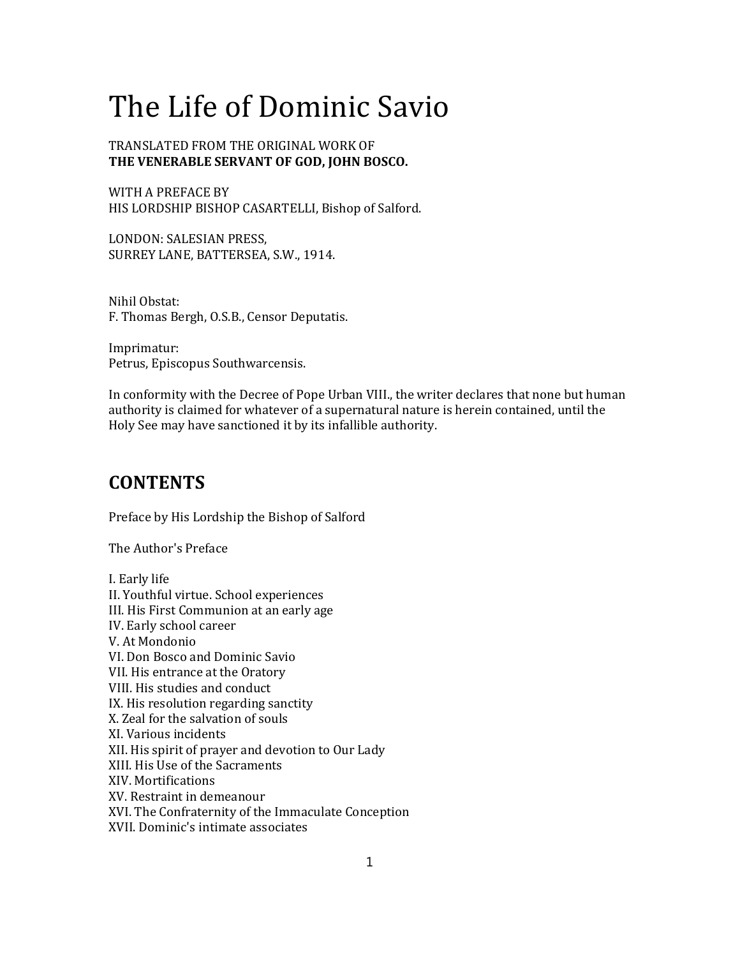# The Life of Dominic Savio

# TRANSLATED FROM THE ORIGINAL WORK OF THE VENERABLE SERVANT OF GOD, JOHN BOSCO.

WITH A PREFACE BY HIS LORDSHIP BISHOP CASARTELLI, Bishop of Salford.

LONDON: SALESIAN PRESS, SURREY LANE, BATTERSEA, S.W., 1914.

Nihil Obstat: F. Thomas Bergh, O.S.B., Censor Deputatis.

Imprimatur: Petrus, Episcopus Southwarcensis.

In conformity with the Decree of Pope Urban VIII., the writer declares that none but human authority is claimed for whatever of a supernatural nature is herein contained, until the Holy See may have sanctioned it by its infallible authority.

# **CONTENTS**

Preface by His Lordship the Bishop of Salford

The Author's Preface

I. Early life II. Youthful virtue. School experiences III. His First Communion at an early age IV. Early school career V. At Mondonio VI. Don Bosco and Dominic Savio VII. His entrance at the Oratory VIII. His studies and conduct IX. His resolution regarding sanctity X. Zeal for the salvation of souls XI. Various incidents XII. His spirit of prayer and devotion to Our Lady XIII. His Use of the Sacraments XIV. Mortifications XV. Restraint in demeanour XVI. The Confraternity of the Immaculate Conception XVII. Dominic's intimate associates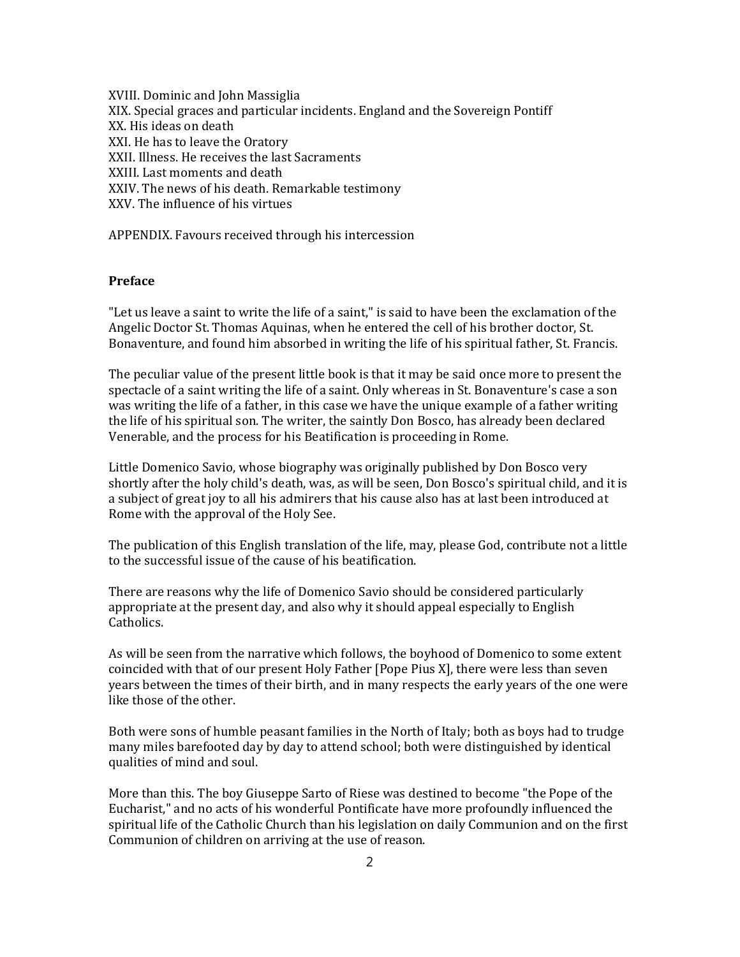XVIII. Dominic and John Massiglia XIX. Special graces and particular incidents. England and the Sovereign Pontiff XX. His ideas on death XXI. He has to leave the Oratory XXII. Illness. He receives the last Sacraments XXIII. Last moments and death XXIV. The news of his death. Remarkable testimony XXV. The influence of his virtues

APPENDIX. Favours received through his intercession

#### Preface

"Let us leave a saint to write the life of a saint," is said to have been the exclamation of the Angelic Doctor St. Thomas Aquinas, when he entered the cell of his brother doctor, St. Bonaventure, and found him absorbed in writing the life of his spiritual father, St. Francis.

The peculiar value of the present little book is that it may be said once more to present the spectacle of a saint writing the life of a saint. Only whereas in St. Bonaventure's case a son was writing the life of a father, in this case we have the unique example of a father writing the life of his spiritual son. The writer, the saintly Don Bosco, has already been declared Venerable, and the process for his Beatification is proceeding in Rome.

Little Domenico Savio, whose biography was originally published by Don Bosco very shortly after the holy child's death, was, as will be seen, Don Bosco's spiritual child, and it is a subject of great joy to all his admirers that his cause also has at last been introduced at Rome with the approval of the Holy See.

The publication of this English translation of the life, may, please God, contribute not a little to the successful issue of the cause of his beatification.

There are reasons why the life of Domenico Savio should be considered particularly appropriate at the present day, and also why it should appeal especially to English Catholics.

As will be seen from the narrative which follows, the boyhood of Domenico to some extent coincided with that of our present Holy Father [Pope Pius X], there were less than seven years between the times of their birth, and in many respects the early years of the one were like those of the other.

Both were sons of humble peasant families in the North of Italy; both as boys had to trudge many miles barefooted day by day to attend school; both were distinguished by identical qualities of mind and soul.

More than this. The boy Giuseppe Sarto of Riese was destined to become "the Pope of the Eucharist," and no acts of his wonderful Pontificate have more profoundly influenced the spiritual life of the Catholic Church than his legislation on daily Communion and on the first Communion of children on arriving at the use of reason.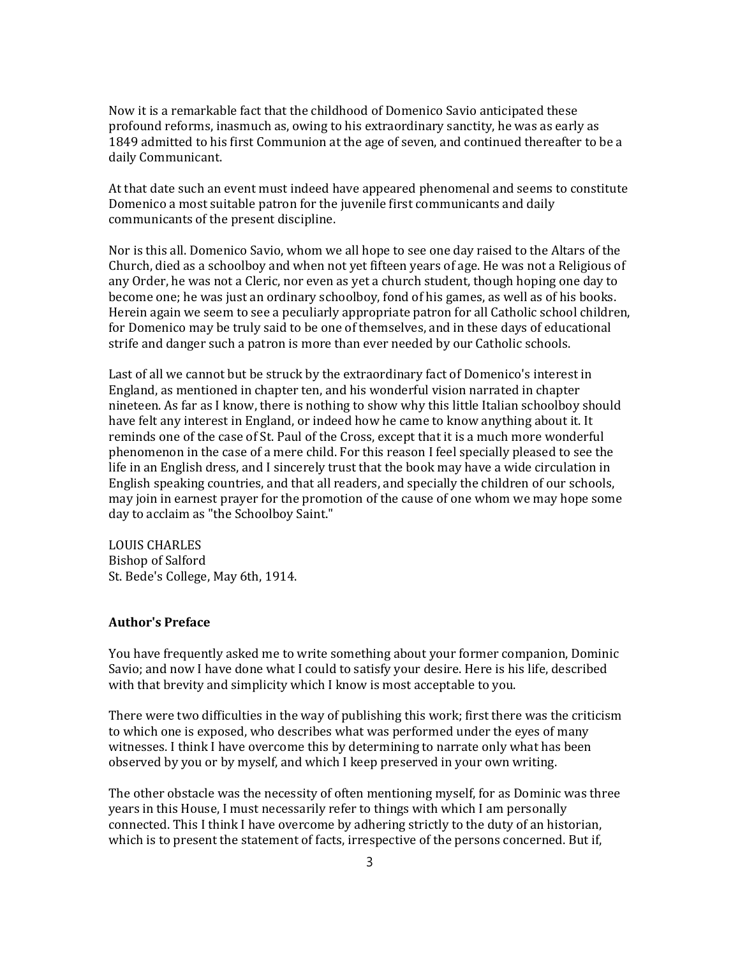Now it is a remarkable fact that the childhood of Domenico Savio anticipated these profound reforms, inasmuch as, owing to his extraordinary sanctity, he was as early as 1849 admitted to his first Communion at the age of seven, and continued thereafter to be a daily Communicant.

At that date such an event must indeed have appeared phenomenal and seems to constitute Domenico a most suitable patron for the juvenile first communicants and daily communicants of the present discipline.

Nor is this all. Domenico Savio, whom we all hope to see one day raised to the Altars of the Church, died as a schoolboy and when not yet fifteen years of age. He was not a Religious of any Order, he was not a Cleric, nor even as yet a church student, though hoping one day to become one; he was just an ordinary schoolboy, fond of his games, as well as of his books. Herein again we seem to see a peculiarly appropriate patron for all Catholic school children, for Domenico may be truly said to be one of themselves, and in these days of educational strife and danger such a patron is more than ever needed by our Catholic schools.

Last of all we cannot but be struck by the extraordinary fact of Domenico's interest in England, as mentioned in chapter ten, and his wonderful vision narrated in chapter nineteen. As far as I know, there is nothing to show why this little Italian schoolboy should have felt any interest in England, or indeed how he came to know anything about it. It reminds one of the case of St. Paul of the Cross, except that it is a much more wonderful phenomenon in the case of a mere child. For this reason I feel specially pleased to see the life in an English dress, and I sincerely trust that the book may have a wide circulation in English speaking countries, and that all readers, and specially the children of our schools, may join in earnest prayer for the promotion of the cause of one whom we may hope some day to acclaim as "the Schoolboy Saint."

LOUIS CHARLES Bishop of Salford St. Bede's College, May 6th, 1914.

## Author's Preface

You have frequently asked me to write something about your former companion, Dominic Savio; and now I have done what I could to satisfy your desire. Here is his life, described with that brevity and simplicity which I know is most acceptable to you.

There were two difficulties in the way of publishing this work; first there was the criticism to which one is exposed, who describes what was performed under the eyes of many witnesses. I think I have overcome this by determining to narrate only what has been observed by you or by myself, and which I keep preserved in your own writing.

The other obstacle was the necessity of often mentioning myself, for as Dominic was three years in this House, I must necessarily refer to things with which I am personally connected. This I think I have overcome by adhering strictly to the duty of an historian, which is to present the statement of facts, irrespective of the persons concerned. But if,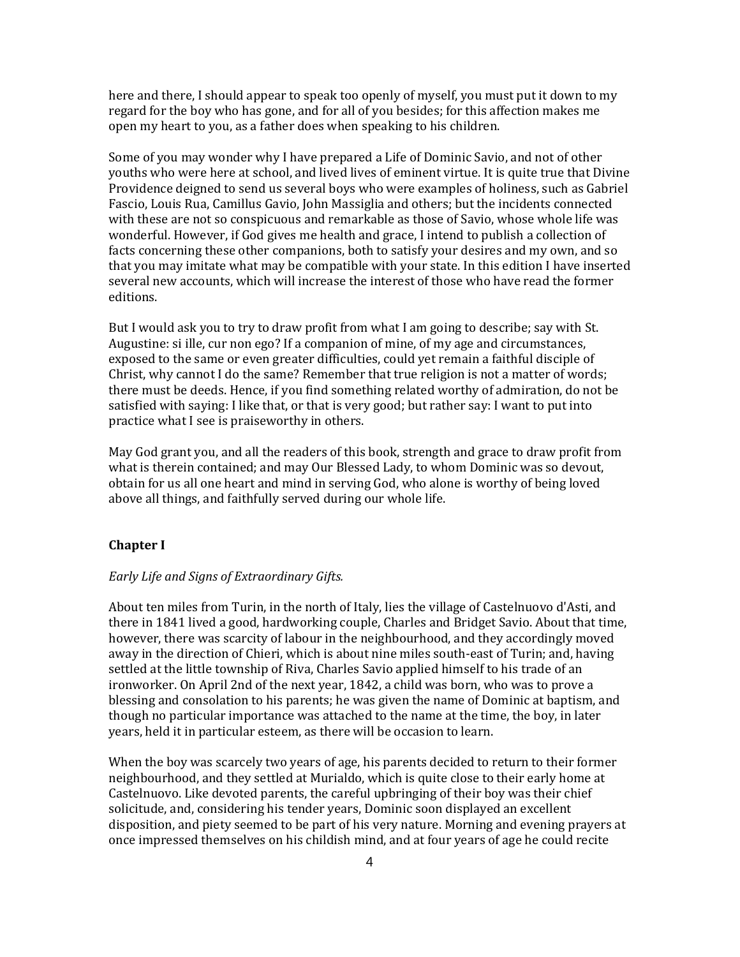here and there, I should appear to speak too openly of myself, you must put it down to my regard for the boy who has gone, and for all of you besides; for this affection makes me open my heart to you, as a father does when speaking to his children.

Some of you may wonder why I have prepared a Life of Dominic Savio, and not of other youths who were here at school, and lived lives of eminent virtue. It is quite true that Divine Providence deigned to send us several boys who were examples of holiness, such as Gabriel Fascio, Louis Rua, Camillus Gavio, John Massiglia and others; but the incidents connected with these are not so conspicuous and remarkable as those of Savio, whose whole life was wonderful. However, if God gives me health and grace, I intend to publish a collection of facts concerning these other companions, both to satisfy your desires and my own, and so that you may imitate what may be compatible with your state. In this edition I have inserted several new accounts, which will increase the interest of those who have read the former editions.

But I would ask you to try to draw profit from what I am going to describe; say with St. Augustine: si ille, cur non ego? If a companion of mine, of my age and circumstances, exposed to the same or even greater difficulties, could yet remain a faithful disciple of Christ, why cannot I do the same? Remember that true religion is not a matter of words; there must be deeds. Hence, if you find something related worthy of admiration, do not be satisfied with saying: I like that, or that is very good; but rather say: I want to put into practice what I see is praiseworthy in others.

May God grant you, and all the readers of this book, strength and grace to draw profit from what is therein contained; and may Our Blessed Lady, to whom Dominic was so devout, obtain for us all one heart and mind in serving God, who alone is worthy of being loved above all things, and faithfully served during our whole life.

### Chapter I

#### Early Life and Signs of Extraordinary Gifts.

About ten miles from Turin, in the north of Italy, lies the village of Castelnuovo d'Asti, and there in 1841 lived a good, hardworking couple, Charles and Bridget Savio. About that time, however, there was scarcity of labour in the neighbourhood, and they accordingly moved away in the direction of Chieri, which is about nine miles south-east of Turin; and, having settled at the little township of Riva, Charles Savio applied himself to his trade of an ironworker. On April 2nd of the next year, 1842, a child was born, who was to prove a blessing and consolation to his parents; he was given the name of Dominic at baptism, and though no particular importance was attached to the name at the time, the boy, in later years, held it in particular esteem, as there will be occasion to learn.

When the boy was scarcely two years of age, his parents decided to return to their former neighbourhood, and they settled at Murialdo, which is quite close to their early home at Castelnuovo. Like devoted parents, the careful upbringing of their boy was their chief solicitude, and, considering his tender years, Dominic soon displayed an excellent disposition, and piety seemed to be part of his very nature. Morning and evening prayers at once impressed themselves on his childish mind, and at four years of age he could recite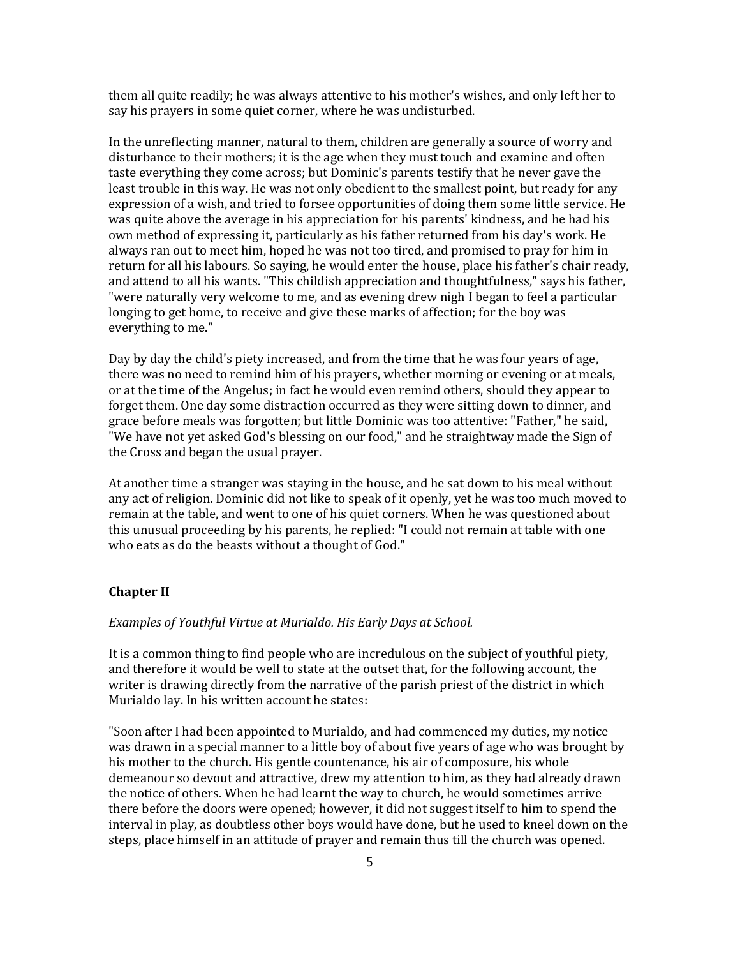them all quite readily; he was always attentive to his mother's wishes, and only left her to say his prayers in some quiet corner, where he was undisturbed.

In the unreflecting manner, natural to them, children are generally a source of worry and disturbance to their mothers; it is the age when they must touch and examine and often taste everything they come across; but Dominic's parents testify that he never gave the least trouble in this way. He was not only obedient to the smallest point, but ready for any expression of a wish, and tried to forsee opportunities of doing them some little service. He was quite above the average in his appreciation for his parents' kindness, and he had his own method of expressing it, particularly as his father returned from his day's work. He always ran out to meet him, hoped he was not too tired, and promised to pray for him in return for all his labours. So saying, he would enter the house, place his father's chair ready, and attend to all his wants. "This childish appreciation and thoughtfulness," says his father, "were naturally very welcome to me, and as evening drew nigh I began to feel a particular longing to get home, to receive and give these marks of affection; for the boy was everything to me."

Day by day the child's piety increased, and from the time that he was four years of age, there was no need to remind him of his prayers, whether morning or evening or at meals, or at the time of the Angelus; in fact he would even remind others, should they appear to forget them. One day some distraction occurred as they were sitting down to dinner, and grace before meals was forgotten; but little Dominic was too attentive: "Father," he said, "We have not yet asked God's blessing on our food," and he straightway made the Sign of the Cross and began the usual prayer.

At another time a stranger was staying in the house, and he sat down to his meal without any act of religion. Dominic did not like to speak of it openly, yet he was too much moved to remain at the table, and went to one of his quiet corners. When he was questioned about this unusual proceeding by his parents, he replied: "I could not remain at table with one who eats as do the beasts without a thought of God."

# Chapter II

#### Examples of Youthful Virtue at Murialdo. His Early Days at School.

It is a common thing to find people who are incredulous on the subject of youthful piety, and therefore it would be well to state at the outset that, for the following account, the writer is drawing directly from the narrative of the parish priest of the district in which Murialdo lay. In his written account he states:

"Soon after I had been appointed to Murialdo, and had commenced my duties, my notice was drawn in a special manner to a little boy of about five years of age who was brought by his mother to the church. His gentle countenance, his air of composure, his whole demeanour so devout and attractive, drew my attention to him, as they had already drawn the notice of others. When he had learnt the way to church, he would sometimes arrive there before the doors were opened; however, it did not suggest itself to him to spend the interval in play, as doubtless other boys would have done, but he used to kneel down on the steps, place himself in an attitude of prayer and remain thus till the church was opened.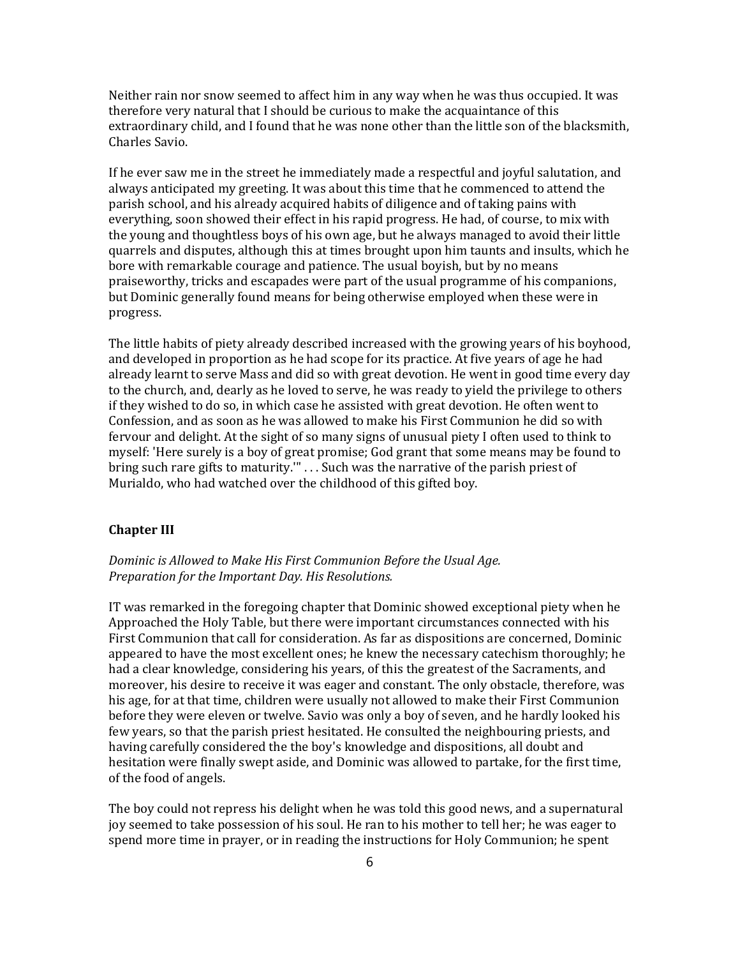Neither rain nor snow seemed to affect him in any way when he was thus occupied. It was therefore very natural that I should be curious to make the acquaintance of this extraordinary child, and I found that he was none other than the little son of the blacksmith, Charles Savio.

If he ever saw me in the street he immediately made a respectful and joyful salutation, and always anticipated my greeting. It was about this time that he commenced to attend the parish school, and his already acquired habits of diligence and of taking pains with everything, soon showed their effect in his rapid progress. He had, of course, to mix with the young and thoughtless boys of his own age, but he always managed to avoid their little quarrels and disputes, although this at times brought upon him taunts and insults, which he bore with remarkable courage and patience. The usual boyish, but by no means praiseworthy, tricks and escapades were part of the usual programme of his companions, but Dominic generally found means for being otherwise employed when these were in progress.

The little habits of piety already described increased with the growing years of his boyhood, and developed in proportion as he had scope for its practice. At five years of age he had already learnt to serve Mass and did so with great devotion. He went in good time every day to the church, and, dearly as he loved to serve, he was ready to yield the privilege to others if they wished to do so, in which case he assisted with great devotion. He often went to Confession, and as soon as he was allowed to make his First Communion he did so with fervour and delight. At the sight of so many signs of unusual piety I often used to think to myself: 'Here surely is a boy of great promise; God grant that some means may be found to bring such rare gifts to maturity.'" . . . Such was the narrative of the parish priest of Murialdo, who had watched over the childhood of this gifted boy.

#### Chapter III

Dominic is Allowed to Make His First Communion Before the Usual Age. Preparation for the Important Day. His Resolutions.

IT was remarked in the foregoing chapter that Dominic showed exceptional piety when he Approached the Holy Table, but there were important circumstances connected with his First Communion that call for consideration. As far as dispositions are concerned, Dominic appeared to have the most excellent ones; he knew the necessary catechism thoroughly; he had a clear knowledge, considering his years, of this the greatest of the Sacraments, and moreover, his desire to receive it was eager and constant. The only obstacle, therefore, was his age, for at that time, children were usually not allowed to make their First Communion before they were eleven or twelve. Savio was only a boy of seven, and he hardly looked his few years, so that the parish priest hesitated. He consulted the neighbouring priests, and having carefully considered the the boy's knowledge and dispositions, all doubt and hesitation were finally swept aside, and Dominic was allowed to partake, for the first time, of the food of angels.

The boy could not repress his delight when he was told this good news, and a supernatural joy seemed to take possession of his soul. He ran to his mother to tell her; he was eager to spend more time in prayer, or in reading the instructions for Holy Communion; he spent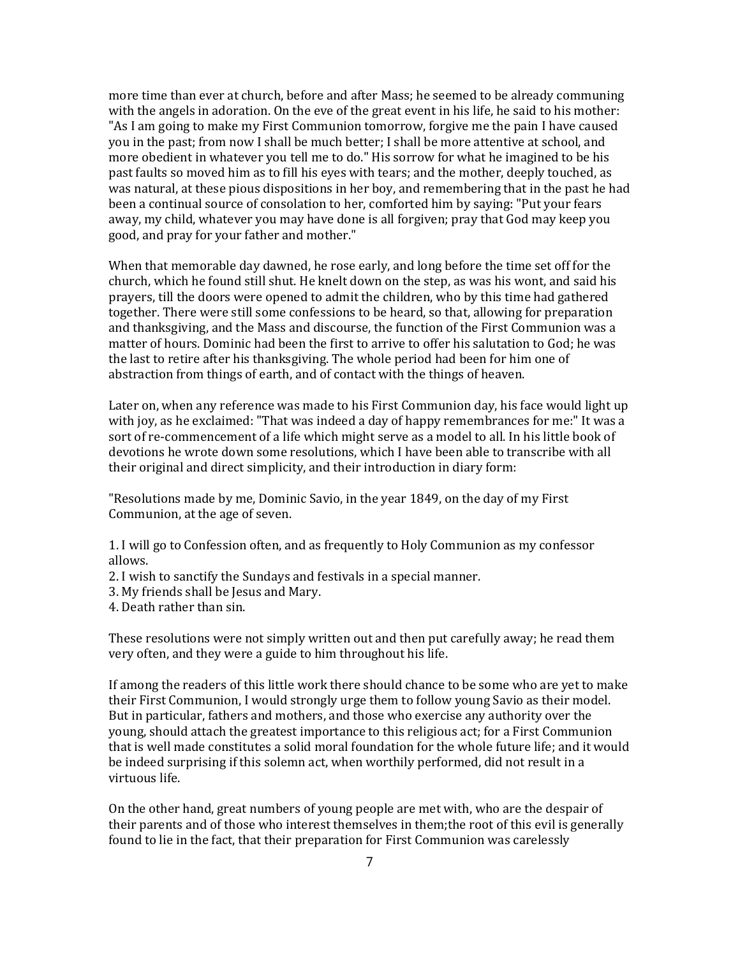more time than ever at church, before and after Mass; he seemed to be already communing with the angels in adoration. On the eve of the great event in his life, he said to his mother: "As I am going to make my First Communion tomorrow, forgive me the pain I have caused you in the past; from now I shall be much better; I shall be more attentive at school, and more obedient in whatever you tell me to do." His sorrow for what he imagined to be his past faults so moved him as to fill his eyes with tears; and the mother, deeply touched, as was natural, at these pious dispositions in her boy, and remembering that in the past he had been a continual source of consolation to her, comforted him by saying: "Put your fears away, my child, whatever you may have done is all forgiven; pray that God may keep you good, and pray for your father and mother."

When that memorable day dawned, he rose early, and long before the time set off for the church, which he found still shut. He knelt down on the step, as was his wont, and said his prayers, till the doors were opened to admit the children, who by this time had gathered together. There were still some confessions to be heard, so that, allowing for preparation and thanksgiving, and the Mass and discourse, the function of the First Communion was a matter of hours. Dominic had been the first to arrive to offer his salutation to God; he was the last to retire after his thanksgiving. The whole period had been for him one of abstraction from things of earth, and of contact with the things of heaven.

Later on, when any reference was made to his First Communion day, his face would light up with joy, as he exclaimed: "That was indeed a day of happy remembrances for me:" It was a sort of re-commencement of a life which might serve as a model to all. In his little book of devotions he wrote down some resolutions, which I have been able to transcribe with all their original and direct simplicity, and their introduction in diary form:

"Resolutions made by me, Dominic Savio, in the year 1849, on the day of my First Communion, at the age of seven.

1. I will go to Confession often, and as frequently to Holy Communion as my confessor allows.

- 2. I wish to sanctify the Sundays and festivals in a special manner.
- 3. My friends shall be Jesus and Mary.
- 4. Death rather than sin.

These resolutions were not simply written out and then put carefully away; he read them very often, and they were a guide to him throughout his life.

If among the readers of this little work there should chance to be some who are yet to make their First Communion, I would strongly urge them to follow young Savio as their model. But in particular, fathers and mothers, and those who exercise any authority over the young, should attach the greatest importance to this religious act; for a First Communion that is well made constitutes a solid moral foundation for the whole future life; and it would be indeed surprising if this solemn act, when worthily performed, did not result in a virtuous life.

On the other hand, great numbers of young people are met with, who are the despair of their parents and of those who interest themselves in them;the root of this evil is generally found to lie in the fact, that their preparation for First Communion was carelessly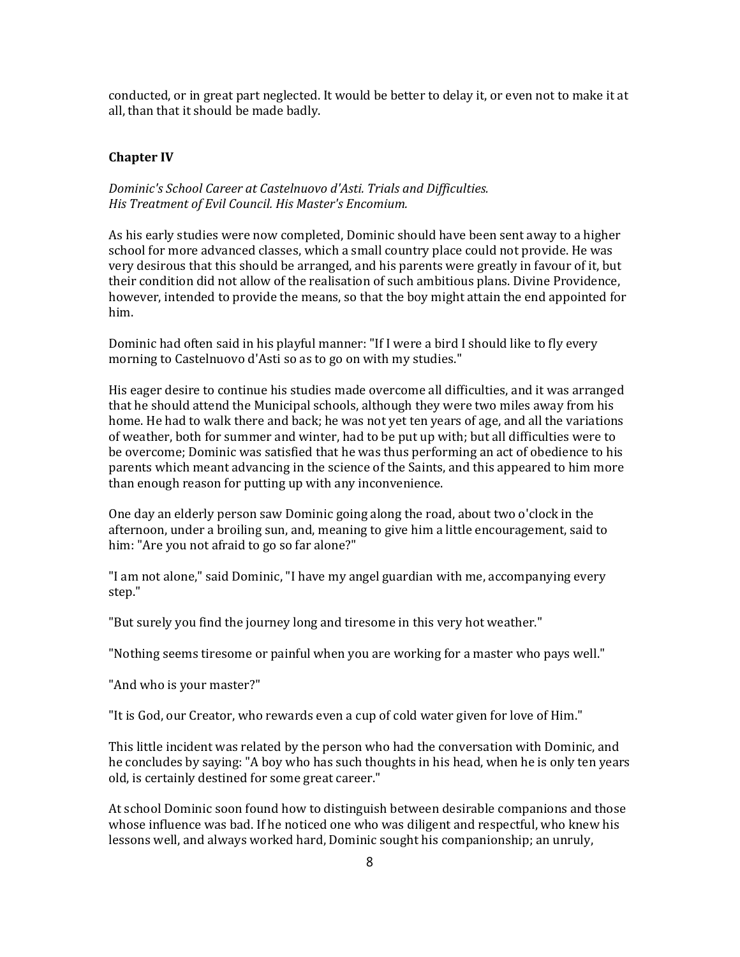conducted, or in great part neglected. It would be better to delay it, or even not to make it at all, than that it should be made badly.

### Chapter IV

Dominic's School Career at Castelnuovo d'Asti. Trials and Difficulties. His Treatment of Evil Council. His Master's Encomium.

As his early studies were now completed, Dominic should have been sent away to a higher school for more advanced classes, which a small country place could not provide. He was very desirous that this should be arranged, and his parents were greatly in favour of it, but their condition did not allow of the realisation of such ambitious plans. Divine Providence, however, intended to provide the means, so that the boy might attain the end appointed for him.

Dominic had often said in his playful manner: "If I were a bird I should like to fly every morning to Castelnuovo d'Asti so as to go on with my studies."

His eager desire to continue his studies made overcome all difficulties, and it was arranged that he should attend the Municipal schools, although they were two miles away from his home. He had to walk there and back; he was not yet ten years of age, and all the variations of weather, both for summer and winter, had to be put up with; but all difficulties were to be overcome; Dominic was satisfied that he was thus performing an act of obedience to his parents which meant advancing in the science of the Saints, and this appeared to him more than enough reason for putting up with any inconvenience.

One day an elderly person saw Dominic going along the road, about two o'clock in the afternoon, under a broiling sun, and, meaning to give him a little encouragement, said to him: "Are you not afraid to go so far alone?"

"I am not alone," said Dominic, "I have my angel guardian with me, accompanying every step."

"But surely you find the journey long and tiresome in this very hot weather."

"Nothing seems tiresome or painful when you are working for a master who pays well."

"And who is your master?"

"It is God, our Creator, who rewards even a cup of cold water given for love of Him."

This little incident was related by the person who had the conversation with Dominic, and he concludes by saying: "A boy who has such thoughts in his head, when he is only ten years old, is certainly destined for some great career."

At school Dominic soon found how to distinguish between desirable companions and those whose influence was bad. If he noticed one who was diligent and respectful, who knew his lessons well, and always worked hard, Dominic sought his companionship; an unruly,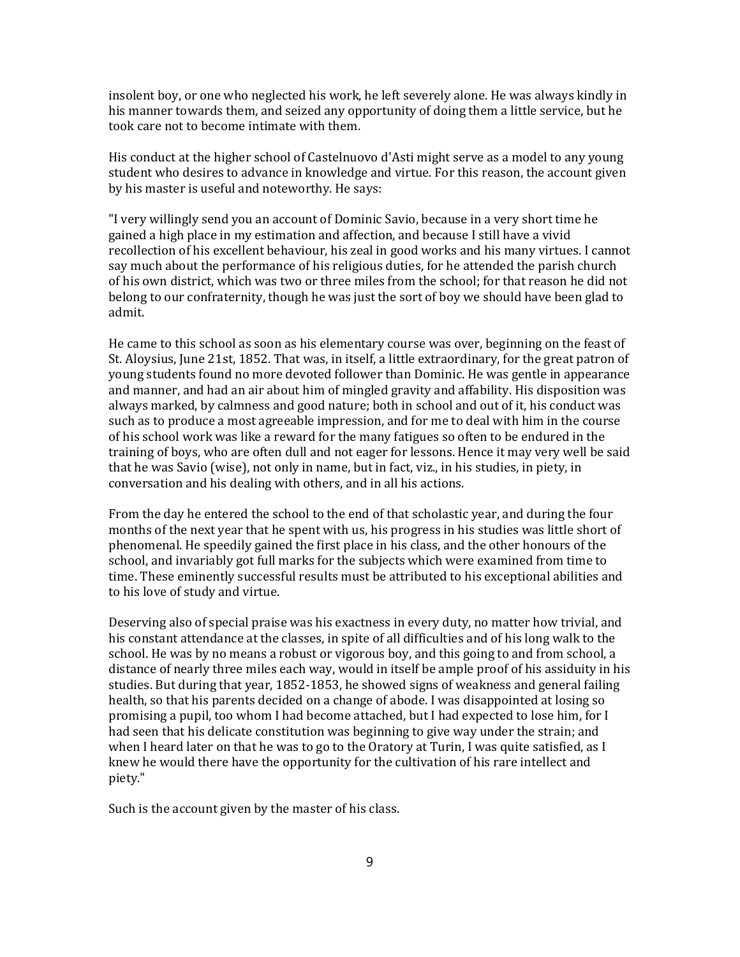insolent boy, or one who neglected his work, he left severely alone. He was always kindly in his manner towards them, and seized any opportunity of doing them a little service, but he took care not to become intimate with them.

His conduct at the higher school of Castelnuovo d'Asti might serve as a model to any young student who desires to advance in knowledge and virtue. For this reason, the account given by his master is useful and noteworthy. He says:

"I very willingly send you an account of Dominic Savio, because in a very short time he gained a high place in my estimation and affection, and because I still have a vivid recollection of his excellent behaviour, his zeal in good works and his many virtues. I cannot say much about the performance of his religious duties, for he attended the parish church of his own district, which was two or three miles from the school; for that reason he did not belong to our confraternity, though he was just the sort of boy we should have been glad to admit.

He came to this school as soon as his elementary course was over, beginning on the feast of St. Aloysius, June 21st, 1852. That was, in itself, a little extraordinary, for the great patron of young students found no more devoted follower than Dominic. He was gentle in appearance and manner, and had an air about him of mingled gravity and affability. His disposition was always marked, by calmness and good nature; both in school and out of it, his conduct was such as to produce a most agreeable impression, and for me to deal with him in the course of his school work was like a reward for the many fatigues so often to be endured in the training of boys, who are often dull and not eager for lessons. Hence it may very well be said that he was Savio (wise), not only in name, but in fact, viz., in his studies, in piety, in conversation and his dealing with others, and in all his actions.

From the day he entered the school to the end of that scholastic year, and during the four months of the next year that he spent with us, his progress in his studies was little short of phenomenal. He speedily gained the first place in his class, and the other honours of the school, and invariably got full marks for the subjects which were examined from time to time. These eminently successful results must be attributed to his exceptional abilities and to his love of study and virtue.

Deserving also of special praise was his exactness in every duty, no matter how trivial, and his constant attendance at the classes, in spite of all difficulties and of his long walk to the school. He was by no means a robust or vigorous boy, and this going to and from school, a distance of nearly three miles each way, would in itself be ample proof of his assiduity in his studies. But during that year, 1852-1853, he showed signs of weakness and general failing health, so that his parents decided on a change of abode. I was disappointed at losing so promising a pupil, too whom I had become attached, but I had expected to lose him, for I had seen that his delicate constitution was beginning to give way under the strain; and when I heard later on that he was to go to the Oratory at Turin, I was quite satisfied, as I knew he would there have the opportunity for the cultivation of his rare intellect and piety."

Such is the account given by the master of his class.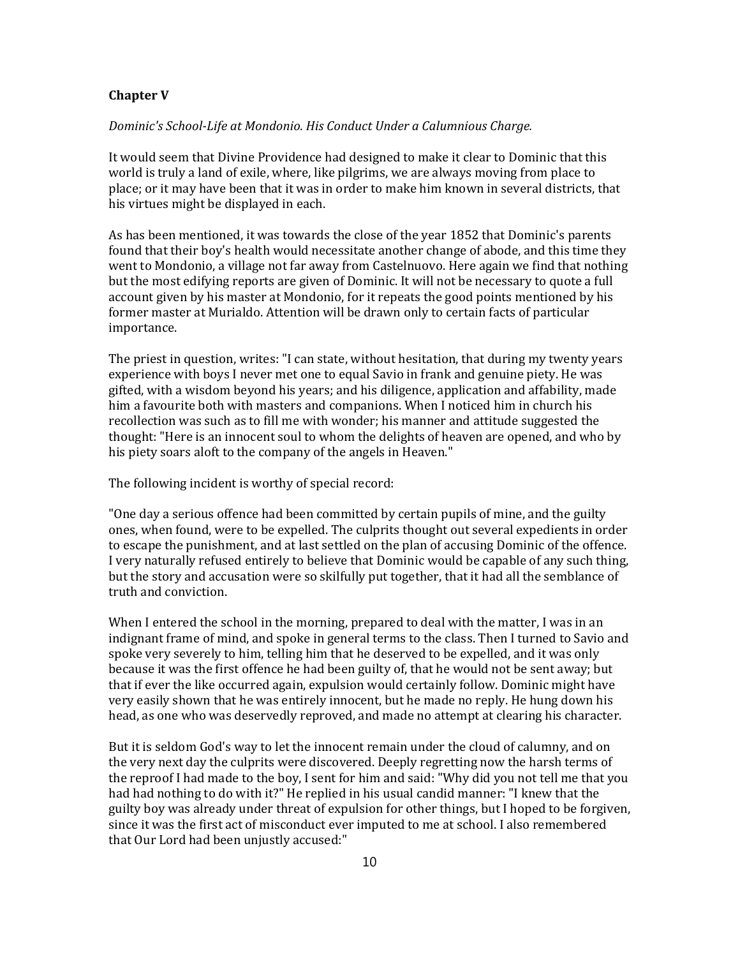### Chapter V

# Dominic's School-Life at Mondonio. His Conduct Under a Calumnious Charge.

It would seem that Divine Providence had designed to make it clear to Dominic that this world is truly a land of exile, where, like pilgrims, we are always moving from place to place; or it may have been that it was in order to make him known in several districts, that his virtues might be displayed in each.

As has been mentioned, it was towards the close of the year 1852 that Dominic's parents found that their boy's health would necessitate another change of abode, and this time they went to Mondonio, a village not far away from Castelnuovo. Here again we find that nothing but the most edifying reports are given of Dominic. It will not be necessary to quote a full account given by his master at Mondonio, for it repeats the good points mentioned by his former master at Murialdo. Attention will be drawn only to certain facts of particular importance.

The priest in question, writes: "I can state, without hesitation, that during my twenty years experience with boys I never met one to equal Savio in frank and genuine piety. He was gifted, with a wisdom beyond his years; and his diligence, application and affability, made him a favourite both with masters and companions. When I noticed him in church his recollection was such as to fill me with wonder; his manner and attitude suggested the thought: "Here is an innocent soul to whom the delights of heaven are opened, and who by his piety soars aloft to the company of the angels in Heaven."

The following incident is worthy of special record:

"One day a serious offence had been committed by certain pupils of mine, and the guilty ones, when found, were to be expelled. The culprits thought out several expedients in order to escape the punishment, and at last settled on the plan of accusing Dominic of the offence. I very naturally refused entirely to believe that Dominic would be capable of any such thing, but the story and accusation were so skilfully put together, that it had all the semblance of truth and conviction.

When I entered the school in the morning, prepared to deal with the matter, I was in an indignant frame of mind, and spoke in general terms to the class. Then I turned to Savio and spoke very severely to him, telling him that he deserved to be expelled, and it was only because it was the first offence he had been guilty of, that he would not be sent away; but that if ever the like occurred again, expulsion would certainly follow. Dominic might have very easily shown that he was entirely innocent, but he made no reply. He hung down his head, as one who was deservedly reproved, and made no attempt at clearing his character.

But it is seldom God's way to let the innocent remain under the cloud of calumny, and on the very next day the culprits were discovered. Deeply regretting now the harsh terms of the reproof I had made to the boy, I sent for him and said: "Why did you not tell me that you had had nothing to do with it?" He replied in his usual candid manner: "I knew that the guilty boy was already under threat of expulsion for other things, but I hoped to be forgiven, since it was the first act of misconduct ever imputed to me at school. I also remembered that Our Lord had been unjustly accused:"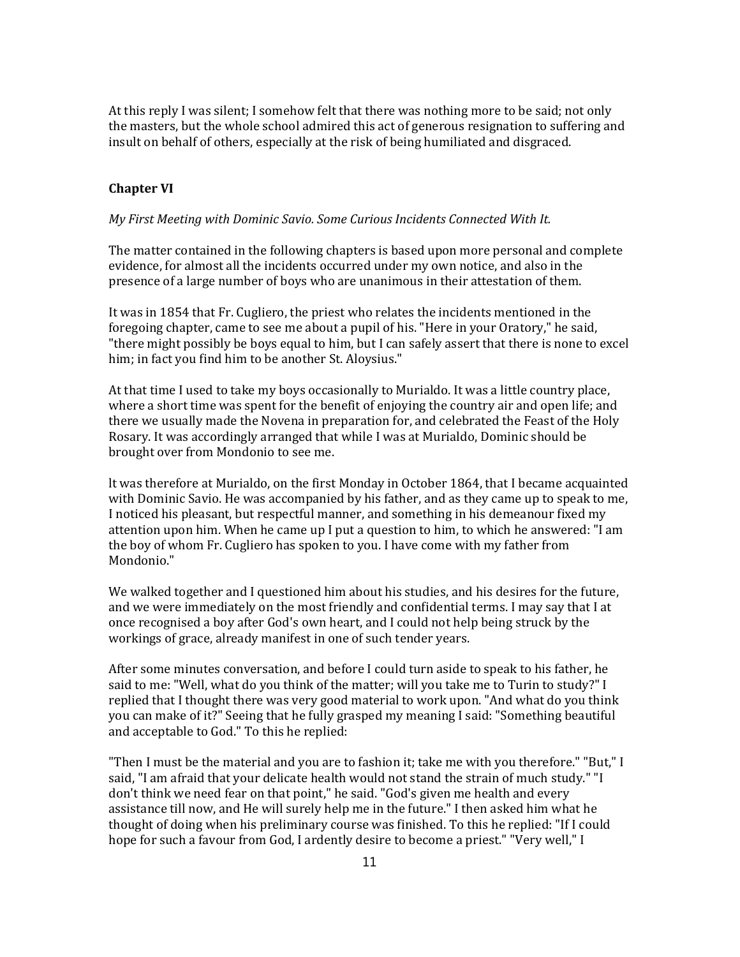At this reply I was silent; I somehow felt that there was nothing more to be said; not only the masters, but the whole school admired this act of generous resignation to suffering and insult on behalf of others, especially at the risk of being humiliated and disgraced.

# Chapter VI

#### My First Meeting with Dominic Savio. Some Curious Incidents Connected With It.

The matter contained in the following chapters is based upon more personal and complete evidence, for almost all the incidents occurred under my own notice, and also in the presence of a large number of boys who are unanimous in their attestation of them.

It was in 1854 that Fr. Cugliero, the priest who relates the incidents mentioned in the foregoing chapter, came to see me about a pupil of his. "Here in your Oratory," he said, "there might possibly be boys equal to him, but I can safely assert that there is none to excel him; in fact you find him to be another St. Aloysius."

At that time I used to take my boys occasionally to Murialdo. It was a little country place, where a short time was spent for the benefit of enjoying the country air and open life; and there we usually made the Novena in preparation for, and celebrated the Feast of the Holy Rosary. It was accordingly arranged that while I was at Murialdo, Dominic should be brought over from Mondonio to see me.

lt was therefore at Murialdo, on the first Monday in October 1864, that I became acquainted with Dominic Savio. He was accompanied by his father, and as they came up to speak to me, I noticed his pleasant, but respectful manner, and something in his demeanour fixed my attention upon him. When he came up I put a question to him, to which he answered: "I am the boy of whom Fr. Cugliero has spoken to you. I have come with my father from Mondonio."

We walked together and I questioned him about his studies, and his desires for the future, and we were immediately on the most friendly and confidential terms. I may say that I at once recognised a boy after God's own heart, and I could not help being struck by the workings of grace, already manifest in one of such tender years.

After some minutes conversation, and before I could turn aside to speak to his father, he said to me: "Well, what do you think of the matter; will you take me to Turin to study?" I replied that I thought there was very good material to work upon. "And what do you think you can make of it?" Seeing that he fully grasped my meaning I said: "Something beautiful and acceptable to God." To this he replied:

"Then I must be the material and you are to fashion it; take me with you therefore." "But," I said, "I am afraid that your delicate health would not stand the strain of much study." "I don't think we need fear on that point," he said. "God's given me health and every assistance till now, and He will surely help me in the future." I then asked him what he thought of doing when his preliminary course was finished. To this he replied: "If I could hope for such a favour from God, I ardently desire to become a priest." "Very well," I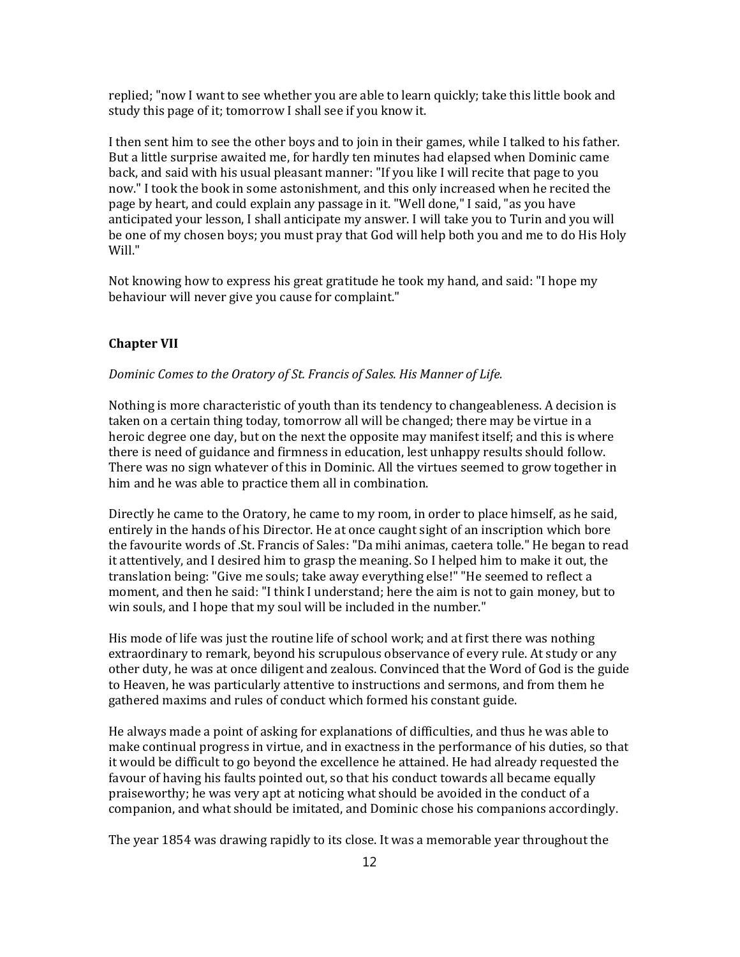replied; "now I want to see whether you are able to learn quickly; take this little book and study this page of it; tomorrow I shall see if you know it.

I then sent him to see the other boys and to join in their games, while I talked to his father. But a little surprise awaited me, for hardly ten minutes had elapsed when Dominic came back, and said with his usual pleasant manner: "If you like I will recite that page to you now." I took the book in some astonishment, and this only increased when he recited the page by heart, and could explain any passage in it. "Well done," I said, "as you have anticipated your lesson, I shall anticipate my answer. I will take you to Turin and you will be one of my chosen boys; you must pray that God will help both you and me to do His Holy Will."

Not knowing how to express his great gratitude he took my hand, and said: "I hope my behaviour will never give you cause for complaint."

#### Chapter VII

# Dominic Comes to the Oratory of St. Francis of Sales. His Manner of Life.

Nothing is more characteristic of youth than its tendency to changeableness. A decision is taken on a certain thing today, tomorrow all will be changed; there may be virtue in a heroic degree one day, but on the next the opposite may manifest itself; and this is where there is need of guidance and firmness in education, lest unhappy results should follow. There was no sign whatever of this in Dominic. All the virtues seemed to grow together in him and he was able to practice them all in combination.

Directly he came to the Oratory, he came to my room, in order to place himself, as he said, entirely in the hands of his Director. He at once caught sight of an inscription which bore the favourite words of .St. Francis of Sales: "Da mihi animas, caetera tolle." He began to read it attentively, and I desired him to grasp the meaning. So I helped him to make it out, the translation being: "Give me souls; take away everything else!" "He seemed to reflect a moment, and then he said: "I think I understand; here the aim is not to gain money, but to win souls, and I hope that my soul will be included in the number."

His mode of life was just the routine life of school work; and at first there was nothing extraordinary to remark, beyond his scrupulous observance of every rule. At study or any other duty, he was at once diligent and zealous. Convinced that the Word of God is the guide to Heaven, he was particularly attentive to instructions and sermons, and from them he gathered maxims and rules of conduct which formed his constant guide.

He always made a point of asking for explanations of difficulties, and thus he was able to make continual progress in virtue, and in exactness in the performance of his duties, so that it would be difficult to go beyond the excellence he attained. He had already requested the favour of having his faults pointed out, so that his conduct towards all became equally praiseworthy; he was very apt at noticing what should be avoided in the conduct of a companion, and what should be imitated, and Dominic chose his companions accordingly.

The year 1854 was drawing rapidly to its close. It was a memorable year throughout the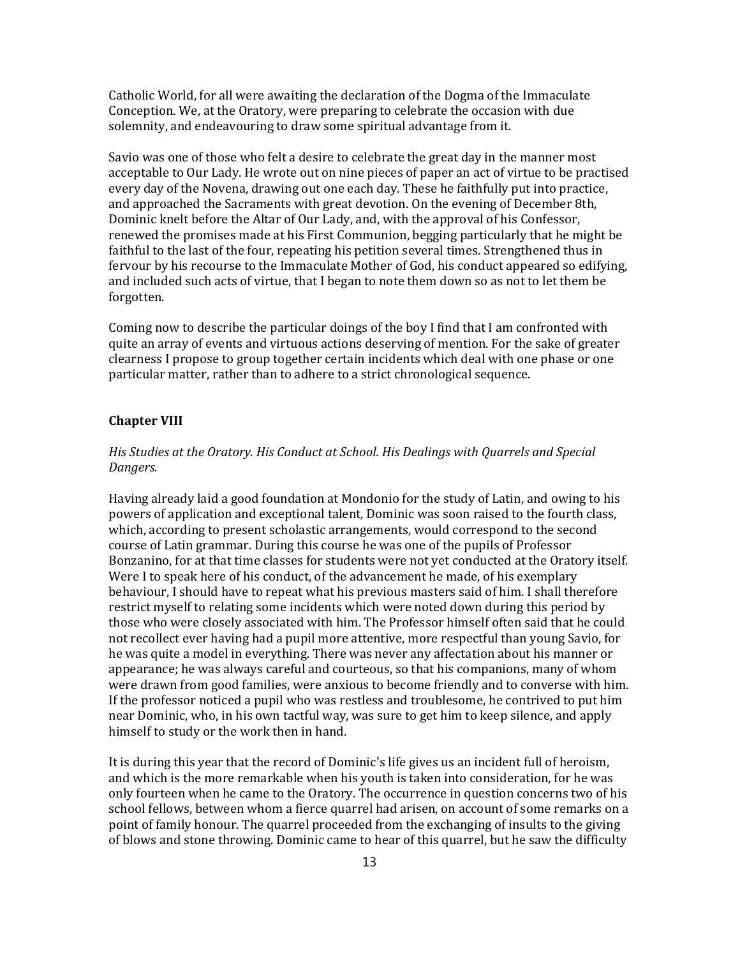Catholic World, for all were awaiting the declaration of the Dogma of the Immaculate Conception. We, at the Oratory, were preparing to celebrate the occasion with due solemnity, and endeavouring to draw some spiritual advantage from it.

Savio was one of those who felt a desire to celebrate the great day in the manner most acceptable to Our Lady. He wrote out on nine pieces of paper an act of virtue to be practised every day of the Novena, drawing out one each day. These he faithfully put into practice, and approached the Sacraments with great devotion. On the evening of December 8th, Dominic knelt before the Altar of Our Lady, and, with the approval of his Confessor, renewed the promises made at his First Communion, begging particularly that he might be faithful to the last of the four, repeating his petition several times. Strengthened thus in fervour by his recourse to the Immaculate Mother of God, his conduct appeared so edifying, and included such acts of virtue, that I began to note them down so as not to let them be forgotten.

Coming now to describe the particular doings of the boy I find that I am confronted with quite an array of events and virtuous actions deserving of mention. For the sake of greater clearness I propose to group together certain incidents which deal with one phase or one particular matter, rather than to adhere to a strict chronological sequence.

#### Chapter VIII

# His Studies at the Oratory. His Conduct at School. His Dealings with Quarrels and Special Dangers.

Having already laid a good foundation at Mondonio for the study of Latin, and owing to his powers of application and exceptional talent, Dominic was soon raised to the fourth class, which, according to present scholastic arrangements, would correspond to the second course of Latin grammar. During this course he was one of the pupils of Professor Bonzanino, for at that time classes for students were not yet conducted at the Oratory itself. Were I to speak here of his conduct, of the advancement he made, of his exemplary behaviour, I should have to repeat what his previous masters said of him. I shall therefore restrict myself to relating some incidents which were noted down during this period by those who were closely associated with him. The Professor himself often said that he could not recollect ever having had a pupil more attentive, more respectful than young Savio, for he was quite a model in everything. There was never any affectation about his manner or appearance; he was always careful and courteous, so that his companions, many of whom were drawn from good families, were anxious to become friendly and to converse with him. If the professor noticed a pupil who was restless and troublesome, he contrived to put him near Dominic, who, in his own tactful way, was sure to get him to keep silence, and apply himself to study or the work then in hand.

It is during this year that the record of Dominic's life gives us an incident full of heroism, and which is the more remarkable when his youth is taken into consideration, for he was only fourteen when he came to the Oratory. The occurrence in question concerns two of his school fellows, between whom a fierce quarrel had arisen, on account of some remarks on a point of family honour. The quarrel proceeded from the exchanging of insults to the giving of blows and stone throwing. Dominic came to hear of this quarrel, but he saw the difficulty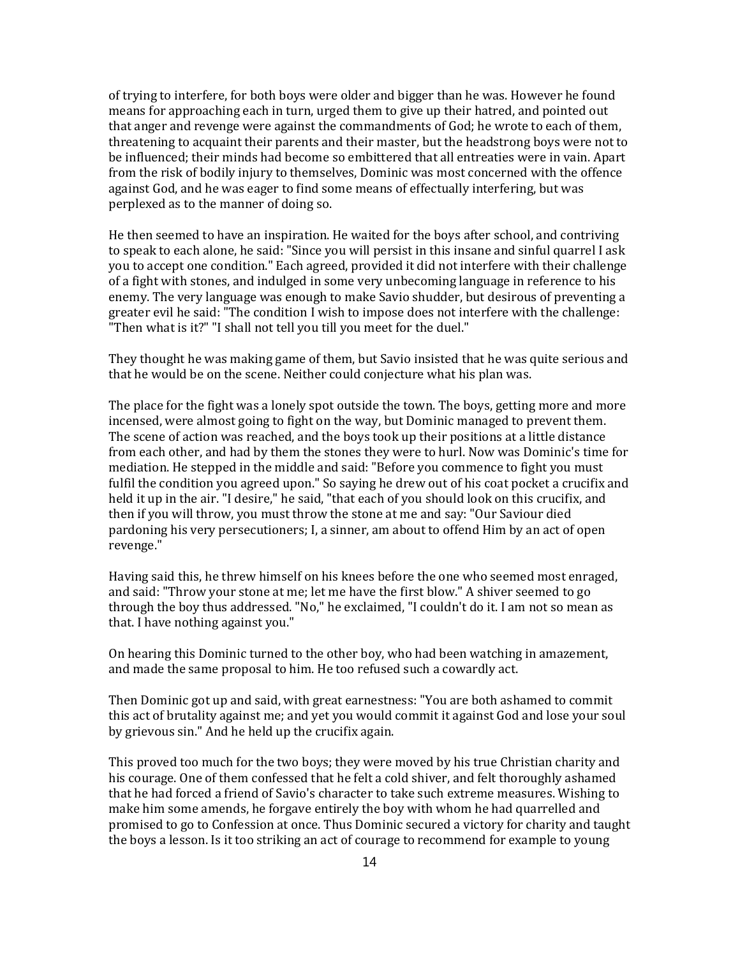of trying to interfere, for both boys were older and bigger than he was. However he found means for approaching each in turn, urged them to give up their hatred, and pointed out that anger and revenge were against the commandments of God; he wrote to each of them, threatening to acquaint their parents and their master, but the headstrong boys were not to be influenced; their minds had become so embittered that all entreaties were in vain. Apart from the risk of bodily injury to themselves, Dominic was most concerned with the offence against God, and he was eager to find some means of effectually interfering, but was perplexed as to the manner of doing so.

He then seemed to have an inspiration. He waited for the boys after school, and contriving to speak to each alone, he said: "Since you will persist in this insane and sinful quarrel I ask you to accept one condition." Each agreed, provided it did not interfere with their challenge of a fight with stones, and indulged in some very unbecoming language in reference to his enemy. The very language was enough to make Savio shudder, but desirous of preventing a greater evil he said: "The condition I wish to impose does not interfere with the challenge: "Then what is it?" "I shall not tell you till you meet for the duel."

They thought he was making game of them, but Savio insisted that he was quite serious and that he would be on the scene. Neither could conjecture what his plan was.

The place for the fight was a lonely spot outside the town. The boys, getting more and more incensed, were almost going to fight on the way, but Dominic managed to prevent them. The scene of action was reached, and the boys took up their positions at a little distance from each other, and had by them the stones they were to hurl. Now was Dominic's time for mediation. He stepped in the middle and said: "Before you commence to fight you must fulfil the condition you agreed upon." So saying he drew out of his coat pocket a crucifix and held it up in the air. "I desire," he said, "that each of you should look on this crucifix, and then if you will throw, you must throw the stone at me and say: "Our Saviour died pardoning his very persecutioners; I, a sinner, am about to offend Him by an act of open revenge."

Having said this, he threw himself on his knees before the one who seemed most enraged, and said: "Throw your stone at me; let me have the first blow." A shiver seemed to go through the boy thus addressed. "No," he exclaimed, "I couldn't do it. I am not so mean as that. I have nothing against you."

On hearing this Dominic turned to the other boy, who had been watching in amazement, and made the same proposal to him. He too refused such a cowardly act.

Then Dominic got up and said, with great earnestness: "You are both ashamed to commit this act of brutality against me; and yet you would commit it against God and lose your soul by grievous sin." And he held up the crucifix again.

This proved too much for the two boys; they were moved by his true Christian charity and his courage. One of them confessed that he felt a cold shiver, and felt thoroughly ashamed that he had forced a friend of Savio's character to take such extreme measures. Wishing to make him some amends, he forgave entirely the boy with whom he had quarrelled and promised to go to Confession at once. Thus Dominic secured a victory for charity and taught the boys a lesson. Is it too striking an act of courage to recommend for example to young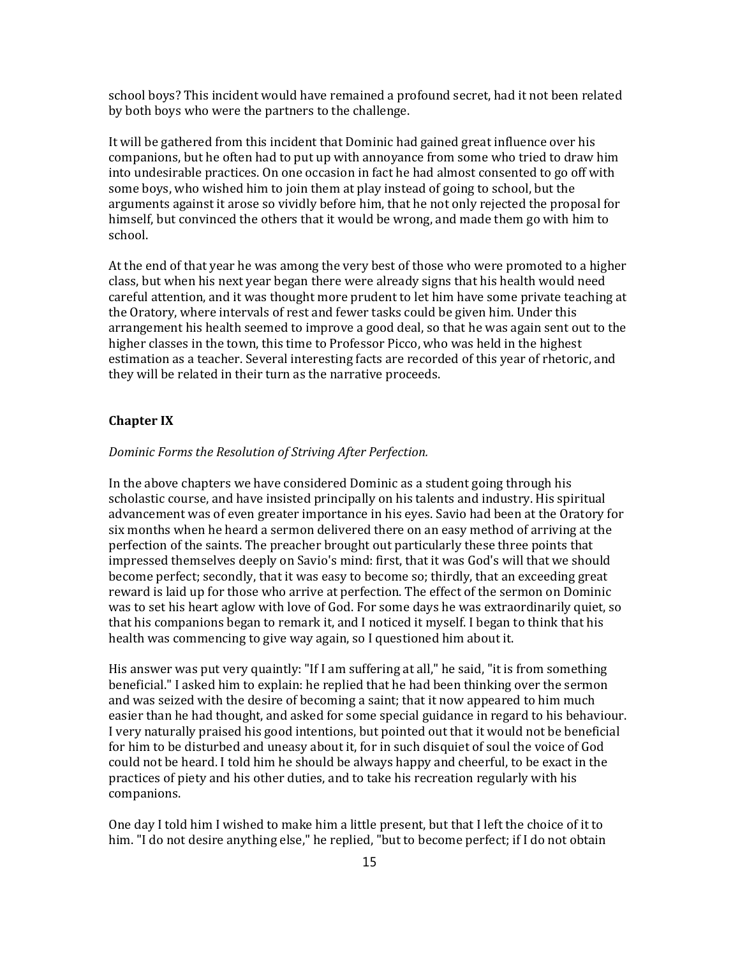school boys? This incident would have remained a profound secret, had it not been related by both boys who were the partners to the challenge.

It will be gathered from this incident that Dominic had gained great influence over his companions, but he often had to put up with annoyance from some who tried to draw him into undesirable practices. On one occasion in fact he had almost consented to go off with some boys, who wished him to join them at play instead of going to school, but the arguments against it arose so vividly before him, that he not only rejected the proposal for himself, but convinced the others that it would be wrong, and made them go with him to school.

At the end of that year he was among the very best of those who were promoted to a higher class, but when his next year began there were already signs that his health would need careful attention, and it was thought more prudent to let him have some private teaching at the Oratory, where intervals of rest and fewer tasks could be given him. Under this arrangement his health seemed to improve a good deal, so that he was again sent out to the higher classes in the town, this time to Professor Picco, who was held in the highest estimation as a teacher. Several interesting facts are recorded of this year of rhetoric, and they will be related in their turn as the narrative proceeds.

#### Chapter IX

#### Dominic Forms the Resolution of Striving After Perfection.

In the above chapters we have considered Dominic as a student going through his scholastic course, and have insisted principally on his talents and industry. His spiritual advancement was of even greater importance in his eyes. Savio had been at the Oratory for six months when he heard a sermon delivered there on an easy method of arriving at the perfection of the saints. The preacher brought out particularly these three points that impressed themselves deeply on Savio's mind: first, that it was God's will that we should become perfect; secondly, that it was easy to become so; thirdly, that an exceeding great reward is laid up for those who arrive at perfection. The effect of the sermon on Dominic was to set his heart aglow with love of God. For some days he was extraordinarily quiet, so that his companions began to remark it, and I noticed it myself. I began to think that his health was commencing to give way again, so I questioned him about it.

His answer was put very quaintly: "If I am suffering at all," he said, "it is from something beneficial." I asked him to explain: he replied that he had been thinking over the sermon and was seized with the desire of becoming a saint; that it now appeared to him much easier than he had thought, and asked for some special guidance in regard to his behaviour. I very naturally praised his good intentions, but pointed out that it would not be beneficial for him to be disturbed and uneasy about it, for in such disquiet of soul the voice of God could not be heard. I told him he should be always happy and cheerful, to be exact in the practices of piety and his other duties, and to take his recreation regularly with his companions.

One day I told him I wished to make him a little present, but that I left the choice of it to him. "I do not desire anything else," he replied, "but to become perfect; if I do not obtain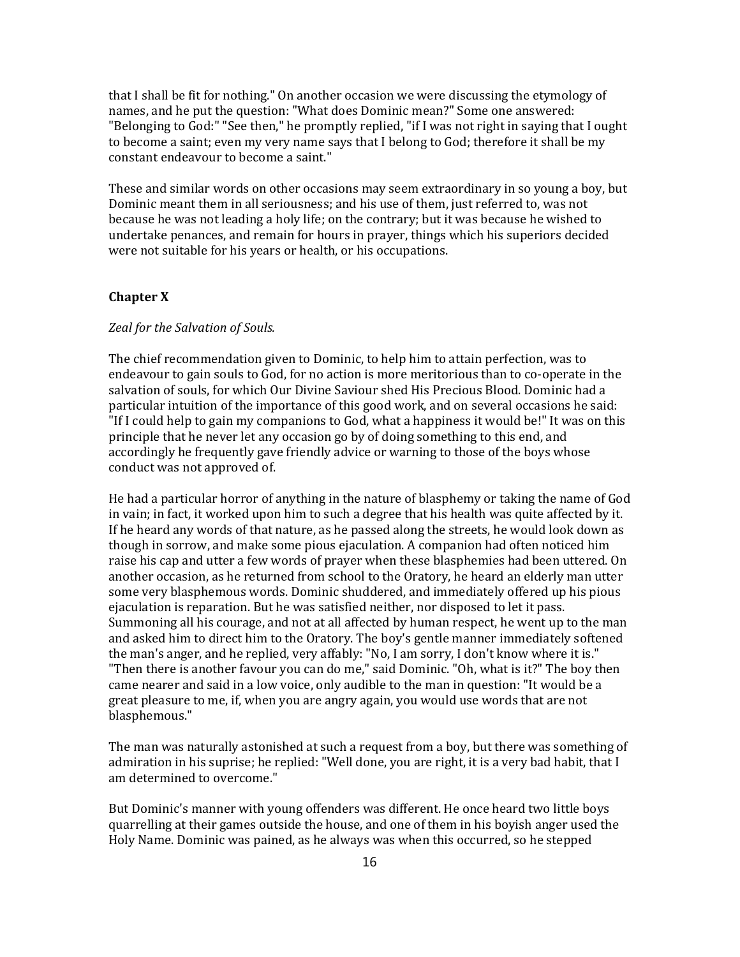that I shall be fit for nothing." On another occasion we were discussing the etymology of names, and he put the question: "What does Dominic mean?" Some one answered: "Belonging to God:" "See then," he promptly replied, "if I was not right in saying that I ought to become a saint; even my very name says that I belong to God; therefore it shall be my constant endeavour to become a saint."

These and similar words on other occasions may seem extraordinary in so young a boy, but Dominic meant them in all seriousness; and his use of them, just referred to, was not because he was not leading a holy life; on the contrary; but it was because he wished to undertake penances, and remain for hours in prayer, things which his superiors decided were not suitable for his years or health, or his occupations.

#### Chapter X

#### Zeal for the Salvation of Souls.

The chief recommendation given to Dominic, to help him to attain perfection, was to endeavour to gain souls to God, for no action is more meritorious than to co-operate in the salvation of souls, for which Our Divine Saviour shed His Precious Blood. Dominic had a particular intuition of the importance of this good work, and on several occasions he said: "If I could help to gain my companions to God, what a happiness it would be!" It was on this principle that he never let any occasion go by of doing something to this end, and accordingly he frequently gave friendly advice or warning to those of the boys whose conduct was not approved of.

He had a particular horror of anything in the nature of blasphemy or taking the name of God in vain; in fact, it worked upon him to such a degree that his health was quite affected by it. If he heard any words of that nature, as he passed along the streets, he would look down as though in sorrow, and make some pious ejaculation. A companion had often noticed him raise his cap and utter a few words of prayer when these blasphemies had been uttered. On another occasion, as he returned from school to the Oratory, he heard an elderly man utter some very blasphemous words. Dominic shuddered, and immediately offered up his pious ejaculation is reparation. But he was satisfied neither, nor disposed to let it pass. Summoning all his courage, and not at all affected by human respect, he went up to the man and asked him to direct him to the Oratory. The boy's gentle manner immediately softened the man's anger, and he replied, very affably: "No, I am sorry, I don't know where it is." "Then there is another favour you can do me," said Dominic. "Oh, what is it?" The boy then came nearer and said in a low voice, only audible to the man in question: "It would be a great pleasure to me, if, when you are angry again, you would use words that are not blasphemous."

The man was naturally astonished at such a request from a boy, but there was something of admiration in his suprise; he replied: "Well done, you are right, it is a very bad habit, that I am determined to overcome."

But Dominic's manner with young offenders was different. He once heard two little boys quarrelling at their games outside the house, and one of them in his boyish anger used the Holy Name. Dominic was pained, as he always was when this occurred, so he stepped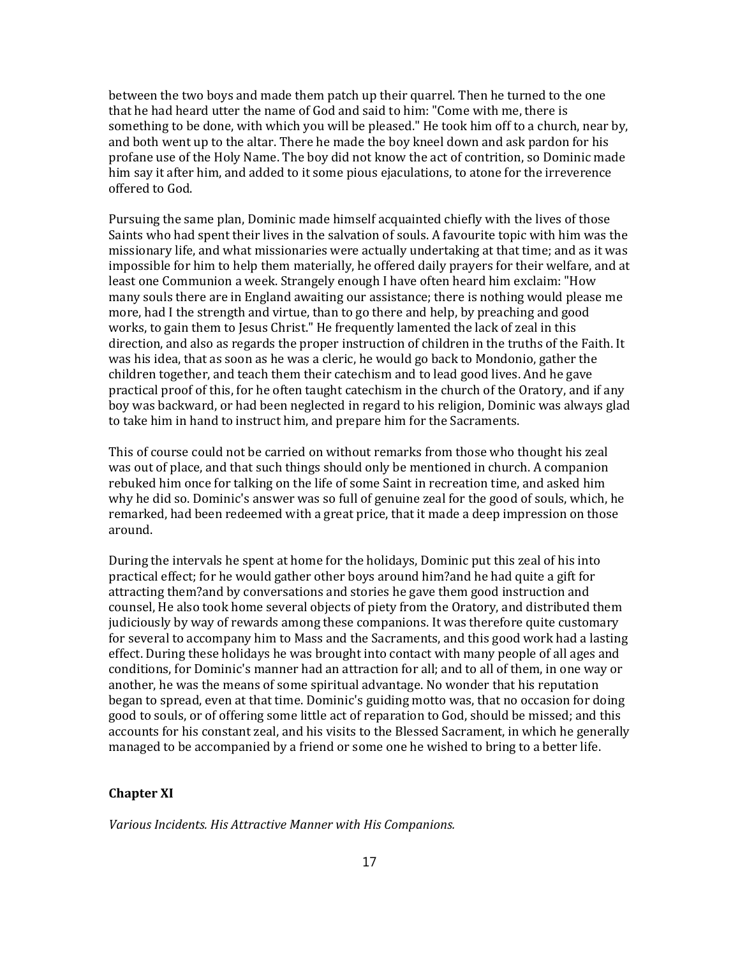between the two boys and made them patch up their quarrel. Then he turned to the one that he had heard utter the name of God and said to him: "Come with me, there is something to be done, with which you will be pleased." He took him off to a church, near by, and both went up to the altar. There he made the boy kneel down and ask pardon for his profane use of the Holy Name. The boy did not know the act of contrition, so Dominic made him say it after him, and added to it some pious ejaculations, to atone for the irreverence offered to God.

Pursuing the same plan, Dominic made himself acquainted chiefly with the lives of those Saints who had spent their lives in the salvation of souls. A favourite topic with him was the missionary life, and what missionaries were actually undertaking at that time; and as it was impossible for him to help them materially, he offered daily prayers for their welfare, and at least one Communion a week. Strangely enough I have often heard him exclaim: "How many souls there are in England awaiting our assistance; there is nothing would please me more, had I the strength and virtue, than to go there and help, by preaching and good works, to gain them to Jesus Christ." He frequently lamented the lack of zeal in this direction, and also as regards the proper instruction of children in the truths of the Faith. It was his idea, that as soon as he was a cleric, he would go back to Mondonio, gather the children together, and teach them their catechism and to lead good lives. And he gave practical proof of this, for he often taught catechism in the church of the Oratory, and if any boy was backward, or had been neglected in regard to his religion, Dominic was always glad to take him in hand to instruct him, and prepare him for the Sacraments.

This of course could not be carried on without remarks from those who thought his zeal was out of place, and that such things should only be mentioned in church. A companion rebuked him once for talking on the life of some Saint in recreation time, and asked him why he did so. Dominic's answer was so full of genuine zeal for the good of souls, which, he remarked, had been redeemed with a great price, that it made a deep impression on those around.

During the intervals he spent at home for the holidays, Dominic put this zeal of his into practical effect; for he would gather other boys around him?and he had quite a gift for attracting them?and by conversations and stories he gave them good instruction and counsel, He also took home several objects of piety from the Oratory, and distributed them judiciously by way of rewards among these companions. It was therefore quite customary for several to accompany him to Mass and the Sacraments, and this good work had a lasting effect. During these holidays he was brought into contact with many people of all ages and conditions, for Dominic's manner had an attraction for all; and to all of them, in one way or another, he was the means of some spiritual advantage. No wonder that his reputation began to spread, even at that time. Dominic's guiding motto was, that no occasion for doing good to souls, or of offering some little act of reparation to God, should be missed; and this accounts for his constant zeal, and his visits to the Blessed Sacrament, in which he generally managed to be accompanied by a friend or some one he wished to bring to a better life.

#### Chapter XI

Various Incidents. His Attractive Manner with His Companions.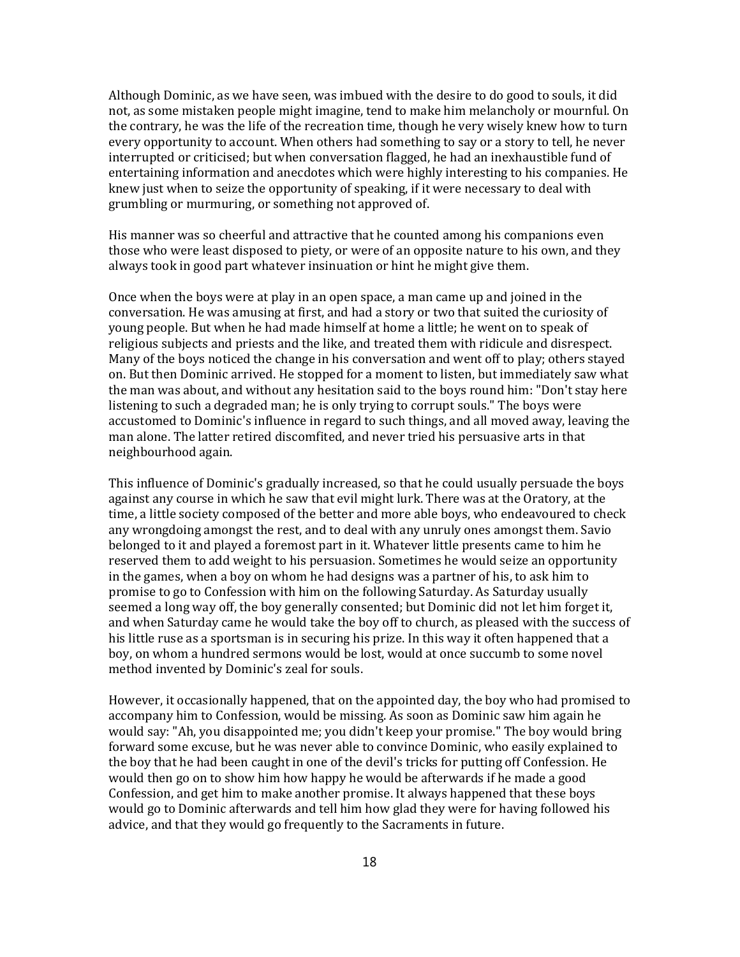Although Dominic, as we have seen, was imbued with the desire to do good to souls, it did not, as some mistaken people might imagine, tend to make him melancholy or mournful. On the contrary, he was the life of the recreation time, though he very wisely knew how to turn every opportunity to account. When others had something to say or a story to tell, he never interrupted or criticised; but when conversation flagged, he had an inexhaustible fund of entertaining information and anecdotes which were highly interesting to his companies. He knew just when to seize the opportunity of speaking, if it were necessary to deal with grumbling or murmuring, or something not approved of.

His manner was so cheerful and attractive that he counted among his companions even those who were least disposed to piety, or were of an opposite nature to his own, and they always took in good part whatever insinuation or hint he might give them.

Once when the boys were at play in an open space, a man came up and joined in the conversation. He was amusing at first, and had a story or two that suited the curiosity of young people. But when he had made himself at home a little; he went on to speak of religious subjects and priests and the like, and treated them with ridicule and disrespect. Many of the boys noticed the change in his conversation and went off to play; others stayed on. But then Dominic arrived. He stopped for a moment to listen, but immediately saw what the man was about, and without any hesitation said to the boys round him: "Don't stay here listening to such a degraded man; he is only trying to corrupt souls." The boys were accustomed to Dominic's influence in regard to such things, and all moved away, leaving the man alone. The latter retired discomfited, and never tried his persuasive arts in that neighbourhood again.

This influence of Dominic's gradually increased, so that he could usually persuade the boys against any course in which he saw that evil might lurk. There was at the Oratory, at the time, a little society composed of the better and more able boys, who endeavoured to check any wrongdoing amongst the rest, and to deal with any unruly ones amongst them. Savio belonged to it and played a foremost part in it. Whatever little presents came to him he reserved them to add weight to his persuasion. Sometimes he would seize an opportunity in the games, when a boy on whom he had designs was a partner of his, to ask him to promise to go to Confession with him on the following Saturday. As Saturday usually seemed a long way off, the boy generally consented; but Dominic did not let him forget it, and when Saturday came he would take the boy off to church, as pleased with the success of his little ruse as a sportsman is in securing his prize. In this way it often happened that a boy, on whom a hundred sermons would be lost, would at once succumb to some novel method invented by Dominic's zeal for souls.

However, it occasionally happened, that on the appointed day, the boy who had promised to accompany him to Confession, would be missing. As soon as Dominic saw him again he would say: "Ah, you disappointed me; you didn't keep your promise." The boy would bring forward some excuse, but he was never able to convince Dominic, who easily explained to the boy that he had been caught in one of the devil's tricks for putting off Confession. He would then go on to show him how happy he would be afterwards if he made a good Confession, and get him to make another promise. It always happened that these boys would go to Dominic afterwards and tell him how glad they were for having followed his advice, and that they would go frequently to the Sacraments in future.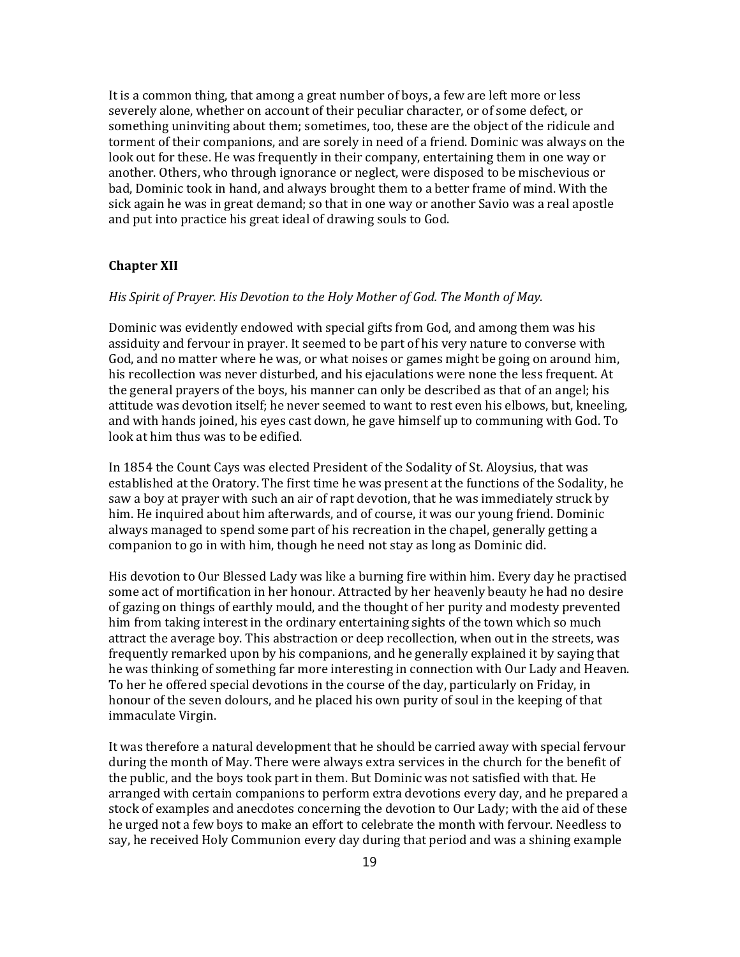It is a common thing, that among a great number of boys, a few are left more or less severely alone, whether on account of their peculiar character, or of some defect, or something uninviting about them; sometimes, too, these are the object of the ridicule and torment of their companions, and are sorely in need of a friend. Dominic was always on the look out for these. He was frequently in their company, entertaining them in one way or another. Others, who through ignorance or neglect, were disposed to be mischevious or bad, Dominic took in hand, and always brought them to a better frame of mind. With the sick again he was in great demand; so that in one way or another Savio was a real apostle and put into practice his great ideal of drawing souls to God.

# Chapter XII

#### His Spirit of Prayer. His Devotion to the Holy Mother of God. The Month of May.

Dominic was evidently endowed with special gifts from God, and among them was his assiduity and fervour in prayer. It seemed to be part of his very nature to converse with God, and no matter where he was, or what noises or games might be going on around him, his recollection was never disturbed, and his ejaculations were none the less frequent. At the general prayers of the boys, his manner can only be described as that of an angel; his attitude was devotion itself; he never seemed to want to rest even his elbows, but, kneeling, and with hands joined, his eyes cast down, he gave himself up to communing with God. To look at him thus was to be edified.

In 1854 the Count Cays was elected President of the Sodality of St. Aloysius, that was established at the Oratory. The first time he was present at the functions of the Sodality, he saw a boy at prayer with such an air of rapt devotion, that he was immediately struck by him. He inquired about him afterwards, and of course, it was our young friend. Dominic always managed to spend some part of his recreation in the chapel, generally getting a companion to go in with him, though he need not stay as long as Dominic did.

His devotion to Our Blessed Lady was like a burning fire within him. Every day he practised some act of mortification in her honour. Attracted by her heavenly beauty he had no desire of gazing on things of earthly mould, and the thought of her purity and modesty prevented him from taking interest in the ordinary entertaining sights of the town which so much attract the average boy. This abstraction or deep recollection, when out in the streets, was frequently remarked upon by his companions, and he generally explained it by saying that he was thinking of something far more interesting in connection with Our Lady and Heaven. To her he offered special devotions in the course of the day, particularly on Friday, in honour of the seven dolours, and he placed his own purity of soul in the keeping of that immaculate Virgin.

It was therefore a natural development that he should be carried away with special fervour during the month of May. There were always extra services in the church for the benefit of the public, and the boys took part in them. But Dominic was not satisfied with that. He arranged with certain companions to perform extra devotions every day, and he prepared a stock of examples and anecdotes concerning the devotion to Our Lady; with the aid of these he urged not a few boys to make an effort to celebrate the month with fervour. Needless to say, he received Holy Communion every day during that period and was a shining example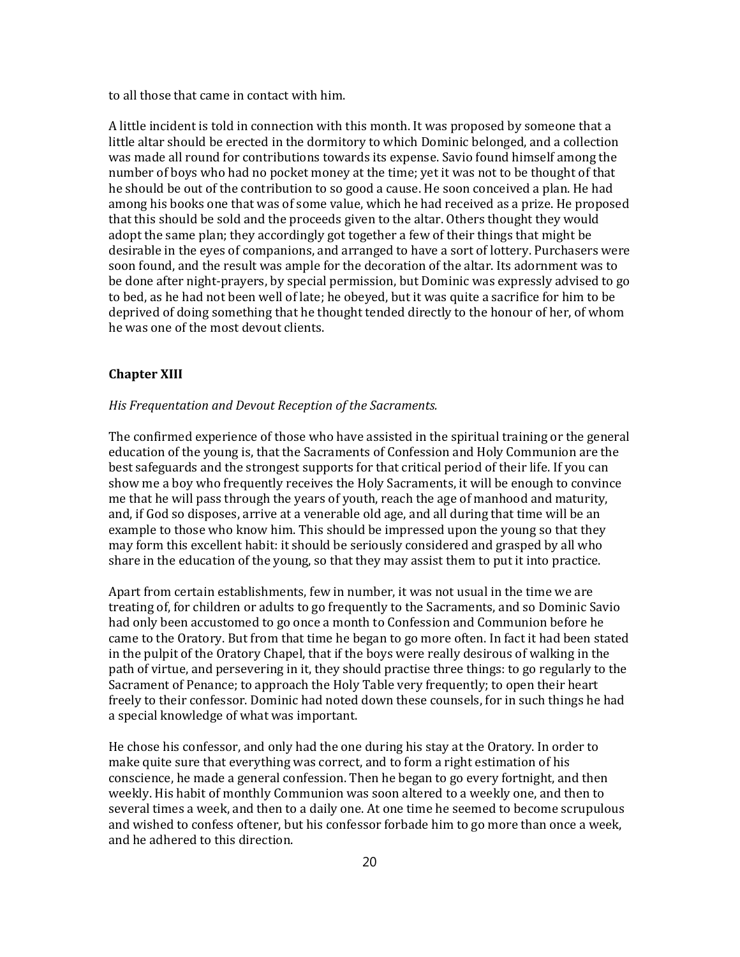to all those that came in contact with him.

A little incident is told in connection with this month. It was proposed by someone that a little altar should be erected in the dormitory to which Dominic belonged, and a collection was made all round for contributions towards its expense. Savio found himself among the number of boys who had no pocket money at the time; yet it was not to be thought of that he should be out of the contribution to so good a cause. He soon conceived a plan. He had among his books one that was of some value, which he had received as a prize. He proposed that this should be sold and the proceeds given to the altar. Others thought they would adopt the same plan; they accordingly got together a few of their things that might be desirable in the eyes of companions, and arranged to have a sort of lottery. Purchasers were soon found, and the result was ample for the decoration of the altar. Its adornment was to be done after night-prayers, by special permission, but Dominic was expressly advised to go to bed, as he had not been well of late; he obeyed, but it was quite a sacrifice for him to be deprived of doing something that he thought tended directly to the honour of her, of whom he was one of the most devout clients.

#### Chapter XIII

#### His Frequentation and Devout Reception of the Sacraments.

The confirmed experience of those who have assisted in the spiritual training or the general education of the young is, that the Sacraments of Confession and Holy Communion are the best safeguards and the strongest supports for that critical period of their life. If you can show me a boy who frequently receives the Holy Sacraments, it will be enough to convince me that he will pass through the years of youth, reach the age of manhood and maturity, and, if God so disposes, arrive at a venerable old age, and all during that time will be an example to those who know him. This should be impressed upon the young so that they may form this excellent habit: it should be seriously considered and grasped by all who share in the education of the young, so that they may assist them to put it into practice.

Apart from certain establishments, few in number, it was not usual in the time we are treating of, for children or adults to go frequently to the Sacraments, and so Dominic Savio had only been accustomed to go once a month to Confession and Communion before he came to the Oratory. But from that time he began to go more often. In fact it had been stated in the pulpit of the Oratory Chapel, that if the boys were really desirous of walking in the path of virtue, and persevering in it, they should practise three things: to go regularly to the Sacrament of Penance; to approach the Holy Table very frequently; to open their heart freely to their confessor. Dominic had noted down these counsels, for in such things he had a special knowledge of what was important.

He chose his confessor, and only had the one during his stay at the Oratory. In order to make quite sure that everything was correct, and to form a right estimation of his conscience, he made a general confession. Then he began to go every fortnight, and then weekly. His habit of monthly Communion was soon altered to a weekly one, and then to several times a week, and then to a daily one. At one time he seemed to become scrupulous and wished to confess oftener, but his confessor forbade him to go more than once a week, and he adhered to this direction.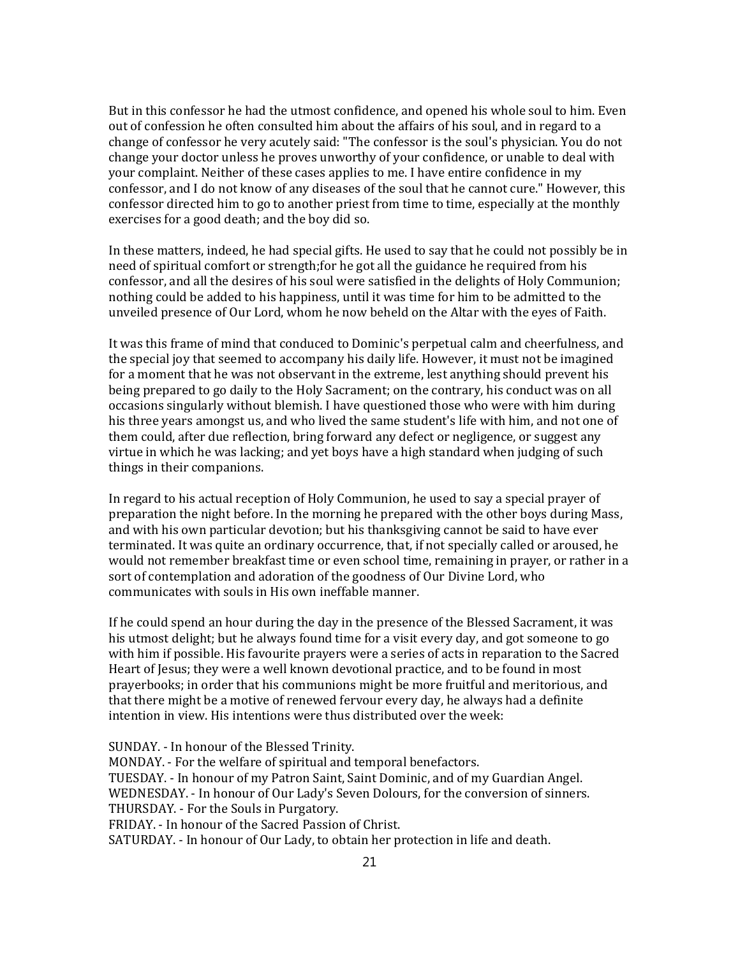But in this confessor he had the utmost confidence, and opened his whole soul to him. Even out of confession he often consulted him about the affairs of his soul, and in regard to a change of confessor he very acutely said: "The confessor is the soul's physician. You do not change your doctor unless he proves unworthy of your confidence, or unable to deal with your complaint. Neither of these cases applies to me. I have entire confidence in my confessor, and I do not know of any diseases of the soul that he cannot cure." However, this confessor directed him to go to another priest from time to time, especially at the monthly exercises for a good death; and the boy did so.

In these matters, indeed, he had special gifts. He used to say that he could not possibly be in need of spiritual comfort or strength;for he got all the guidance he required from his confessor, and all the desires of his soul were satisfied in the delights of Holy Communion; nothing could be added to his happiness, until it was time for him to be admitted to the unveiled presence of Our Lord, whom he now beheld on the Altar with the eyes of Faith.

It was this frame of mind that conduced to Dominic's perpetual calm and cheerfulness, and the special joy that seemed to accompany his daily life. However, it must not be imagined for a moment that he was not observant in the extreme, lest anything should prevent his being prepared to go daily to the Holy Sacrament; on the contrary, his conduct was on all occasions singularly without blemish. I have questioned those who were with him during his three years amongst us, and who lived the same student's life with him, and not one of them could, after due reflection, bring forward any defect or negligence, or suggest any virtue in which he was lacking; and yet boys have a high standard when judging of such things in their companions.

In regard to his actual reception of Holy Communion, he used to say a special prayer of preparation the night before. In the morning he prepared with the other boys during Mass, and with his own particular devotion; but his thanksgiving cannot be said to have ever terminated. It was quite an ordinary occurrence, that, if not specially called or aroused, he would not remember breakfast time or even school time, remaining in prayer, or rather in a sort of contemplation and adoration of the goodness of Our Divine Lord, who communicates with souls in His own ineffable manner.

If he could spend an hour during the day in the presence of the Blessed Sacrament, it was his utmost delight; but he always found time for a visit every day, and got someone to go with him if possible. His favourite prayers were a series of acts in reparation to the Sacred Heart of Jesus; they were a well known devotional practice, and to be found in most prayerbooks; in order that his communions might be more fruitful and meritorious, and that there might be a motive of renewed fervour every day, he always had a definite intention in view. His intentions were thus distributed over the week:

SUNDAY. - In honour of the Blessed Trinity. MONDAY. - For the welfare of spiritual and temporal benefactors. TUESDAY. - In honour of my Patron Saint, Saint Dominic, and of my Guardian Angel. WEDNESDAY. - In honour of Our Lady's Seven Dolours, for the conversion of sinners. THURSDAY. - For the Souls in Purgatory. FRIDAY. - In honour of the Sacred Passion of Christ. SATURDAY. - In honour of Our Lady, to obtain her protection in life and death.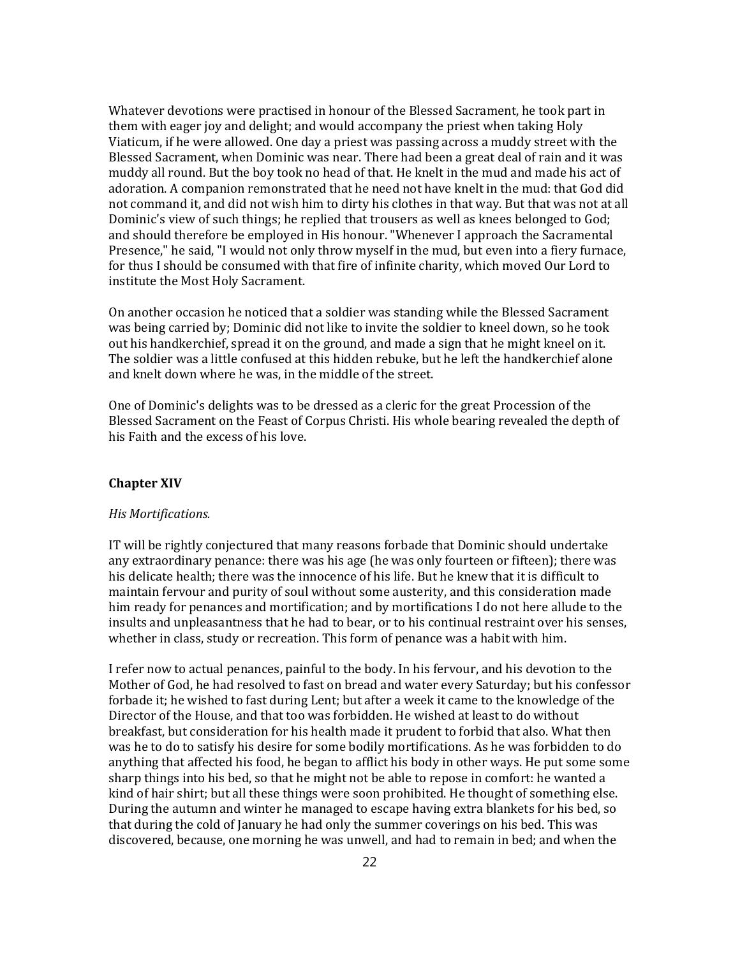Whatever devotions were practised in honour of the Blessed Sacrament, he took part in them with eager joy and delight; and would accompany the priest when taking Holy Viaticum, if he were allowed. One day a priest was passing across a muddy street with the Blessed Sacrament, when Dominic was near. There had been a great deal of rain and it was muddy all round. But the boy took no head of that. He knelt in the mud and made his act of adoration. A companion remonstrated that he need not have knelt in the mud: that God did not command it, and did not wish him to dirty his clothes in that way. But that was not at all Dominic's view of such things; he replied that trousers as well as knees belonged to God; and should therefore be employed in His honour. "Whenever I approach the Sacramental Presence," he said, "I would not only throw myself in the mud, but even into a fiery furnace, for thus I should be consumed with that fire of infinite charity, which moved Our Lord to institute the Most Holy Sacrament.

On another occasion he noticed that a soldier was standing while the Blessed Sacrament was being carried by; Dominic did not like to invite the soldier to kneel down, so he took out his handkerchief, spread it on the ground, and made a sign that he might kneel on it. The soldier was a little confused at this hidden rebuke, but he left the handkerchief alone and knelt down where he was, in the middle of the street.

One of Dominic's delights was to be dressed as a cleric for the great Procession of the Blessed Sacrament on the Feast of Corpus Christi. His whole bearing revealed the depth of his Faith and the excess of his love.

#### Chapter XIV

#### His Mortifications.

IT will be rightly conjectured that many reasons forbade that Dominic should undertake any extraordinary penance: there was his age (he was only fourteen or fifteen); there was his delicate health; there was the innocence of his life. But he knew that it is difficult to maintain fervour and purity of soul without some austerity, and this consideration made him ready for penances and mortification; and by mortifications I do not here allude to the insults and unpleasantness that he had to bear, or to his continual restraint over his senses, whether in class, study or recreation. This form of penance was a habit with him.

I refer now to actual penances, painful to the body. In his fervour, and his devotion to the Mother of God, he had resolved to fast on bread and water every Saturday; but his confessor forbade it; he wished to fast during Lent; but after a week it came to the knowledge of the Director of the House, and that too was forbidden. He wished at least to do without breakfast, but consideration for his health made it prudent to forbid that also. What then was he to do to satisfy his desire for some bodily mortifications. As he was forbidden to do anything that affected his food, he began to afflict his body in other ways. He put some some sharp things into his bed, so that he might not be able to repose in comfort: he wanted a kind of hair shirt; but all these things were soon prohibited. He thought of something else. During the autumn and winter he managed to escape having extra blankets for his bed, so that during the cold of January he had only the summer coverings on his bed. This was discovered, because, one morning he was unwell, and had to remain in bed; and when the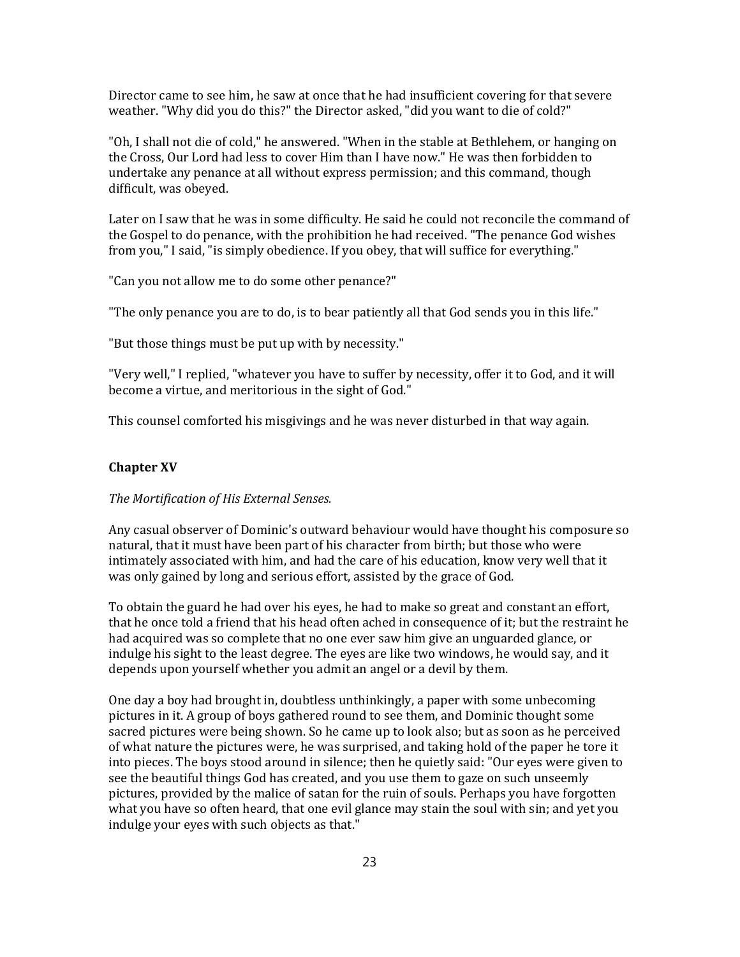Director came to see him, he saw at once that he had insufficient covering for that severe weather. "Why did you do this?" the Director asked, "did you want to die of cold?"

"Oh, I shall not die of cold," he answered. "When in the stable at Bethlehem, or hanging on the Cross, Our Lord had less to cover Him than I have now." He was then forbidden to undertake any penance at all without express permission; and this command, though difficult, was obeyed.

Later on I saw that he was in some difficulty. He said he could not reconcile the command of the Gospel to do penance, with the prohibition he had received. "The penance God wishes from you," I said, "is simply obedience. If you obey, that will suffice for everything."

"Can you not allow me to do some other penance?"

"The only penance you are to do, is to bear patiently all that God sends you in this life."

"But those things must be put up with by necessity."

"Very well," I replied, "whatever you have to suffer by necessity, offer it to God, and it will become a virtue, and meritorious in the sight of God."

This counsel comforted his misgivings and he was never disturbed in that way again.

#### Chapter XV

#### The Mortification of His External Senses.

Any casual observer of Dominic's outward behaviour would have thought his composure so natural, that it must have been part of his character from birth; but those who were intimately associated with him, and had the care of his education, know very well that it was only gained by long and serious effort, assisted by the grace of God.

To obtain the guard he had over his eyes, he had to make so great and constant an effort, that he once told a friend that his head often ached in consequence of it; but the restraint he had acquired was so complete that no one ever saw him give an unguarded glance, or indulge his sight to the least degree. The eyes are like two windows, he would say, and it depends upon yourself whether you admit an angel or a devil by them.

One day a boy had brought in, doubtless unthinkingly, a paper with some unbecoming pictures in it. A group of boys gathered round to see them, and Dominic thought some sacred pictures were being shown. So he came up to look also; but as soon as he perceived of what nature the pictures were, he was surprised, and taking hold of the paper he tore it into pieces. The boys stood around in silence; then he quietly said: "Our eyes were given to see the beautiful things God has created, and you use them to gaze on such unseemly pictures, provided by the malice of satan for the ruin of souls. Perhaps you have forgotten what you have so often heard, that one evil glance may stain the soul with sin; and yet you indulge your eyes with such objects as that."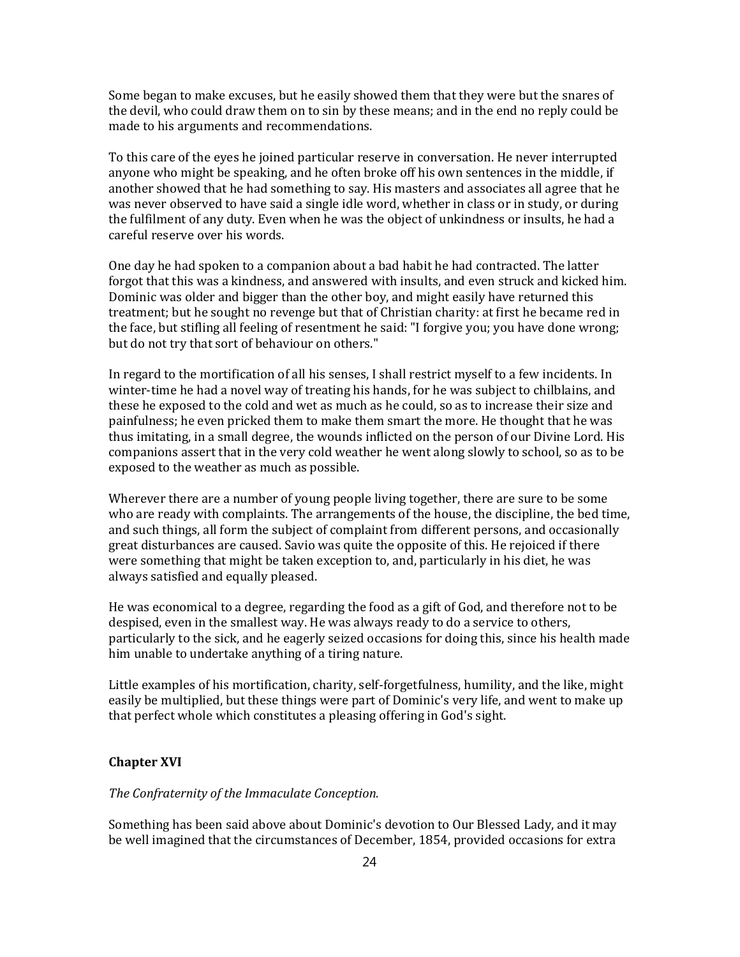Some began to make excuses, but he easily showed them that they were but the snares of the devil, who could draw them on to sin by these means; and in the end no reply could be made to his arguments and recommendations.

To this care of the eyes he joined particular reserve in conversation. He never interrupted anyone who might be speaking, and he often broke off his own sentences in the middle, if another showed that he had something to say. His masters and associates all agree that he was never observed to have said a single idle word, whether in class or in study, or during the fulfilment of any duty. Even when he was the object of unkindness or insults, he had a careful reserve over his words.

One day he had spoken to a companion about a bad habit he had contracted. The latter forgot that this was a kindness, and answered with insults, and even struck and kicked him. Dominic was older and bigger than the other boy, and might easily have returned this treatment; but he sought no revenge but that of Christian charity: at first he became red in the face, but stifling all feeling of resentment he said: "I forgive you; you have done wrong; but do not try that sort of behaviour on others."

In regard to the mortification of all his senses, I shall restrict myself to a few incidents. In winter-time he had a novel way of treating his hands, for he was subject to chilblains, and these he exposed to the cold and wet as much as he could, so as to increase their size and painfulness; he even pricked them to make them smart the more. He thought that he was thus imitating, in a small degree, the wounds inflicted on the person of our Divine Lord. His companions assert that in the very cold weather he went along slowly to school, so as to be exposed to the weather as much as possible.

Wherever there are a number of young people living together, there are sure to be some who are ready with complaints. The arrangements of the house, the discipline, the bed time, and such things, all form the subject of complaint from different persons, and occasionally great disturbances are caused. Savio was quite the opposite of this. He rejoiced if there were something that might be taken exception to, and, particularly in his diet, he was always satisfied and equally pleased.

He was economical to a degree, regarding the food as a gift of God, and therefore not to be despised, even in the smallest way. He was always ready to do a service to others, particularly to the sick, and he eagerly seized occasions for doing this, since his health made him unable to undertake anything of a tiring nature.

Little examples of his mortification, charity, self-forgetfulness, humility, and the like, might easily be multiplied, but these things were part of Dominic's very life, and went to make up that perfect whole which constitutes a pleasing offering in God's sight.

#### Chapter XVI

#### The Confraternity of the Immaculate Conception.

Something has been said above about Dominic's devotion to Our Blessed Lady, and it may be well imagined that the circumstances of December, 1854, provided occasions for extra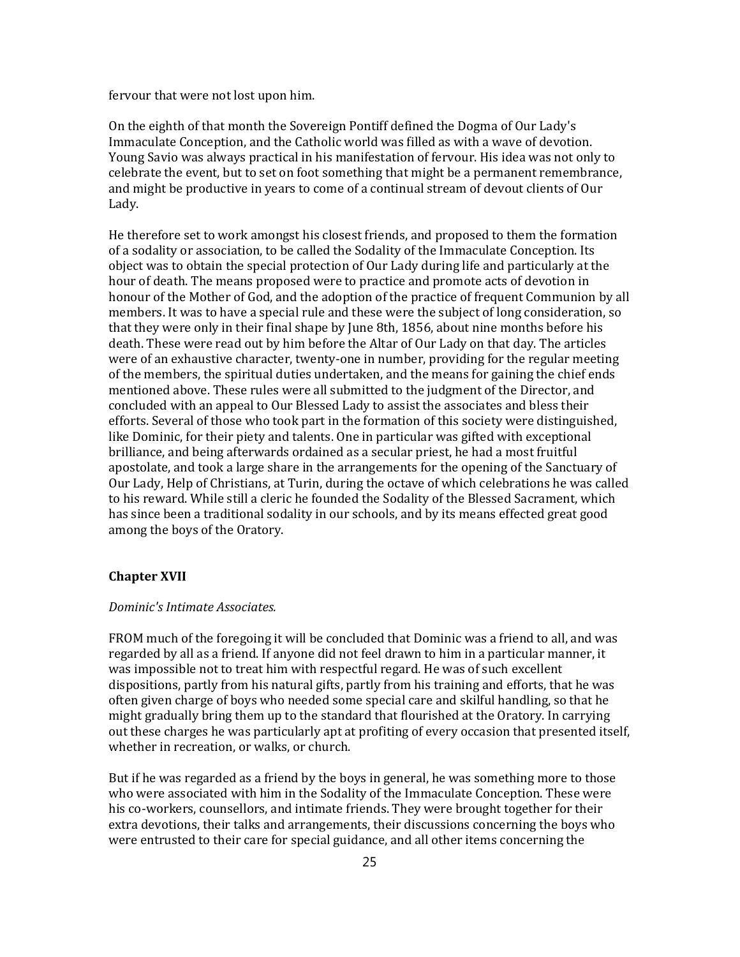fervour that were not lost upon him.

On the eighth of that month the Sovereign Pontiff defined the Dogma of Our Lady's Immaculate Conception, and the Catholic world was filled as with a wave of devotion. Young Savio was always practical in his manifestation of fervour. His idea was not only to celebrate the event, but to set on foot something that might be a permanent remembrance, and might be productive in years to come of a continual stream of devout clients of Our Lady.

He therefore set to work amongst his closest friends, and proposed to them the formation of a sodality or association, to be called the Sodality of the Immaculate Conception. Its object was to obtain the special protection of Our Lady during life and particularly at the hour of death. The means proposed were to practice and promote acts of devotion in honour of the Mother of God, and the adoption of the practice of frequent Communion by all members. It was to have a special rule and these were the subject of long consideration, so that they were only in their final shape by June 8th, 1856, about nine months before his death. These were read out by him before the Altar of Our Lady on that day. The articles were of an exhaustive character, twenty-one in number, providing for the regular meeting of the members, the spiritual duties undertaken, and the means for gaining the chief ends mentioned above. These rules were all submitted to the judgment of the Director, and concluded with an appeal to Our Blessed Lady to assist the associates and bless their efforts. Several of those who took part in the formation of this society were distinguished, like Dominic, for their piety and talents. One in particular was gifted with exceptional brilliance, and being afterwards ordained as a secular priest, he had a most fruitful apostolate, and took a large share in the arrangements for the opening of the Sanctuary of Our Lady, Help of Christians, at Turin, during the octave of which celebrations he was called to his reward. While still a cleric he founded the Sodality of the Blessed Sacrament, which has since been a traditional sodality in our schools, and by its means effected great good among the boys of the Oratory.

#### Chapter XVII

#### Dominic's Intimate Associates.

FROM much of the foregoing it will be concluded that Dominic was a friend to all, and was regarded by all as a friend. If anyone did not feel drawn to him in a particular manner, it was impossible not to treat him with respectful regard. He was of such excellent dispositions, partly from his natural gifts, partly from his training and efforts, that he was often given charge of boys who needed some special care and skilful handling, so that he might gradually bring them up to the standard that flourished at the Oratory. In carrying out these charges he was particularly apt at profiting of every occasion that presented itself, whether in recreation, or walks, or church.

But if he was regarded as a friend by the boys in general, he was something more to those who were associated with him in the Sodality of the Immaculate Conception. These were his co-workers, counsellors, and intimate friends. They were brought together for their extra devotions, their talks and arrangements, their discussions concerning the boys who were entrusted to their care for special guidance, and all other items concerning the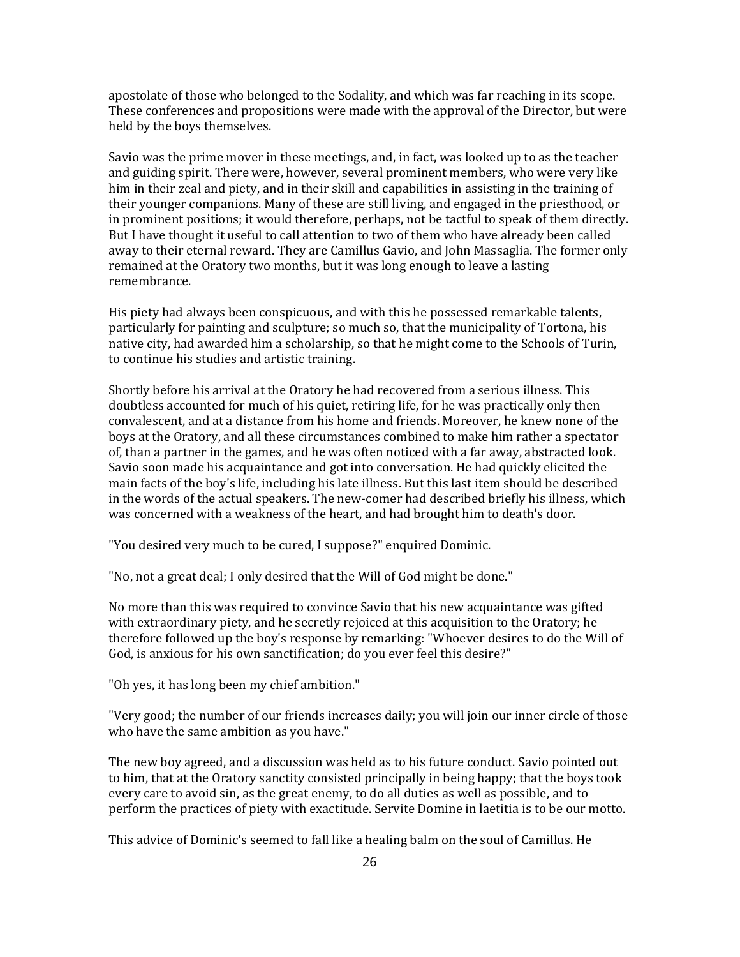apostolate of those who belonged to the Sodality, and which was far reaching in its scope. These conferences and propositions were made with the approval of the Director, but were held by the boys themselves.

Savio was the prime mover in these meetings, and, in fact, was looked up to as the teacher and guiding spirit. There were, however, several prominent members, who were very like him in their zeal and piety, and in their skill and capabilities in assisting in the training of their younger companions. Many of these are still living, and engaged in the priesthood, or in prominent positions; it would therefore, perhaps, not be tactful to speak of them directly. But I have thought it useful to call attention to two of them who have already been called away to their eternal reward. They are Camillus Gavio, and John Massaglia. The former only remained at the Oratory two months, but it was long enough to leave a lasting remembrance.

His piety had always been conspicuous, and with this he possessed remarkable talents, particularly for painting and sculpture; so much so, that the municipality of Tortona, his native city, had awarded him a scholarship, so that he might come to the Schools of Turin, to continue his studies and artistic training.

Shortly before his arrival at the Oratory he had recovered from a serious illness. This doubtless accounted for much of his quiet, retiring life, for he was practically only then convalescent, and at a distance from his home and friends. Moreover, he knew none of the boys at the Oratory, and all these circumstances combined to make him rather a spectator of, than a partner in the games, and he was often noticed with a far away, abstracted look. Savio soon made his acquaintance and got into conversation. He had quickly elicited the main facts of the boy's life, including his late illness. But this last item should be described in the words of the actual speakers. The new-comer had described briefly his illness, which was concerned with a weakness of the heart, and had brought him to death's door.

"You desired very much to be cured, I suppose?" enquired Dominic.

"No, not a great deal; I only desired that the Will of God might be done."

No more than this was required to convince Savio that his new acquaintance was gifted with extraordinary piety, and he secretly rejoiced at this acquisition to the Oratory; he therefore followed up the boy's response by remarking: "Whoever desires to do the Will of God, is anxious for his own sanctification; do you ever feel this desire?"

"Oh yes, it has long been my chief ambition."

"Very good; the number of our friends increases daily; you will join our inner circle of those who have the same ambition as you have."

The new boy agreed, and a discussion was held as to his future conduct. Savio pointed out to him, that at the Oratory sanctity consisted principally in being happy; that the boys took every care to avoid sin, as the great enemy, to do all duties as well as possible, and to perform the practices of piety with exactitude. Servite Domine in laetitia is to be our motto.

This advice of Dominic's seemed to fall like a healing balm on the soul of Camillus. He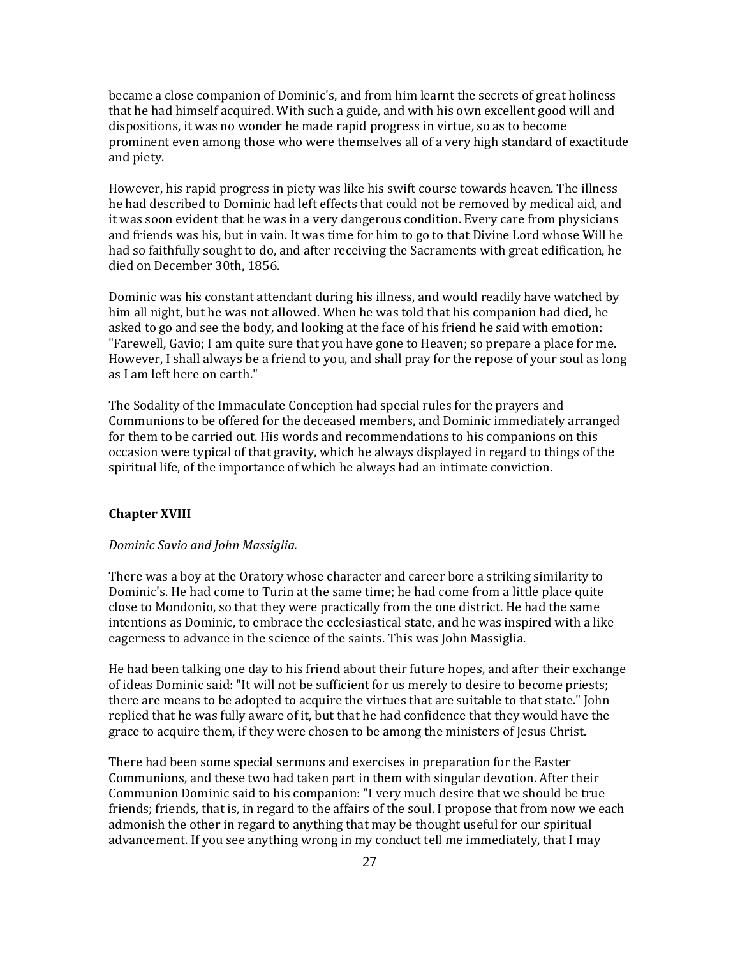became a close companion of Dominic's, and from him learnt the secrets of great holiness that he had himself acquired. With such a guide, and with his own excellent good will and dispositions, it was no wonder he made rapid progress in virtue, so as to become prominent even among those who were themselves all of a very high standard of exactitude and piety.

However, his rapid progress in piety was like his swift course towards heaven. The illness he had described to Dominic had left effects that could not be removed by medical aid, and it was soon evident that he was in a very dangerous condition. Every care from physicians and friends was his, but in vain. It was time for him to go to that Divine Lord whose Will he had so faithfully sought to do, and after receiving the Sacraments with great edification, he died on December 30th, 1856.

Dominic was his constant attendant during his illness, and would readily have watched by him all night, but he was not allowed. When he was told that his companion had died, he asked to go and see the body, and looking at the face of his friend he said with emotion: "Farewell, Gavio; I am quite sure that you have gone to Heaven; so prepare a place for me. However, I shall always be a friend to you, and shall pray for the repose of your soul as long as I am left here on earth."

The Sodality of the Immaculate Conception had special rules for the prayers and Communions to be offered for the deceased members, and Dominic immediately arranged for them to be carried out. His words and recommendations to his companions on this occasion were typical of that gravity, which he always displayed in regard to things of the spiritual life, of the importance of which he always had an intimate conviction.

#### Chapter XVIII

#### Dominic Savio and John Massiglia.

There was a boy at the Oratory whose character and career bore a striking similarity to Dominic's. He had come to Turin at the same time; he had come from a little place quite close to Mondonio, so that they were practically from the one district. He had the same intentions as Dominic, to embrace the ecclesiastical state, and he was inspired with a like eagerness to advance in the science of the saints. This was John Massiglia.

He had been talking one day to his friend about their future hopes, and after their exchange of ideas Dominic said: "It will not be sufficient for us merely to desire to become priests; there are means to be adopted to acquire the virtues that are suitable to that state." John replied that he was fully aware of it, but that he had confidence that they would have the grace to acquire them, if they were chosen to be among the ministers of Jesus Christ.

There had been some special sermons and exercises in preparation for the Easter Communions, and these two had taken part in them with singular devotion. After their Communion Dominic said to his companion: "I very much desire that we should be true friends; friends, that is, in regard to the affairs of the soul. I propose that from now we each admonish the other in regard to anything that may be thought useful for our spiritual advancement. If you see anything wrong in my conduct tell me immediately, that I may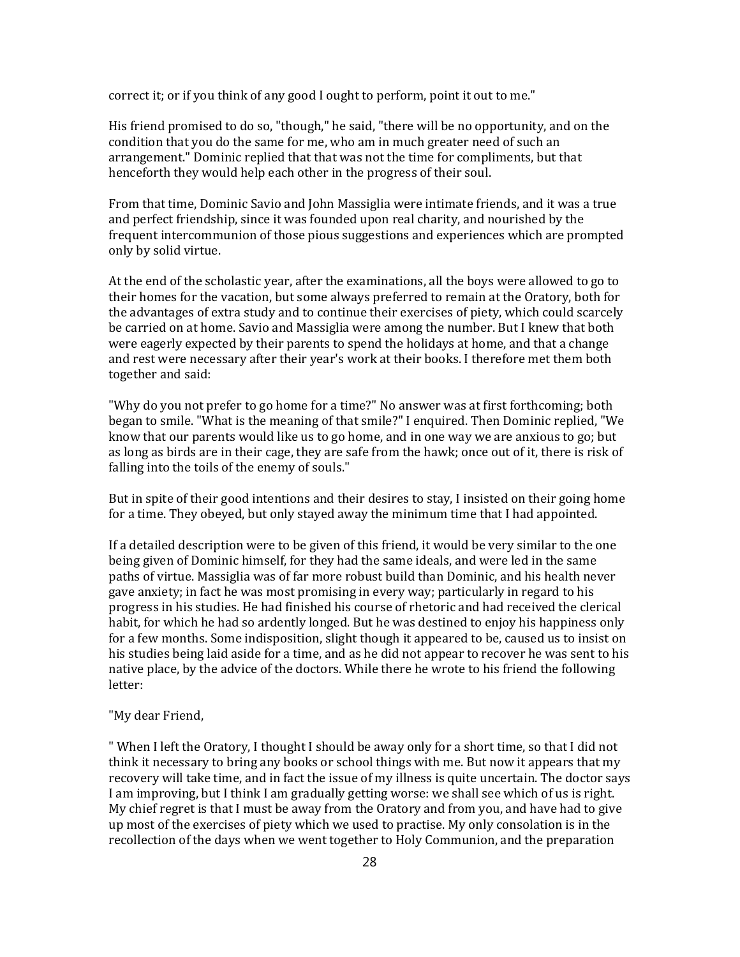correct it; or if you think of any good I ought to perform, point it out to me."

His friend promised to do so, "though," he said, "there will be no opportunity, and on the condition that you do the same for me, who am in much greater need of such an arrangement." Dominic replied that that was not the time for compliments, but that henceforth they would help each other in the progress of their soul.

From that time, Dominic Savio and John Massiglia were intimate friends, and it was a true and perfect friendship, since it was founded upon real charity, and nourished by the frequent intercommunion of those pious suggestions and experiences which are prompted only by solid virtue.

At the end of the scholastic year, after the examinations, all the boys were allowed to go to their homes for the vacation, but some always preferred to remain at the Oratory, both for the advantages of extra study and to continue their exercises of piety, which could scarcely be carried on at home. Savio and Massiglia were among the number. But I knew that both were eagerly expected by their parents to spend the holidays at home, and that a change and rest were necessary after their year's work at their books. I therefore met them both together and said:

"Why do you not prefer to go home for a time?" No answer was at first forthcoming; both began to smile. "What is the meaning of that smile?" I enquired. Then Dominic replied, "We know that our parents would like us to go home, and in one way we are anxious to go; but as long as birds are in their cage, they are safe from the hawk; once out of it, there is risk of falling into the toils of the enemy of souls."

But in spite of their good intentions and their desires to stay, I insisted on their going home for a time. They obeyed, but only stayed away the minimum time that I had appointed.

If a detailed description were to be given of this friend, it would be very similar to the one being given of Dominic himself, for they had the same ideals, and were led in the same paths of virtue. Massiglia was of far more robust build than Dominic, and his health never gave anxiety; in fact he was most promising in every way; particularly in regard to his progress in his studies. He had finished his course of rhetoric and had received the clerical habit, for which he had so ardently longed. But he was destined to enjoy his happiness only for a few months. Some indisposition, slight though it appeared to be, caused us to insist on his studies being laid aside for a time, and as he did not appear to recover he was sent to his native place, by the advice of the doctors. While there he wrote to his friend the following letter:

#### "My dear Friend,

" When I left the Oratory, I thought I should be away only for a short time, so that I did not think it necessary to bring any books or school things with me. But now it appears that my recovery will take time, and in fact the issue of my illness is quite uncertain. The doctor says I am improving, but I think I am gradually getting worse: we shall see which of us is right. My chief regret is that I must be away from the Oratory and from you, and have had to give up most of the exercises of piety which we used to practise. My only consolation is in the recollection of the days when we went together to Holy Communion, and the preparation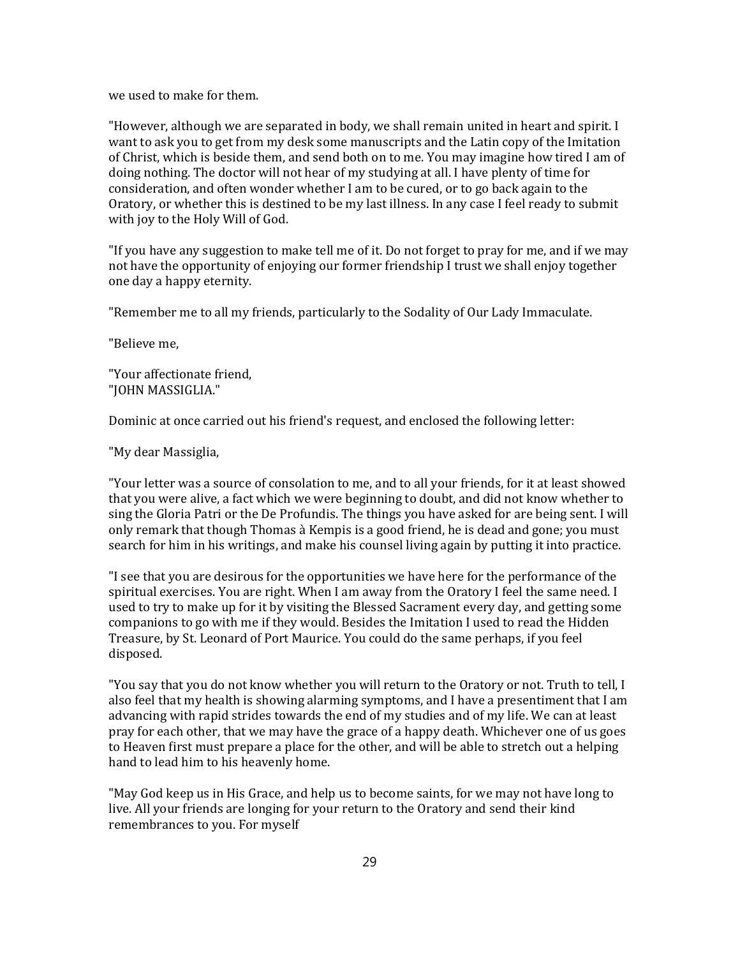we used to make for them.

"However, although we are separated in body, we shall remain united in heart and spirit. I want to ask you to get from my desk some manuscripts and the Latin copy of the Imitation of Christ, which is beside them, and send both on to me. You may imagine how tired I am of doing nothing. The doctor will not hear of my studying at all. I have plenty of time for consideration, and often wonder whether I am to be cured, or to go back again to the Oratory, or whether this is destined to be my last illness. In any case I feel ready to submit with joy to the Holy Will of God.

"If you have any suggestion to make tell me of it. Do not forget to pray for me, and if we may not have the opportunity of enjoying our former friendship I trust we shall enjoy together one day a happy eternity.

"Remember me to all my friends, particularly to the Sodality of Our Lady Immaculate.

"Believe me,

"Your affectionate friend, "JOHN MASSIGLIA."

Dominic at once carried out his friend's request, and enclosed the following letter:

"My dear Massiglia,

"Your letter was a source of consolation to me, and to all your friends, for it at least showed that you were alive, a fact which we were beginning to doubt, and did not know whether to sing the Gloria Patri or the De Profundis. The things you have asked for are being sent. I will only remark that though Thomas à Kempis is a good friend, he is dead and gone; you must search for him in his writings, and make his counsel living again by putting it into practice.

"I see that you are desirous for the opportunities we have here for the performance of the spiritual exercises. You are right. When I am away from the Oratory I feel the same need. I used to try to make up for it by visiting the Blessed Sacrament every day, and getting some companions to go with me if they would. Besides the Imitation I used to read the Hidden Treasure, by St. Leonard of Port Maurice. You could do the same perhaps, if you feel disposed.

"You say that you do not know whether you will return to the Oratory or not. Truth to tell, I also feel that my health is showing alarming symptoms, and I have a presentiment that I am advancing with rapid strides towards the end of my studies and of my life. We can at least pray for each other, that we may have the grace of a happy death. Whichever one of us goes to Heaven first must prepare a place for the other, and will be able to stretch out a helping hand to lead him to his heavenly home.

"May God keep us in His Grace, and help us to become saints, for we may not have long to live. All your friends are longing for your return to the Oratory and send their kind remembrances to you. For myself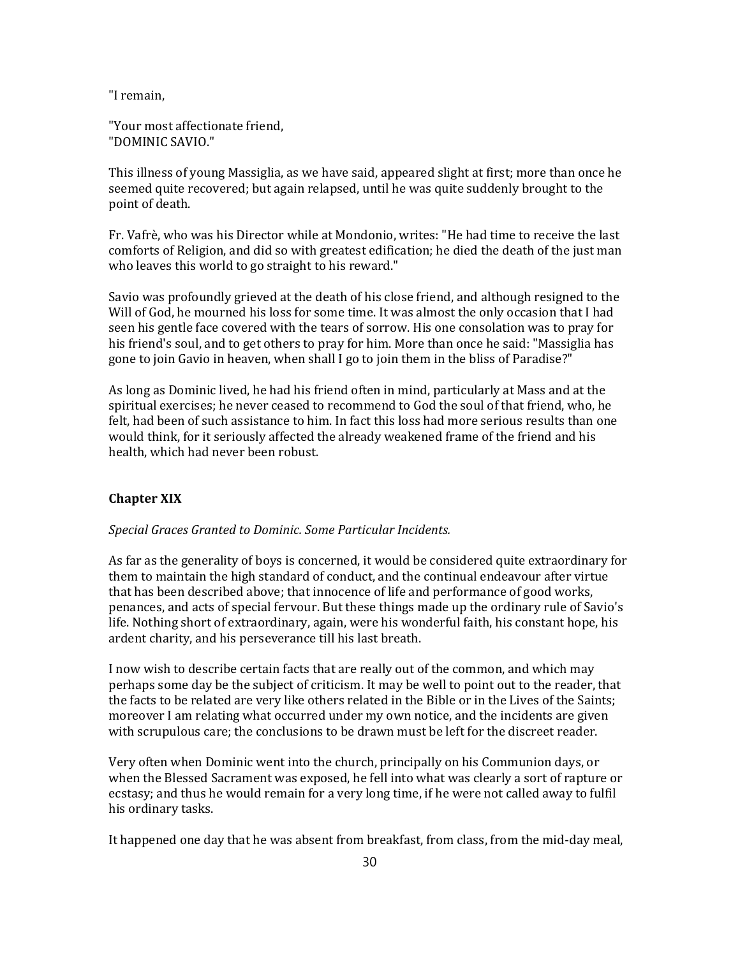"I remain,

"Your most affectionate friend, "DOMINIC SAVIO."

This illness of young Massiglia, as we have said, appeared slight at first; more than once he seemed quite recovered; but again relapsed, until he was quite suddenly brought to the point of death.

Fr. Vafrè, who was his Director while at Mondonio, writes: "He had time to receive the last comforts of Religion, and did so with greatest edification; he died the death of the just man who leaves this world to go straight to his reward."

Savio was profoundly grieved at the death of his close friend, and although resigned to the Will of God, he mourned his loss for some time. It was almost the only occasion that I had seen his gentle face covered with the tears of sorrow. His one consolation was to pray for his friend's soul, and to get others to pray for him. More than once he said: "Massiglia has gone to join Gavio in heaven, when shall I go to join them in the bliss of Paradise?"

As long as Dominic lived, he had his friend often in mind, particularly at Mass and at the spiritual exercises; he never ceased to recommend to God the soul of that friend, who, he felt, had been of such assistance to him. In fact this loss had more serious results than one would think, for it seriously affected the already weakened frame of the friend and his health, which had never been robust.

# Chapter XIX

#### Special Graces Granted to Dominic. Some Particular Incidents.

As far as the generality of boys is concerned, it would be considered quite extraordinary for them to maintain the high standard of conduct, and the continual endeavour after virtue that has been described above; that innocence of life and performance of good works, penances, and acts of special fervour. But these things made up the ordinary rule of Savio's life. Nothing short of extraordinary, again, were his wonderful faith, his constant hope, his ardent charity, and his perseverance till his last breath.

I now wish to describe certain facts that are really out of the common, and which may perhaps some day be the subject of criticism. It may be well to point out to the reader, that the facts to be related are very like others related in the Bible or in the Lives of the Saints; moreover I am relating what occurred under my own notice, and the incidents are given with scrupulous care; the conclusions to be drawn must be left for the discreet reader.

Very often when Dominic went into the church, principally on his Communion days, or when the Blessed Sacrament was exposed, he fell into what was clearly a sort of rapture or ecstasy; and thus he would remain for a very long time, if he were not called away to fulfil his ordinary tasks.

It happened one day that he was absent from breakfast, from class, from the mid-day meal,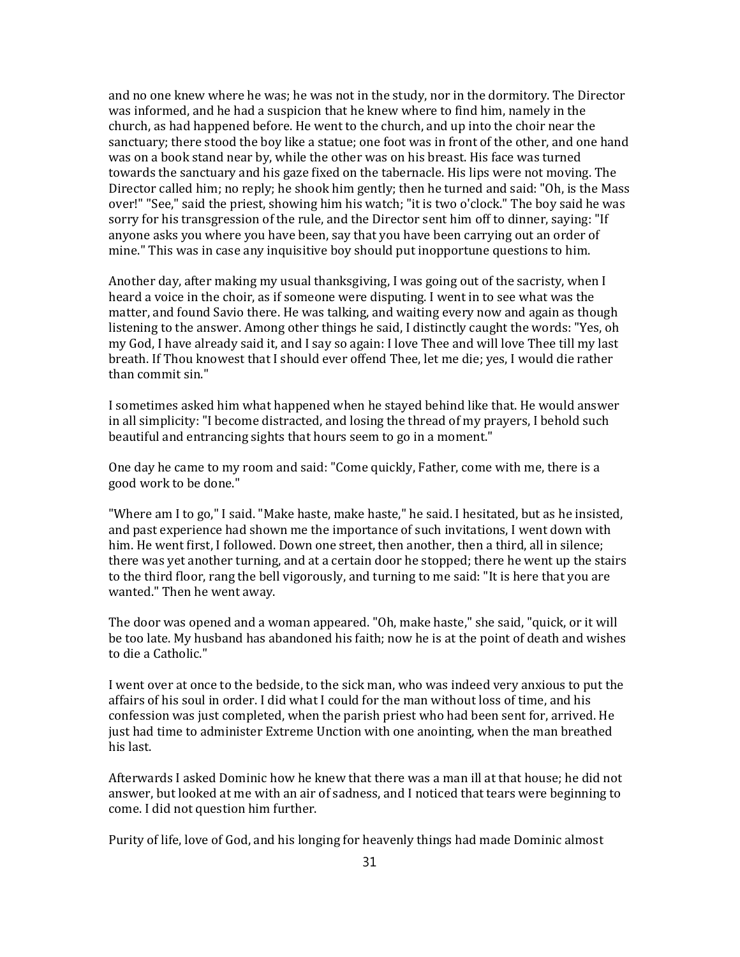and no one knew where he was; he was not in the study, nor in the dormitory. The Director was informed, and he had a suspicion that he knew where to find him, namely in the church, as had happened before. He went to the church, and up into the choir near the sanctuary; there stood the boy like a statue; one foot was in front of the other, and one hand was on a book stand near by, while the other was on his breast. His face was turned towards the sanctuary and his gaze fixed on the tabernacle. His lips were not moving. The Director called him; no reply; he shook him gently; then he turned and said: "Oh, is the Mass over!" "See," said the priest, showing him his watch; "it is two o'clock." The boy said he was sorry for his transgression of the rule, and the Director sent him off to dinner, saying: "If anyone asks you where you have been, say that you have been carrying out an order of mine." This was in case any inquisitive boy should put inopportune questions to him.

Another day, after making my usual thanksgiving, I was going out of the sacristy, when I heard a voice in the choir, as if someone were disputing. I went in to see what was the matter, and found Savio there. He was talking, and waiting every now and again as though listening to the answer. Among other things he said, I distinctly caught the words: "Yes, oh my God, I have already said it, and I say so again: I love Thee and will love Thee till my last breath. If Thou knowest that I should ever offend Thee, let me die; yes, I would die rather than commit sin."

I sometimes asked him what happened when he stayed behind like that. He would answer in all simplicity: "I become distracted, and losing the thread of my prayers, I behold such beautiful and entrancing sights that hours seem to go in a moment."

One day he came to my room and said: "Come quickly, Father, come with me, there is a good work to be done."

"Where am I to go," I said. "Make haste, make haste," he said. I hesitated, but as he insisted, and past experience had shown me the importance of such invitations, I went down with him. He went first, I followed. Down one street, then another, then a third, all in silence; there was yet another turning, and at a certain door he stopped; there he went up the stairs to the third floor, rang the bell vigorously, and turning to me said: "It is here that you are wanted." Then he went away.

The door was opened and a woman appeared. "Oh, make haste," she said, "quick, or it will be too late. My husband has abandoned his faith; now he is at the point of death and wishes to die a Catholic."

I went over at once to the bedside, to the sick man, who was indeed very anxious to put the affairs of his soul in order. I did what I could for the man without loss of time, and his confession was just completed, when the parish priest who had been sent for, arrived. He just had time to administer Extreme Unction with one anointing, when the man breathed his last.

Afterwards I asked Dominic how he knew that there was a man ill at that house; he did not answer, but looked at me with an air of sadness, and I noticed that tears were beginning to come. I did not question him further.

Purity of life, love of God, and his longing for heavenly things had made Dominic almost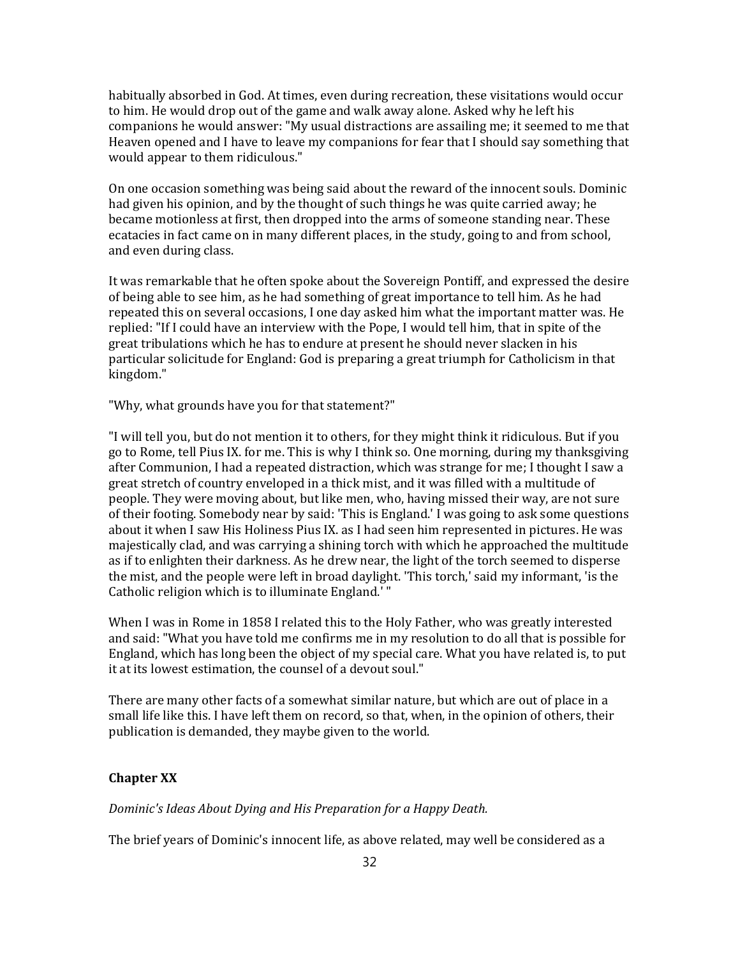habitually absorbed in God. At times, even during recreation, these visitations would occur to him. He would drop out of the game and walk away alone. Asked why he left his companions he would answer: "My usual distractions are assailing me; it seemed to me that Heaven opened and I have to leave my companions for fear that I should say something that would appear to them ridiculous."

On one occasion something was being said about the reward of the innocent souls. Dominic had given his opinion, and by the thought of such things he was quite carried away; he became motionless at first, then dropped into the arms of someone standing near. These ecatacies in fact came on in many different places, in the study, going to and from school, and even during class.

It was remarkable that he often spoke about the Sovereign Pontiff, and expressed the desire of being able to see him, as he had something of great importance to tell him. As he had repeated this on several occasions, I one day asked him what the important matter was. He replied: "If I could have an interview with the Pope, I would tell him, that in spite of the great tribulations which he has to endure at present he should never slacken in his particular solicitude for England: God is preparing a great triumph for Catholicism in that kingdom."

"Why, what grounds have you for that statement?"

"I will tell you, but do not mention it to others, for they might think it ridiculous. But if you go to Rome, tell Pius IX. for me. This is why I think so. One morning, during my thanksgiving after Communion, I had a repeated distraction, which was strange for me; I thought I saw a great stretch of country enveloped in a thick mist, and it was filled with a multitude of people. They were moving about, but like men, who, having missed their way, are not sure of their footing. Somebody near by said: 'This is England.' I was going to ask some questions about it when I saw His Holiness Pius IX. as I had seen him represented in pictures. He was majestically clad, and was carrying a shining torch with which he approached the multitude as if to enlighten their darkness. As he drew near, the light of the torch seemed to disperse the mist, and the people were left in broad daylight. 'This torch,' said my informant, 'is the Catholic religion which is to illuminate England.' "

When I was in Rome in 1858 I related this to the Holy Father, who was greatly interested and said: "What you have told me confirms me in my resolution to do all that is possible for England, which has long been the object of my special care. What you have related is, to put it at its lowest estimation, the counsel of a devout soul."

There are many other facts of a somewhat similar nature, but which are out of place in a small life like this. I have left them on record, so that, when, in the opinion of others, their publication is demanded, they maybe given to the world.

# Chapter XX

Dominic's Ideas About Dying and His Preparation for a Happy Death.

The brief years of Dominic's innocent life, as above related, may well be considered as a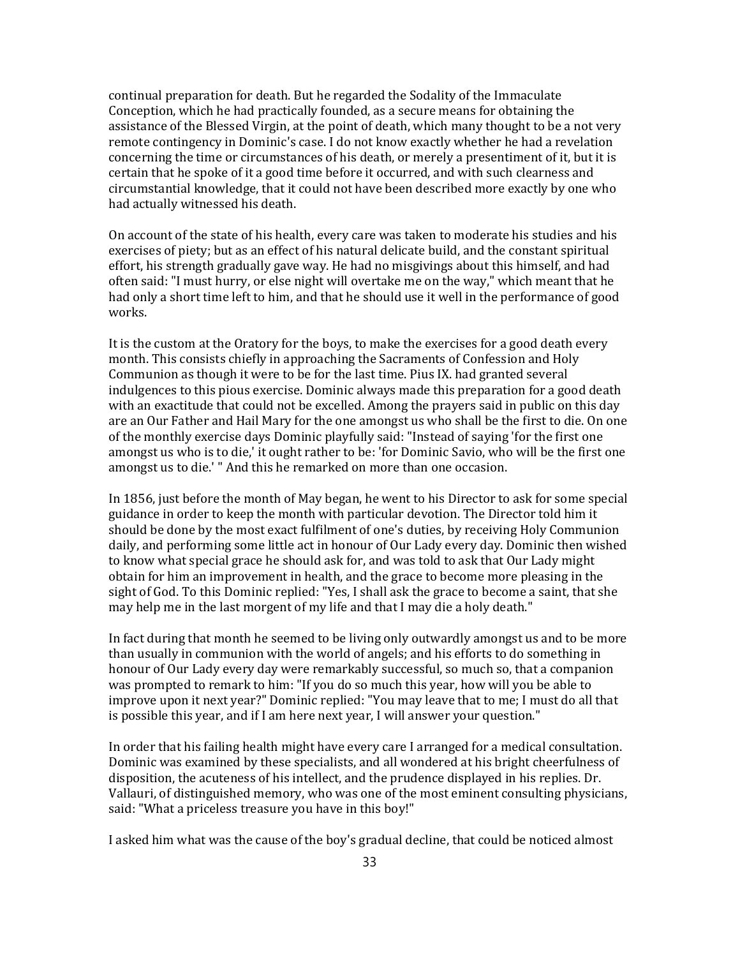continual preparation for death. But he regarded the Sodality of the Immaculate Conception, which he had practically founded, as a secure means for obtaining the assistance of the Blessed Virgin, at the point of death, which many thought to be a not very remote contingency in Dominic's case. I do not know exactly whether he had a revelation concerning the time or circumstances of his death, or merely a presentiment of it, but it is certain that he spoke of it a good time before it occurred, and with such clearness and circumstantial knowledge, that it could not have been described more exactly by one who had actually witnessed his death.

On account of the state of his health, every care was taken to moderate his studies and his exercises of piety; but as an effect of his natural delicate build, and the constant spiritual effort, his strength gradually gave way. He had no misgivings about this himself, and had often said: "I must hurry, or else night will overtake me on the way," which meant that he had only a short time left to him, and that he should use it well in the performance of good works.

It is the custom at the Oratory for the boys, to make the exercises for a good death every month. This consists chiefly in approaching the Sacraments of Confession and Holy Communion as though it were to be for the last time. Pius IX. had granted several indulgences to this pious exercise. Dominic always made this preparation for a good death with an exactitude that could not be excelled. Among the prayers said in public on this day are an Our Father and Hail Mary for the one amongst us who shall be the first to die. On one of the monthly exercise days Dominic playfully said: "Instead of saying 'for the first one amongst us who is to die,' it ought rather to be: 'for Dominic Savio, who will be the first one amongst us to die.' " And this he remarked on more than one occasion.

In 1856, just before the month of May began, he went to his Director to ask for some special guidance in order to keep the month with particular devotion. The Director told him it should be done by the most exact fulfilment of one's duties, by receiving Holy Communion daily, and performing some little act in honour of Our Lady every day. Dominic then wished to know what special grace he should ask for, and was told to ask that Our Lady might obtain for him an improvement in health, and the grace to become more pleasing in the sight of God. To this Dominic replied: "Yes, I shall ask the grace to become a saint, that she may help me in the last morgent of my life and that I may die a holy death."

In fact during that month he seemed to be living only outwardly amongst us and to be more than usually in communion with the world of angels; and his efforts to do something in honour of Our Lady every day were remarkably successful, so much so, that a companion was prompted to remark to him: "If you do so much this year, how will you be able to improve upon it next year?" Dominic replied: "You may leave that to me; I must do all that is possible this year, and if I am here next year, I will answer your question."

In order that his failing health might have every care I arranged for a medical consultation. Dominic was examined by these specialists, and all wondered at his bright cheerfulness of disposition, the acuteness of his intellect, and the prudence displayed in his replies. Dr. Vallauri, of distinguished memory, who was one of the most eminent consulting physicians, said: "What a priceless treasure you have in this boy!"

I asked him what was the cause of the boy's gradual decline, that could be noticed almost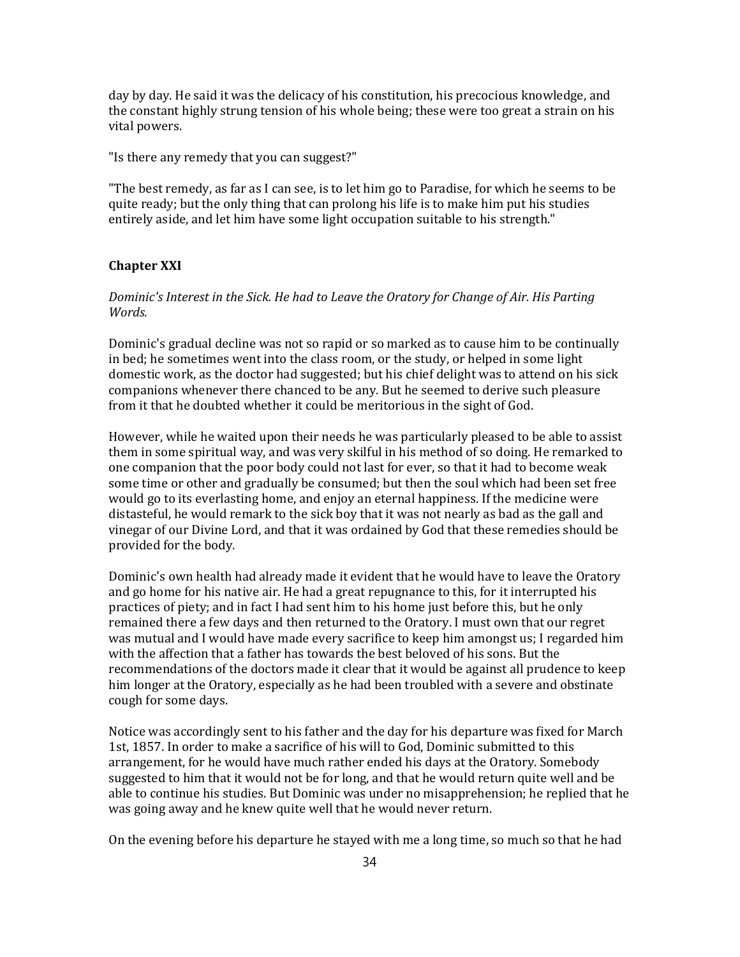day by day. He said it was the delicacy of his constitution, his precocious knowledge, and the constant highly strung tension of his whole being; these were too great a strain on his vital powers.

"Is there any remedy that you can suggest?"

"The best remedy, as far as I can see, is to let him go to Paradise, for which he seems to be quite ready; but the only thing that can prolong his life is to make him put his studies entirely aside, and let him have some light occupation suitable to his strength."

# Chapter XXI

# Dominic's Interest in the Sick. He had to Leave the Oratory for Change of Air. His Parting Words.

Dominic's gradual decline was not so rapid or so marked as to cause him to be continually in bed; he sometimes went into the class room, or the study, or helped in some light domestic work, as the doctor had suggested; but his chief delight was to attend on his sick companions whenever there chanced to be any. But he seemed to derive such pleasure from it that he doubted whether it could be meritorious in the sight of God.

However, while he waited upon their needs he was particularly pleased to be able to assist them in some spiritual way, and was very skilful in his method of so doing. He remarked to one companion that the poor body could not last for ever, so that it had to become weak some time or other and gradually be consumed; but then the soul which had been set free would go to its everlasting home, and enjoy an eternal happiness. If the medicine were distasteful, he would remark to the sick boy that it was not nearly as bad as the gall and vinegar of our Divine Lord, and that it was ordained by God that these remedies should be provided for the body.

Dominic's own health had already made it evident that he would have to leave the Oratory and go home for his native air. He had a great repugnance to this, for it interrupted his practices of piety; and in fact I had sent him to his home just before this, but he only remained there a few days and then returned to the Oratory. I must own that our regret was mutual and I would have made every sacrifice to keep him amongst us; I regarded him with the affection that a father has towards the best beloved of his sons. But the recommendations of the doctors made it clear that it would be against all prudence to keep him longer at the Oratory, especially as he had been troubled with a severe and obstinate cough for some days.

Notice was accordingly sent to his father and the day for his departure was fixed for March 1st, 1857. In order to make a sacrifice of his will to God, Dominic submitted to this arrangement, for he would have much rather ended his days at the Oratory. Somebody suggested to him that it would not be for long, and that he would return quite well and be able to continue his studies. But Dominic was under no misapprehension; he replied that he was going away and he knew quite well that he would never return.

On the evening before his departure he stayed with me a long time, so much so that he had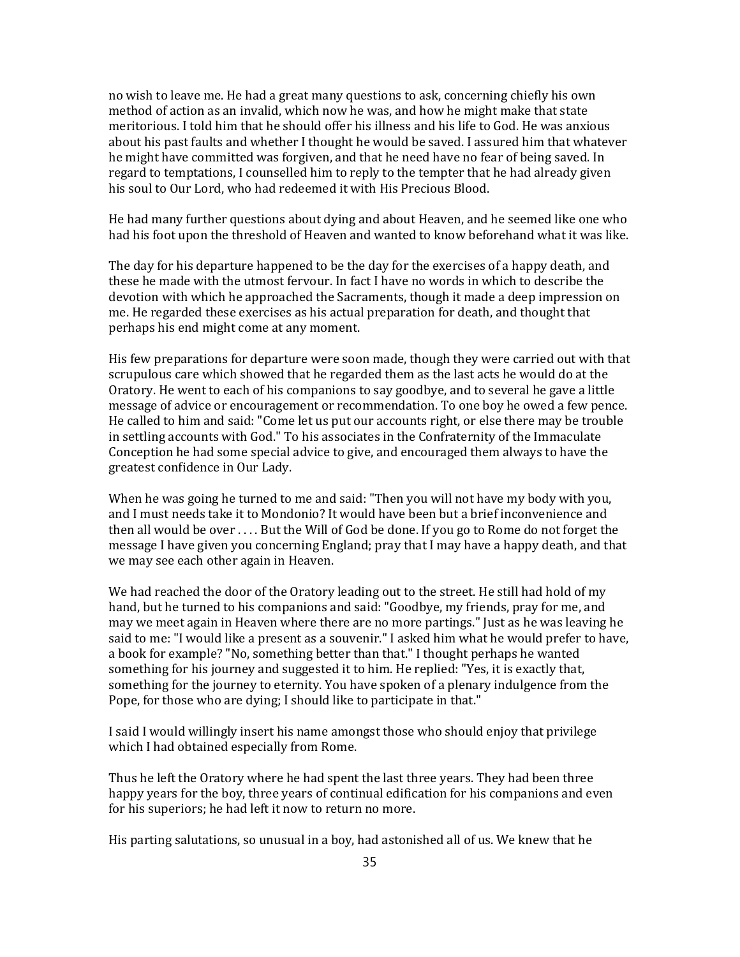no wish to leave me. He had a great many questions to ask, concerning chiefly his own method of action as an invalid, which now he was, and how he might make that state meritorious. I told him that he should offer his illness and his life to God. He was anxious about his past faults and whether I thought he would be saved. I assured him that whatever he might have committed was forgiven, and that he need have no fear of being saved. In regard to temptations, I counselled him to reply to the tempter that he had already given his soul to Our Lord, who had redeemed it with His Precious Blood.

He had many further questions about dying and about Heaven, and he seemed like one who had his foot upon the threshold of Heaven and wanted to know beforehand what it was like.

The day for his departure happened to be the day for the exercises of a happy death, and these he made with the utmost fervour. In fact I have no words in which to describe the devotion with which he approached the Sacraments, though it made a deep impression on me. He regarded these exercises as his actual preparation for death, and thought that perhaps his end might come at any moment.

His few preparations for departure were soon made, though they were carried out with that scrupulous care which showed that he regarded them as the last acts he would do at the Oratory. He went to each of his companions to say goodbye, and to several he gave a little message of advice or encouragement or recommendation. To one boy he owed a few pence. He called to him and said: "Come let us put our accounts right, or else there may be trouble in settling accounts with God." To his associates in the Confraternity of the Immaculate Conception he had some special advice to give, and encouraged them always to have the greatest confidence in Our Lady.

When he was going he turned to me and said: "Then you will not have my body with you, and I must needs take it to Mondonio? It would have been but a brief inconvenience and then all would be over . . . . But the Will of God be done. If you go to Rome do not forget the message I have given you concerning England; pray that I may have a happy death, and that we may see each other again in Heaven.

We had reached the door of the Oratory leading out to the street. He still had hold of my hand, but he turned to his companions and said: "Goodbye, my friends, pray for me, and may we meet again in Heaven where there are no more partings." Just as he was leaving he said to me: "I would like a present as a souvenir." I asked him what he would prefer to have, a book for example? "No, something better than that." I thought perhaps he wanted something for his journey and suggested it to him. He replied: "Yes, it is exactly that, something for the journey to eternity. You have spoken of a plenary indulgence from the Pope, for those who are dying; I should like to participate in that."

I said I would willingly insert his name amongst those who should enjoy that privilege which I had obtained especially from Rome.

Thus he left the Oratory where he had spent the last three years. They had been three happy years for the boy, three years of continual edification for his companions and even for his superiors; he had left it now to return no more.

His parting salutations, so unusual in a boy, had astonished all of us. We knew that he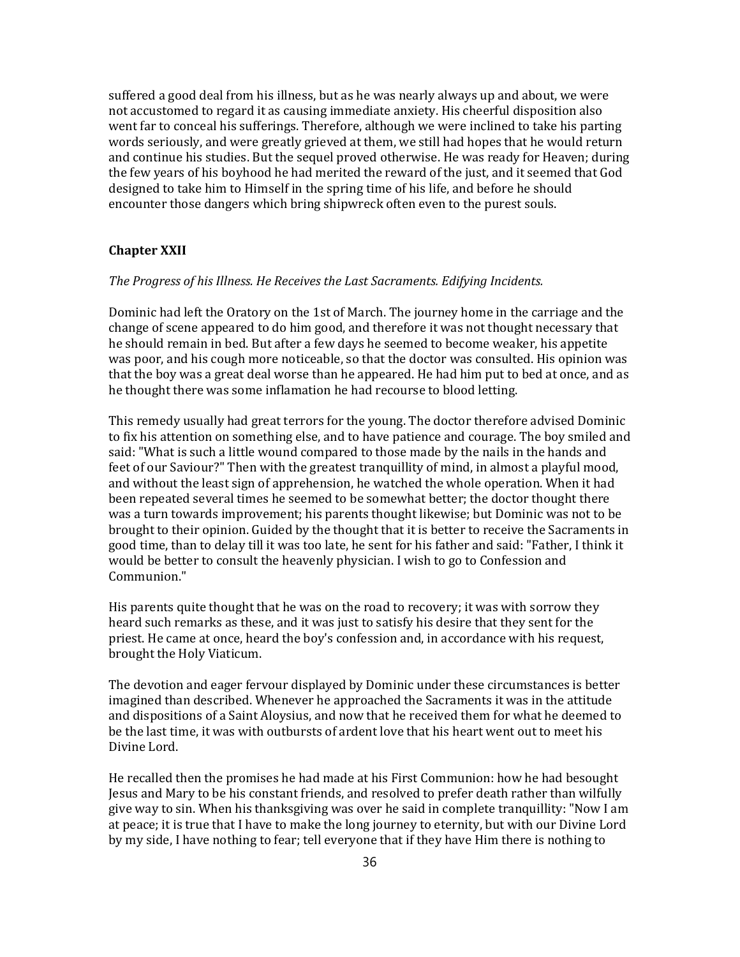suffered a good deal from his illness, but as he was nearly always up and about, we were not accustomed to regard it as causing immediate anxiety. His cheerful disposition also went far to conceal his sufferings. Therefore, although we were inclined to take his parting words seriously, and were greatly grieved at them, we still had hopes that he would return and continue his studies. But the sequel proved otherwise. He was ready for Heaven; during the few years of his boyhood he had merited the reward of the just, and it seemed that God designed to take him to Himself in the spring time of his life, and before he should encounter those dangers which bring shipwreck often even to the purest souls.

#### Chapter XXII

#### The Progress of his Illness. He Receives the Last Sacraments. Edifying Incidents.

Dominic had left the Oratory on the 1st of March. The journey home in the carriage and the change of scene appeared to do him good, and therefore it was not thought necessary that he should remain in bed. But after a few days he seemed to become weaker, his appetite was poor, and his cough more noticeable, so that the doctor was consulted. His opinion was that the boy was a great deal worse than he appeared. He had him put to bed at once, and as he thought there was some inflamation he had recourse to blood letting.

This remedy usually had great terrors for the young. The doctor therefore advised Dominic to fix his attention on something else, and to have patience and courage. The boy smiled and said: "What is such a little wound compared to those made by the nails in the hands and feet of our Saviour?" Then with the greatest tranquillity of mind, in almost a playful mood, and without the least sign of apprehension, he watched the whole operation. When it had been repeated several times he seemed to be somewhat better; the doctor thought there was a turn towards improvement; his parents thought likewise; but Dominic was not to be brought to their opinion. Guided by the thought that it is better to receive the Sacraments in good time, than to delay till it was too late, he sent for his father and said: "Father, I think it would be better to consult the heavenly physician. I wish to go to Confession and Communion."

His parents quite thought that he was on the road to recovery; it was with sorrow they heard such remarks as these, and it was just to satisfy his desire that they sent for the priest. He came at once, heard the boy's confession and, in accordance with his request, brought the Holy Viaticum.

The devotion and eager fervour displayed by Dominic under these circumstances is better imagined than described. Whenever he approached the Sacraments it was in the attitude and dispositions of a Saint Aloysius, and now that he received them for what he deemed to be the last time, it was with outbursts of ardent love that his heart went out to meet his Divine Lord.

He recalled then the promises he had made at his First Communion: how he had besought Jesus and Mary to be his constant friends, and resolved to prefer death rather than wilfully give way to sin. When his thanksgiving was over he said in complete tranquillity: "Now I am at peace; it is true that I have to make the long journey to eternity, but with our Divine Lord by my side, I have nothing to fear; tell everyone that if they have Him there is nothing to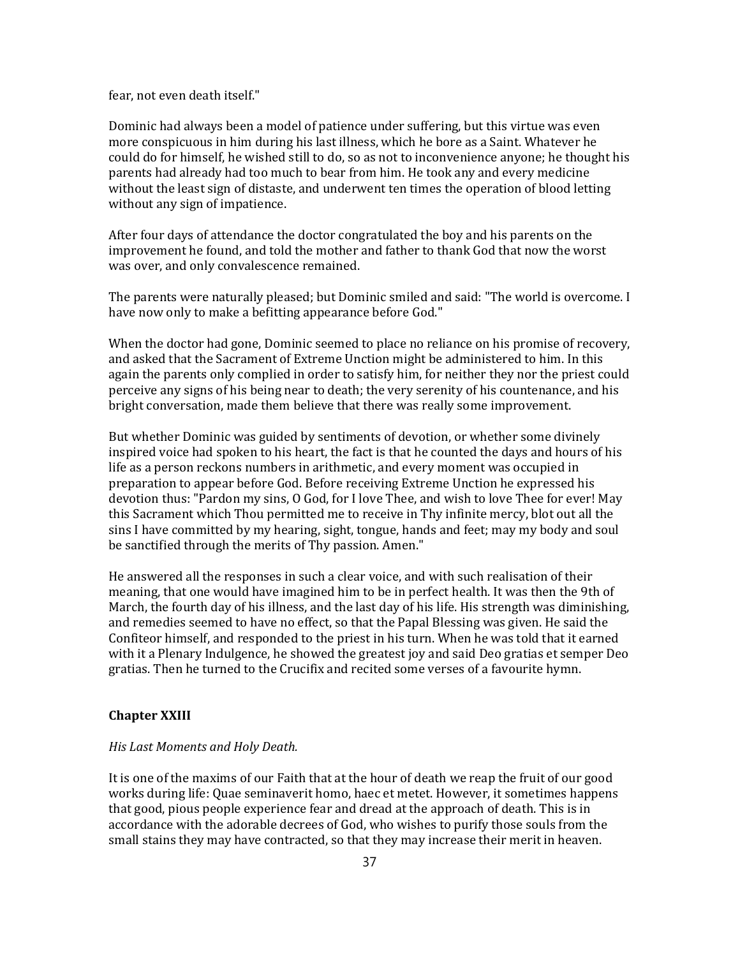fear, not even death itself."

Dominic had always been a model of patience under suffering, but this virtue was even more conspicuous in him during his last illness, which he bore as a Saint. Whatever he could do for himself, he wished still to do, so as not to inconvenience anyone; he thought his parents had already had too much to bear from him. He took any and every medicine without the least sign of distaste, and underwent ten times the operation of blood letting without any sign of impatience.

After four days of attendance the doctor congratulated the boy and his parents on the improvement he found, and told the mother and father to thank God that now the worst was over, and only convalescence remained.

The parents were naturally pleased; but Dominic smiled and said: "The world is overcome. I have now only to make a befitting appearance before God."

When the doctor had gone, Dominic seemed to place no reliance on his promise of recovery, and asked that the Sacrament of Extreme Unction might be administered to him. In this again the parents only complied in order to satisfy him, for neither they nor the priest could perceive any signs of his being near to death; the very serenity of his countenance, and his bright conversation, made them believe that there was really some improvement.

But whether Dominic was guided by sentiments of devotion, or whether some divinely inspired voice had spoken to his heart, the fact is that he counted the days and hours of his life as a person reckons numbers in arithmetic, and every moment was occupied in preparation to appear before God. Before receiving Extreme Unction he expressed his devotion thus: "Pardon my sins, O God, for I love Thee, and wish to love Thee for ever! May this Sacrament which Thou permitted me to receive in Thy infinite mercy, blot out all the sins I have committed by my hearing, sight, tongue, hands and feet; may my body and soul be sanctified through the merits of Thy passion. Amen."

He answered all the responses in such a clear voice, and with such realisation of their meaning, that one would have imagined him to be in perfect health. It was then the 9th of March, the fourth day of his illness, and the last day of his life. His strength was diminishing, and remedies seemed to have no effect, so that the Papal Blessing was given. He said the Confiteor himself, and responded to the priest in his turn. When he was told that it earned with it a Plenary Indulgence, he showed the greatest joy and said Deo gratias et semper Deo gratias. Then he turned to the Crucifix and recited some verses of a favourite hymn.

#### Chapter XXIII

#### His Last Moments and Holy Death.

It is one of the maxims of our Faith that at the hour of death we reap the fruit of our good works during life: Quae seminaverit homo, haec et metet. However, it sometimes happens that good, pious people experience fear and dread at the approach of death. This is in accordance with the adorable decrees of God, who wishes to purify those souls from the small stains they may have contracted, so that they may increase their merit in heaven.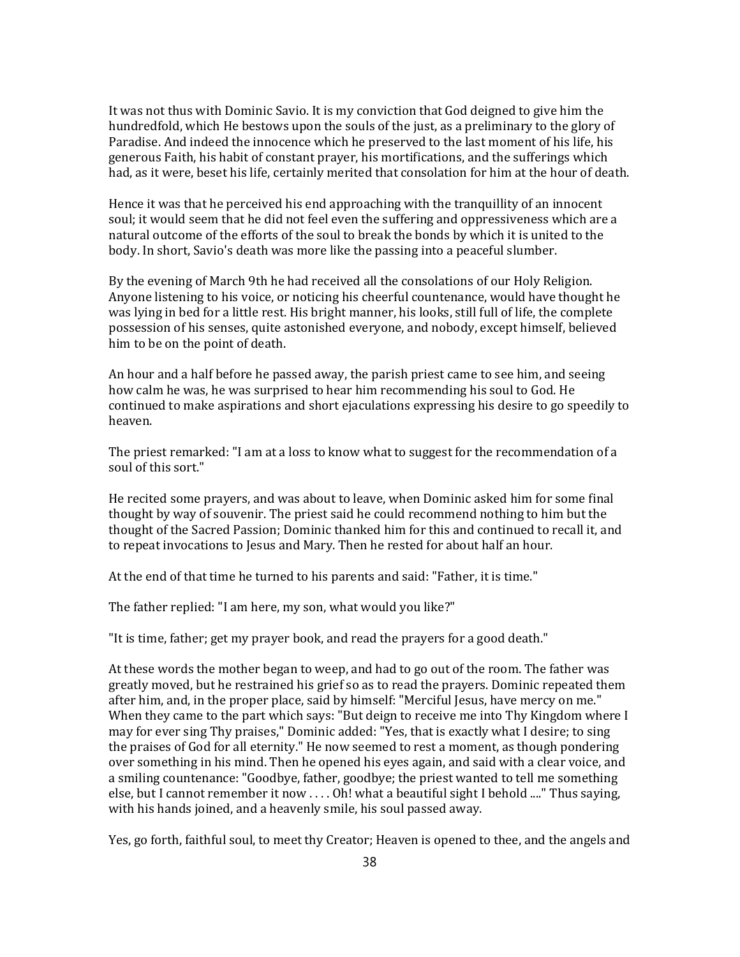It was not thus with Dominic Savio. It is my conviction that God deigned to give him the hundredfold, which He bestows upon the souls of the just, as a preliminary to the glory of Paradise. And indeed the innocence which he preserved to the last moment of his life, his generous Faith, his habit of constant prayer, his mortifications, and the sufferings which had, as it were, beset his life, certainly merited that consolation for him at the hour of death.

Hence it was that he perceived his end approaching with the tranquillity of an innocent soul; it would seem that he did not feel even the suffering and oppressiveness which are a natural outcome of the efforts of the soul to break the bonds by which it is united to the body. In short, Savio's death was more like the passing into a peaceful slumber.

By the evening of March 9th he had received all the consolations of our Holy Religion. Anyone listening to his voice, or noticing his cheerful countenance, would have thought he was lying in bed for a little rest. His bright manner, his looks, still full of life, the complete possession of his senses, quite astonished everyone, and nobody, except himself, believed him to be on the point of death.

An hour and a half before he passed away, the parish priest came to see him, and seeing how calm he was, he was surprised to hear him recommending his soul to God. He continued to make aspirations and short ejaculations expressing his desire to go speedily to heaven.

The priest remarked: "I am at a loss to know what to suggest for the recommendation of a soul of this sort."

He recited some prayers, and was about to leave, when Dominic asked him for some final thought by way of souvenir. The priest said he could recommend nothing to him but the thought of the Sacred Passion; Dominic thanked him for this and continued to recall it, and to repeat invocations to Jesus and Mary. Then he rested for about half an hour.

At the end of that time he turned to his parents and said: "Father, it is time."

The father replied: "I am here, my son, what would you like?"

"It is time, father; get my prayer book, and read the prayers for a good death."

At these words the mother began to weep, and had to go out of the room. The father was greatly moved, but he restrained his grief so as to read the prayers. Dominic repeated them after him, and, in the proper place, said by himself: "Merciful Jesus, have mercy on me." When they came to the part which says: "But deign to receive me into Thy Kingdom where I may for ever sing Thy praises," Dominic added: "Yes, that is exactly what I desire; to sing the praises of God for all eternity." He now seemed to rest a moment, as though pondering over something in his mind. Then he opened his eyes again, and said with a clear voice, and a smiling countenance: "Goodbye, father, goodbye; the priest wanted to tell me something else, but I cannot remember it now . . . . Oh! what a beautiful sight I behold ...." Thus saying, with his hands joined, and a heavenly smile, his soul passed away.

Yes, go forth, faithful soul, to meet thy Creator; Heaven is opened to thee, and the angels and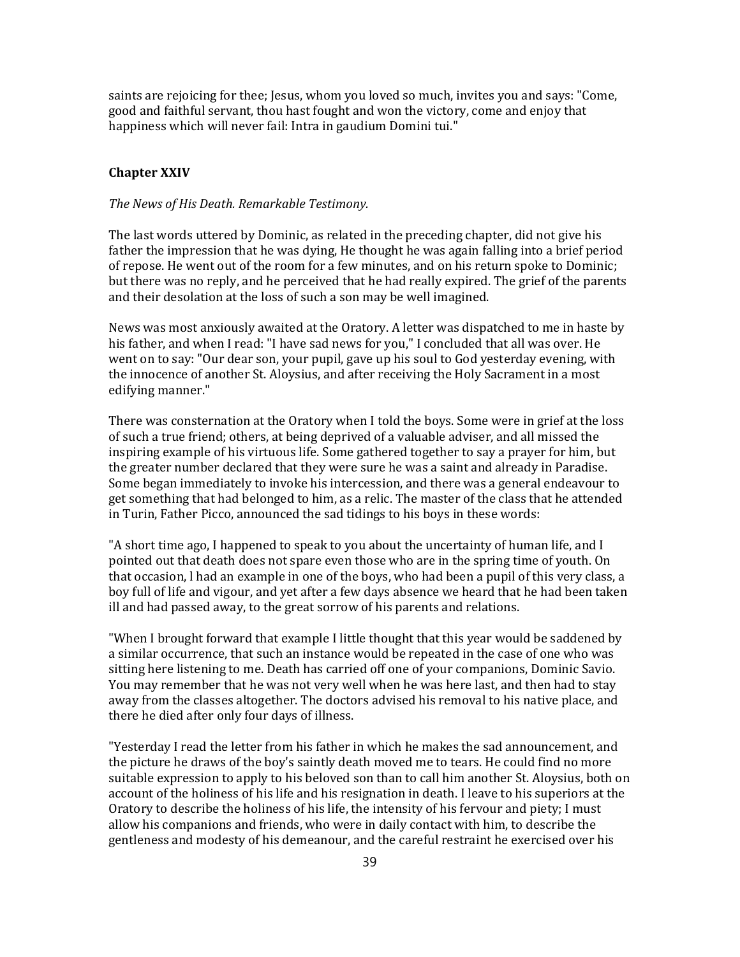saints are rejoicing for thee; Jesus, whom you loved so much, invites you and says: "Come, good and faithful servant, thou hast fought and won the victory, come and enjoy that happiness which will never fail: Intra in gaudium Domini tui."

#### Chapter XXIV

#### The News of His Death. Remarkable Testimony.

The last words uttered by Dominic, as related in the preceding chapter, did not give his father the impression that he was dying, He thought he was again falling into a brief period of repose. He went out of the room for a few minutes, and on his return spoke to Dominic; but there was no reply, and he perceived that he had really expired. The grief of the parents and their desolation at the loss of such a son may be well imagined.

News was most anxiously awaited at the Oratory. A letter was dispatched to me in haste by his father, and when I read: "I have sad news for you," I concluded that all was over. He went on to say: "Our dear son, your pupil, gave up his soul to God yesterday evening, with the innocence of another St. Aloysius, and after receiving the Holy Sacrament in a most edifying manner."

There was consternation at the Oratory when I told the boys. Some were in grief at the loss of such a true friend; others, at being deprived of a valuable adviser, and all missed the inspiring example of his virtuous life. Some gathered together to say a prayer for him, but the greater number declared that they were sure he was a saint and already in Paradise. Some began immediately to invoke his intercession, and there was a general endeavour to get something that had belonged to him, as a relic. The master of the class that he attended in Turin, Father Picco, announced the sad tidings to his boys in these words:

"A short time ago, I happened to speak to you about the uncertainty of human life, and I pointed out that death does not spare even those who are in the spring time of youth. On that occasion, l had an example in one of the boys, who had been a pupil of this very class, a boy full of life and vigour, and yet after a few days absence we heard that he had been taken ill and had passed away, to the great sorrow of his parents and relations.

"When I brought forward that example I little thought that this year would be saddened by a similar occurrence, that such an instance would be repeated in the case of one who was sitting here listening to me. Death has carried off one of your companions, Dominic Savio. You may remember that he was not very well when he was here last, and then had to stay away from the classes altogether. The doctors advised his removal to his native place, and there he died after only four days of illness.

"Yesterday I read the letter from his father in which he makes the sad announcement, and the picture he draws of the boy's saintly death moved me to tears. He could find no more suitable expression to apply to his beloved son than to call him another St. Aloysius, both on account of the holiness of his life and his resignation in death. I leave to his superiors at the Oratory to describe the holiness of his life, the intensity of his fervour and piety; I must allow his companions and friends, who were in daily contact with him, to describe the gentleness and modesty of his demeanour, and the careful restraint he exercised over his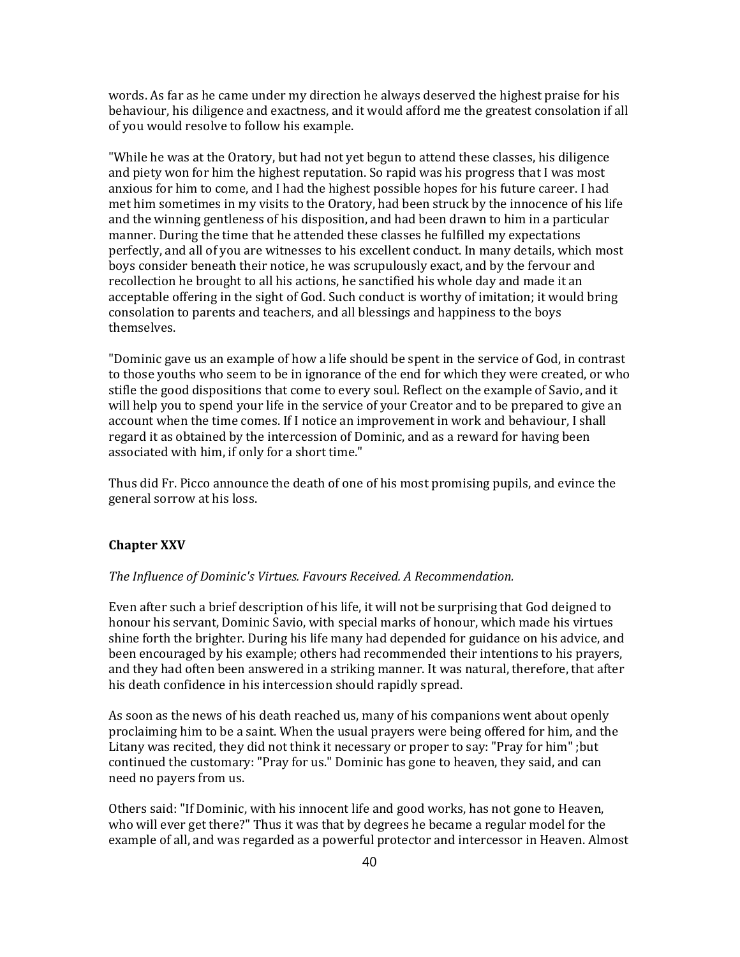words. As far as he came under my direction he always deserved the highest praise for his behaviour, his diligence and exactness, and it would afford me the greatest consolation if all of you would resolve to follow his example.

"While he was at the Oratory, but had not yet begun to attend these classes, his diligence and piety won for him the highest reputation. So rapid was his progress that I was most anxious for him to come, and I had the highest possible hopes for his future career. I had met him sometimes in my visits to the Oratory, had been struck by the innocence of his life and the winning gentleness of his disposition, and had been drawn to him in a particular manner. During the time that he attended these classes he fulfilled my expectations perfectly, and all of you are witnesses to his excellent conduct. In many details, which most boys consider beneath their notice, he was scrupulously exact, and by the fervour and recollection he brought to all his actions, he sanctified his whole day and made it an acceptable offering in the sight of God. Such conduct is worthy of imitation; it would bring consolation to parents and teachers, and all blessings and happiness to the boys themselves.

"Dominic gave us an example of how a life should be spent in the service of God, in contrast to those youths who seem to be in ignorance of the end for which they were created, or who stifle the good dispositions that come to every soul. Reflect on the example of Savio, and it will help you to spend your life in the service of your Creator and to be prepared to give an account when the time comes. If I notice an improvement in work and behaviour, I shall regard it as obtained by the intercession of Dominic, and as a reward for having been associated with him, if only for a short time."

Thus did Fr. Picco announce the death of one of his most promising pupils, and evince the general sorrow at his loss.

### Chapter XXV

#### The Influence of Dominic's Virtues. Favours Received. A Recommendation.

Even after such a brief description of his life, it will not be surprising that God deigned to honour his servant, Dominic Savio, with special marks of honour, which made his virtues shine forth the brighter. During his life many had depended for guidance on his advice, and been encouraged by his example; others had recommended their intentions to his prayers, and they had often been answered in a striking manner. It was natural, therefore, that after his death confidence in his intercession should rapidly spread.

As soon as the news of his death reached us, many of his companions went about openly proclaiming him to be a saint. When the usual prayers were being offered for him, and the Litany was recited, they did not think it necessary or proper to say: "Pray for him" ;but continued the customary: "Pray for us." Dominic has gone to heaven, they said, and can need no payers from us.

Others said: "If Dominic, with his innocent life and good works, has not gone to Heaven, who will ever get there?" Thus it was that by degrees he became a regular model for the example of all, and was regarded as a powerful protector and intercessor in Heaven. Almost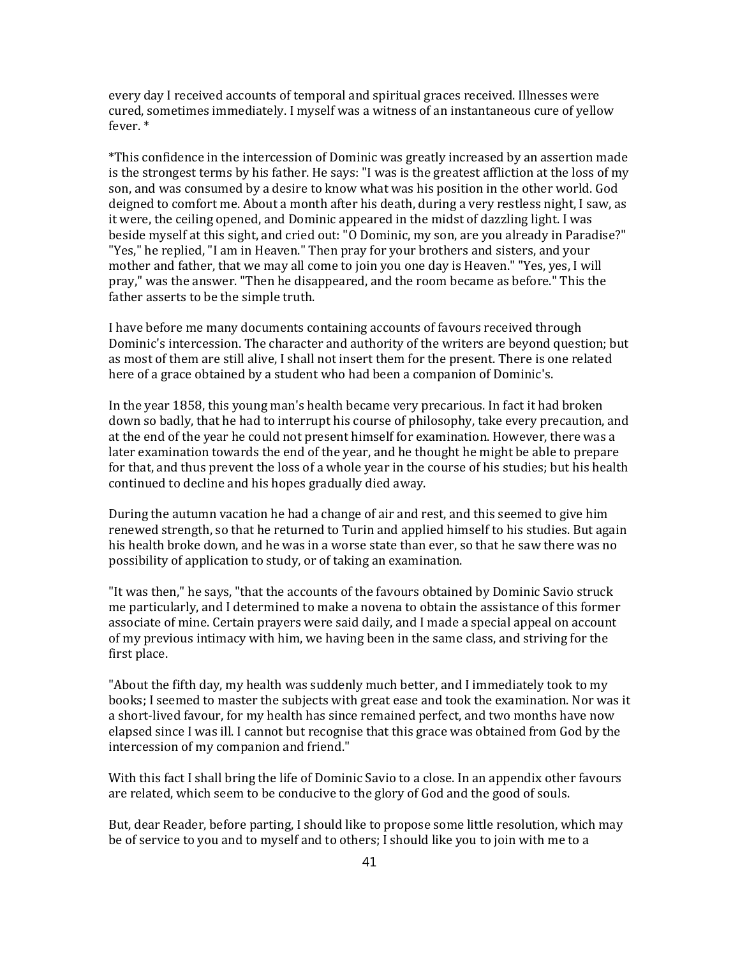every day I received accounts of temporal and spiritual graces received. Illnesses were cured, sometimes immediately. I myself was a witness of an instantaneous cure of yellow fever. \*

\*This confidence in the intercession of Dominic was greatly increased by an assertion made is the strongest terms by his father. He says: "I was is the greatest affliction at the loss of my son, and was consumed by a desire to know what was his position in the other world. God deigned to comfort me. About a month after his death, during a very restless night, I saw, as it were, the ceiling opened, and Dominic appeared in the midst of dazzling light. I was beside myself at this sight, and cried out: "O Dominic, my son, are you already in Paradise?" "Yes," he replied, "I am in Heaven." Then pray for your brothers and sisters, and your mother and father, that we may all come to join you one day is Heaven." "Yes, yes, I will pray," was the answer. "Then he disappeared, and the room became as before." This the father asserts to be the simple truth.

I have before me many documents containing accounts of favours received through Dominic's intercession. The character and authority of the writers are beyond question; but as most of them are still alive, I shall not insert them for the present. There is one related here of a grace obtained by a student who had been a companion of Dominic's.

In the year 1858, this young man's health became very precarious. In fact it had broken down so badly, that he had to interrupt his course of philosophy, take every precaution, and at the end of the year he could not present himself for examination. However, there was a later examination towards the end of the year, and he thought he might be able to prepare for that, and thus prevent the loss of a whole year in the course of his studies; but his health continued to decline and his hopes gradually died away.

During the autumn vacation he had a change of air and rest, and this seemed to give him renewed strength, so that he returned to Turin and applied himself to his studies. But again his health broke down, and he was in a worse state than ever, so that he saw there was no possibility of application to study, or of taking an examination.

"It was then," he says, "that the accounts of the favours obtained by Dominic Savio struck me particularly, and I determined to make a novena to obtain the assistance of this former associate of mine. Certain prayers were said daily, and I made a special appeal on account of my previous intimacy with him, we having been in the same class, and striving for the first place.

"About the fifth day, my health was suddenly much better, and I immediately took to my books; I seemed to master the subjects with great ease and took the examination. Nor was it a short-lived favour, for my health has since remained perfect, and two months have now elapsed since I was ill. I cannot but recognise that this grace was obtained from God by the intercession of my companion and friend."

With this fact I shall bring the life of Dominic Savio to a close. In an appendix other favours are related, which seem to be conducive to the glory of God and the good of souls.

But, dear Reader, before parting, I should like to propose some little resolution, which may be of service to you and to myself and to others; I should like you to join with me to a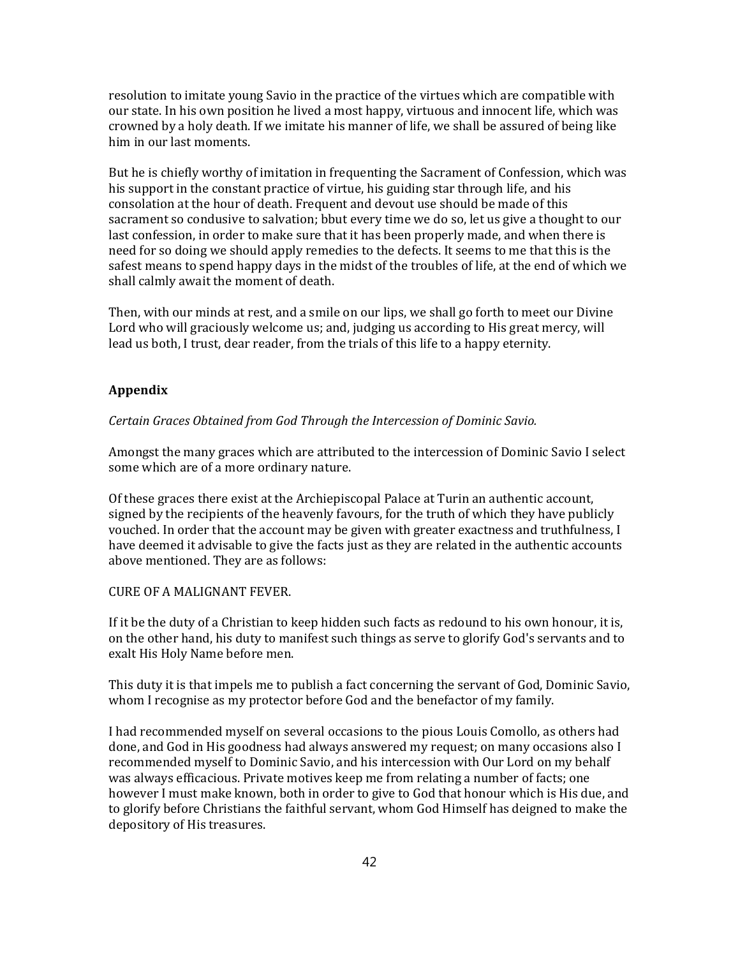resolution to imitate young Savio in the practice of the virtues which are compatible with our state. In his own position he lived a most happy, virtuous and innocent life, which was crowned by a holy death. If we imitate his manner of life, we shall be assured of being like him in our last moments.

But he is chiefly worthy of imitation in frequenting the Sacrament of Confession, which was his support in the constant practice of virtue, his guiding star through life, and his consolation at the hour of death. Frequent and devout use should be made of this sacrament so condusive to salvation; bbut every time we do so, let us give a thought to our last confession, in order to make sure that it has been properly made, and when there is need for so doing we should apply remedies to the defects. It seems to me that this is the safest means to spend happy days in the midst of the troubles of life, at the end of which we shall calmly await the moment of death.

Then, with our minds at rest, and a smile on our lips, we shall go forth to meet our Divine Lord who will graciously welcome us; and, judging us according to His great mercy, will lead us both, I trust, dear reader, from the trials of this life to a happy eternity.

#### Appendix

Certain Graces Obtained from God Through the Intercession of Dominic Savio.

Amongst the many graces which are attributed to the intercession of Dominic Savio I select some which are of a more ordinary nature.

Of these graces there exist at the Archiepiscopal Palace at Turin an authentic account, signed by the recipients of the heavenly favours, for the truth of which they have publicly vouched. In order that the account may be given with greater exactness and truthfulness, I have deemed it advisable to give the facts just as they are related in the authentic accounts above mentioned. They are as follows:

# CURE OF A MALIGNANT FEVER.

If it be the duty of a Christian to keep hidden such facts as redound to his own honour, it is, on the other hand, his duty to manifest such things as serve to glorify God's servants and to exalt His Holy Name before men.

This duty it is that impels me to publish a fact concerning the servant of God, Dominic Savio, whom I recognise as my protector before God and the benefactor of my family.

I had recommended myself on several occasions to the pious Louis Comollo, as others had done, and God in His goodness had always answered my request; on many occasions also I recommended myself to Dominic Savio, and his intercession with Our Lord on my behalf was always efficacious. Private motives keep me from relating a number of facts; one however I must make known, both in order to give to God that honour which is His due, and to glorify before Christians the faithful servant, whom God Himself has deigned to make the depository of His treasures.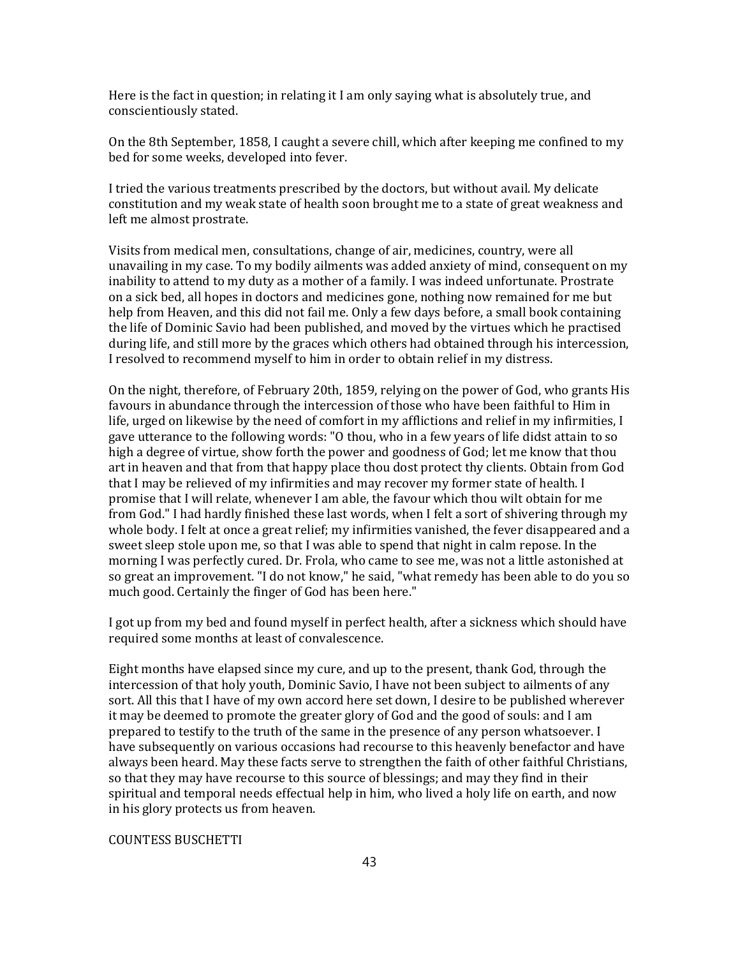Here is the fact in question; in relating it I am only saying what is absolutely true, and conscientiously stated.

On the 8th September, 1858, I caught a severe chill, which after keeping me confined to my bed for some weeks, developed into fever.

I tried the various treatments prescribed by the doctors, but without avail. My delicate constitution and my weak state of health soon brought me to a state of great weakness and left me almost prostrate.

Visits from medical men, consultations, change of air, medicines, country, were all unavailing in my case. To my bodily ailments was added anxiety of mind, consequent on my inability to attend to my duty as a mother of a family. I was indeed unfortunate. Prostrate on a sick bed, all hopes in doctors and medicines gone, nothing now remained for me but help from Heaven, and this did not fail me. Only a few days before, a small book containing the life of Dominic Savio had been published, and moved by the virtues which he practised during life, and still more by the graces which others had obtained through his intercession, I resolved to recommend myself to him in order to obtain relief in my distress.

On the night, therefore, of February 20th, 1859, relying on the power of God, who grants His favours in abundance through the intercession of those who have been faithful to Him in life, urged on likewise by the need of comfort in my afflictions and relief in my infirmities, I gave utterance to the following words: "O thou, who in a few years of life didst attain to so high a degree of virtue, show forth the power and goodness of God; let me know that thou art in heaven and that from that happy place thou dost protect thy clients. Obtain from God that I may be relieved of my infirmities and may recover my former state of health. I promise that I will relate, whenever I am able, the favour which thou wilt obtain for me from God." I had hardly finished these last words, when I felt a sort of shivering through my whole body. I felt at once a great relief; my infirmities vanished, the fever disappeared and a sweet sleep stole upon me, so that I was able to spend that night in calm repose. In the morning I was perfectly cured. Dr. Frola, who came to see me, was not a little astonished at so great an improvement. "I do not know," he said, "what remedy has been able to do you so much good. Certainly the finger of God has been here."

I got up from my bed and found myself in perfect health, after a sickness which should have required some months at least of convalescence.

Eight months have elapsed since my cure, and up to the present, thank God, through the intercession of that holy youth, Dominic Savio, I have not been subject to ailments of any sort. All this that I have of my own accord here set down, I desire to be published wherever it may be deemed to promote the greater glory of God and the good of souls: and I am prepared to testify to the truth of the same in the presence of any person whatsoever. I have subsequently on various occasions had recourse to this heavenly benefactor and have always been heard. May these facts serve to strengthen the faith of other faithful Christians, so that they may have recourse to this source of blessings; and may they find in their spiritual and temporal needs effectual help in him, who lived a holy life on earth, and now in his glory protects us from heaven.

#### COUNTESS BUSCHETTI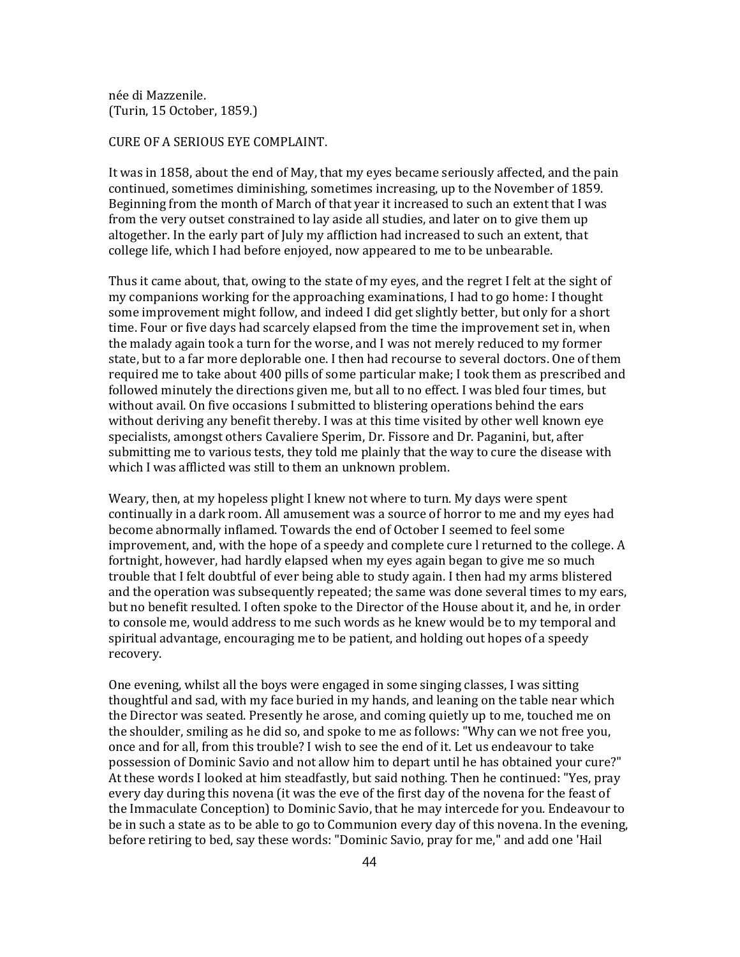née di Mazzenile. (Turin, 15 October, 1859.)

#### CURE OF A SERIOUS EYE COMPLAINT.

It was in 1858, about the end of May, that my eyes became seriously affected, and the pain continued, sometimes diminishing, sometimes increasing, up to the November of 1859. Beginning from the month of March of that year it increased to such an extent that I was from the very outset constrained to lay aside all studies, and later on to give them up altogether. In the early part of July my affliction had increased to such an extent, that college life, which I had before enjoyed, now appeared to me to be unbearable.

Thus it came about, that, owing to the state of my eyes, and the regret I felt at the sight of my companions working for the approaching examinations, I had to go home: I thought some improvement might follow, and indeed I did get slightly better, but only for a short time. Four or five days had scarcely elapsed from the time the improvement set in, when the malady again took a turn for the worse, and I was not merely reduced to my former state, but to a far more deplorable one. I then had recourse to several doctors. One of them required me to take about 400 pills of some particular make; I took them as prescribed and followed minutely the directions given me, but all to no effect. I was bled four times, but without avail. On five occasions I submitted to blistering operations behind the ears without deriving any benefit thereby. I was at this time visited by other well known eye specialists, amongst others Cavaliere Sperim, Dr. Fissore and Dr. Paganini, but, after submitting me to various tests, they told me plainly that the way to cure the disease with which I was afflicted was still to them an unknown problem.

Weary, then, at my hopeless plight I knew not where to turn. My days were spent continually in a dark room. All amusement was a source of horror to me and my eyes had become abnormally inflamed. Towards the end of October I seemed to feel some improvement, and, with the hope of a speedy and complete cure l returned to the college. A fortnight, however, had hardly elapsed when my eyes again began to give me so much trouble that I felt doubtful of ever being able to study again. I then had my arms blistered and the operation was subsequently repeated; the same was done several times to my ears, but no benefit resulted. I often spoke to the Director of the House about it, and he, in order to console me, would address to me such words as he knew would be to my temporal and spiritual advantage, encouraging me to be patient, and holding out hopes of a speedy recovery.

One evening, whilst all the boys were engaged in some singing classes, I was sitting thoughtful and sad, with my face buried in my hands, and leaning on the table near which the Director was seated. Presently he arose, and coming quietly up to me, touched me on the shoulder, smiling as he did so, and spoke to me as follows: "Why can we not free you, once and for all, from this trouble? I wish to see the end of it. Let us endeavour to take possession of Dominic Savio and not allow him to depart until he has obtained your cure?" At these words I looked at him steadfastly, but said nothing. Then he continued: "Yes, pray every day during this novena (it was the eve of the first day of the novena for the feast of the Immaculate Conception) to Dominic Savio, that he may intercede for you. Endeavour to be in such a state as to be able to go to Communion every day of this novena. In the evening, before retiring to bed, say these words: "Dominic Savio, pray for me," and add one 'Hail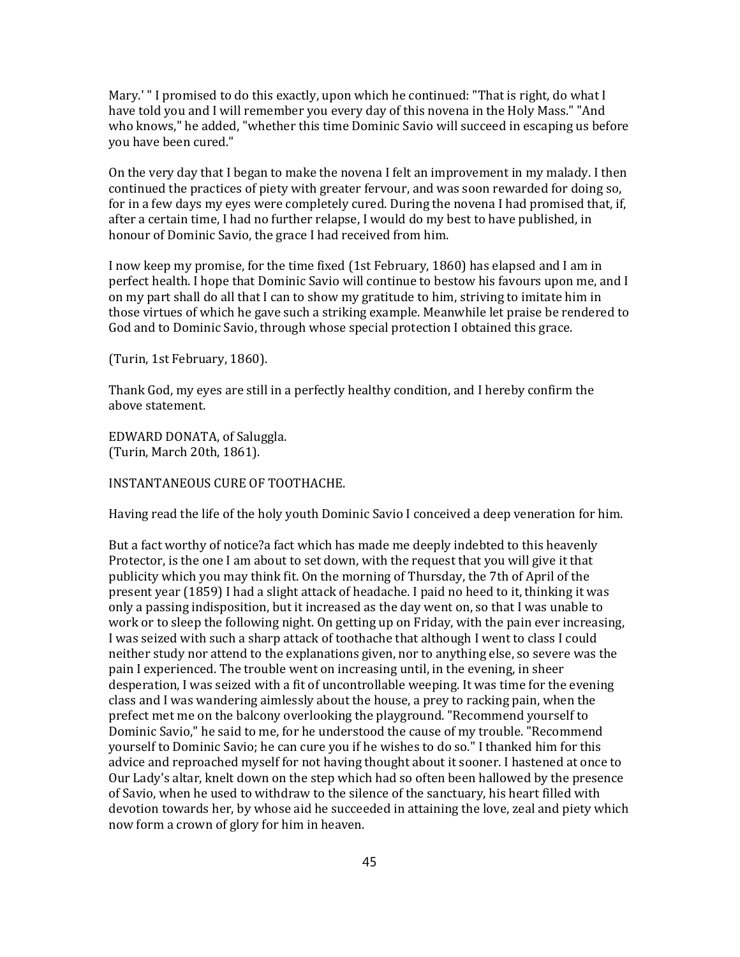Mary.' "I promised to do this exactly, upon which he continued: "That is right, do what I have told you and I will remember you every day of this novena in the Holy Mass." "And who knows," he added, "whether this time Dominic Savio will succeed in escaping us before you have been cured."

On the very day that I began to make the novena I felt an improvement in my malady. I then continued the practices of piety with greater fervour, and was soon rewarded for doing so, for in a few days my eyes were completely cured. During the novena I had promised that, if, after a certain time, I had no further relapse, I would do my best to have published, in honour of Dominic Savio, the grace I had received from him.

I now keep my promise, for the time fixed (1st February, 1860) has elapsed and I am in perfect health. I hope that Dominic Savio will continue to bestow his favours upon me, and I on my part shall do all that I can to show my gratitude to him, striving to imitate him in those virtues of which he gave such a striking example. Meanwhile let praise be rendered to God and to Dominic Savio, through whose special protection I obtained this grace.

(Turin, 1st February, 1860).

Thank God, my eyes are still in a perfectly healthy condition, and I hereby confirm the above statement.

EDWARD DONATA, of Saluggla. (Turin, March 20th, 1861).

#### INSTANTANEOUS CURE OF TOOTHACHE.

Having read the life of the holy youth Dominic Savio I conceived a deep veneration for him.

But a fact worthy of notice?a fact which has made me deeply indebted to this heavenly Protector, is the one I am about to set down, with the request that you will give it that publicity which you may think fit. On the morning of Thursday, the 7th of April of the present year (1859) I had a slight attack of headache. I paid no heed to it, thinking it was only a passing indisposition, but it increased as the day went on, so that I was unable to work or to sleep the following night. On getting up on Friday, with the pain ever increasing, I was seized with such a sharp attack of toothache that although I went to class I could neither study nor attend to the explanations given, nor to anything else, so severe was the pain I experienced. The trouble went on increasing until, in the evening, in sheer desperation, I was seized with a fit of uncontrollable weeping. It was time for the evening class and I was wandering aimlessly about the house, a prey to racking pain, when the prefect met me on the balcony overlooking the playground. "Recommend yourself to Dominic Savio," he said to me, for he understood the cause of my trouble. "Recommend yourself to Dominic Savio; he can cure you if he wishes to do so." I thanked him for this advice and reproached myself for not having thought about it sooner. I hastened at once to Our Lady's altar, knelt down on the step which had so often been hallowed by the presence of Savio, when he used to withdraw to the silence of the sanctuary, his heart filled with devotion towards her, by whose aid he succeeded in attaining the love, zeal and piety which now form a crown of glory for him in heaven.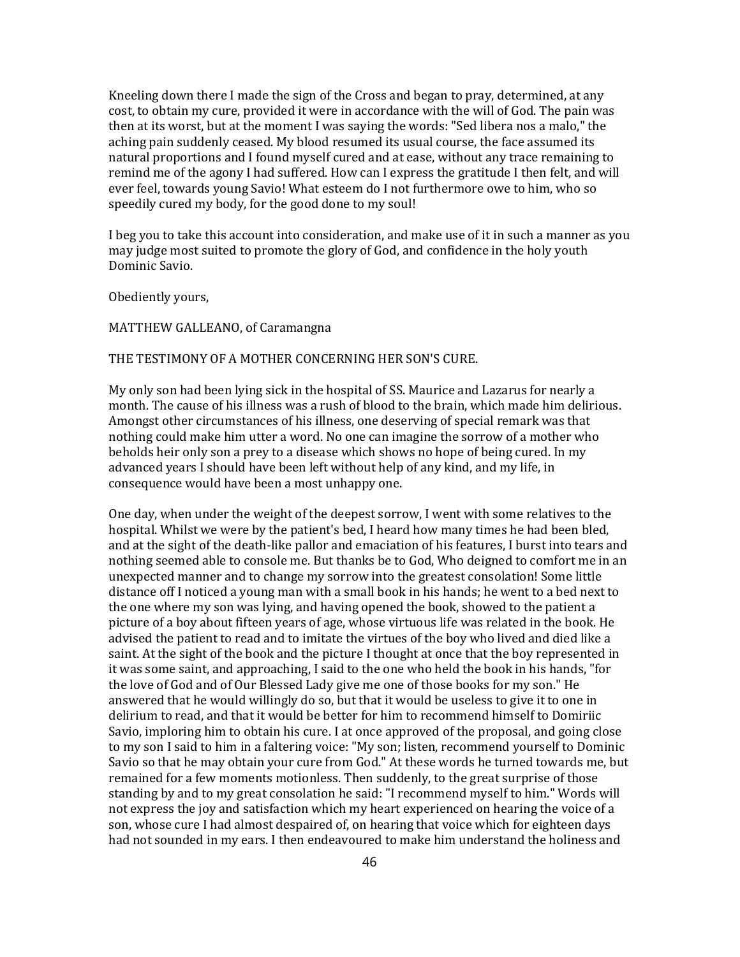Kneeling down there I made the sign of the Cross and began to pray, determined, at any cost, to obtain my cure, provided it were in accordance with the will of God. The pain was then at its worst, but at the moment I was saying the words: "Sed libera nos a malo," the aching pain suddenly ceased. My blood resumed its usual course, the face assumed its natural proportions and I found myself cured and at ease, without any trace remaining to remind me of the agony I had suffered. How can I express the gratitude I then felt, and will ever feel, towards young Savio! What esteem do I not furthermore owe to him, who so speedily cured my body, for the good done to my soul!

I beg you to take this account into consideration, and make use of it in such a manner as you may judge most suited to promote the glory of God, and confidence in the holy youth Dominic Savio.

Obediently yours,

#### MATTHEW GALLEANO, of Caramangna

# THE TESTIMONY OF A MOTHER CONCERNING HER SON'S CURE.

My only son had been lying sick in the hospital of SS. Maurice and Lazarus for nearly a month. The cause of his illness was a rush of blood to the brain, which made him delirious. Amongst other circumstances of his illness, one deserving of special remark was that nothing could make him utter a word. No one can imagine the sorrow of a mother who beholds heir only son a prey to a disease which shows no hope of being cured. In my advanced years I should have been left without help of any kind, and my life, in consequence would have been a most unhappy one.

One day, when under the weight of the deepest sorrow, I went with some relatives to the hospital. Whilst we were by the patient's bed, I heard how many times he had been bled, and at the sight of the death-like pallor and emaciation of his features, I burst into tears and nothing seemed able to console me. But thanks be to God, Who deigned to comfort me in an unexpected manner and to change my sorrow into the greatest consolation! Some little distance off I noticed a young man with a small book in his hands; he went to a bed next to the one where my son was lying, and having opened the book, showed to the patient a picture of a boy about fifteen years of age, whose virtuous life was related in the book. He advised the patient to read and to imitate the virtues of the boy who lived and died like a saint. At the sight of the book and the picture I thought at once that the boy represented in it was some saint, and approaching, I said to the one who held the book in his hands, "for the love of God and of Our Blessed Lady give me one of those books for my son." He answered that he would willingly do so, but that it would be useless to give it to one in delirium to read, and that it would be better for him to recommend himself to Domiriic Savio, imploring him to obtain his cure. I at once approved of the proposal, and going close to my son I said to him in a faltering voice: "My son; listen, recommend yourself to Dominic Savio so that he may obtain your cure from God." At these words he turned towards me, but remained for a few moments motionless. Then suddenly, to the great surprise of those standing by and to my great consolation he said: "I recommend myself to him." Words will not express the joy and satisfaction which my heart experienced on hearing the voice of a son, whose cure I had almost despaired of, on hearing that voice which for eighteen days had not sounded in my ears. I then endeavoured to make him understand the holiness and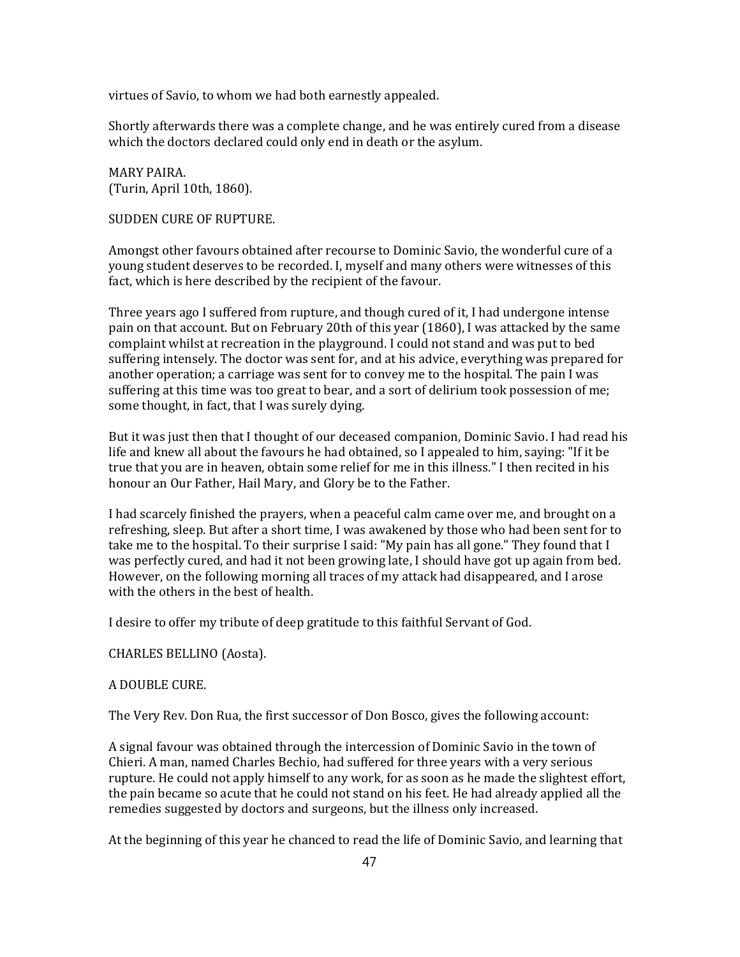virtues of Savio, to whom we had both earnestly appealed.

Shortly afterwards there was a complete change, and he was entirely cured from a disease which the doctors declared could only end in death or the asylum.

MARY PAIRA. (Turin, April 10th, 1860).

SUDDEN CURE OF RUPTURE.

Amongst other favours obtained after recourse to Dominic Savio, the wonderful cure of a young student deserves to be recorded. I, myself and many others were witnesses of this fact, which is here described by the recipient of the favour.

Three years ago I suffered from rupture, and though cured of it, I had undergone intense pain on that account. But on February 20th of this year (1860), I was attacked by the same complaint whilst at recreation in the playground. I could not stand and was put to bed suffering intensely. The doctor was sent for, and at his advice, everything was prepared for another operation; a carriage was sent for to convey me to the hospital. The pain I was suffering at this time was too great to bear, and a sort of delirium took possession of me; some thought, in fact, that I was surely dying.

But it was just then that I thought of our deceased companion, Dominic Savio. I had read his life and knew all about the favours he had obtained, so I appealed to him, saying: "If it be true that you are in heaven, obtain some relief for me in this illness." I then recited in his honour an Our Father, Hail Mary, and Glory be to the Father.

I had scarcely finished the prayers, when a peaceful calm came over me, and brought on a refreshing, sleep. But after a short time, I was awakened by those who had been sent for to take me to the hospital. To their surprise I said: "My pain has all gone." They found that I was perfectly cured, and had it not been growing late, I should have got up again from bed. However, on the following morning all traces of my attack had disappeared, and I arose with the others in the best of health.

I desire to offer my tribute of deep gratitude to this faithful Servant of God.

CHARLES BELLINO (Aosta).

# A DOUBLE CURE.

The Very Rev. Don Rua, the first successor of Don Bosco, gives the following account:

A signal favour was obtained through the intercession of Dominic Savio in the town of Chieri. A man, named Charles Bechio, had suffered for three years with a very serious rupture. He could not apply himself to any work, for as soon as he made the slightest effort, the pain became so acute that he could not stand on his feet. He had already applied all the remedies suggested by doctors and surgeons, but the illness only increased.

At the beginning of this year he chanced to read the life of Dominic Savio, and learning that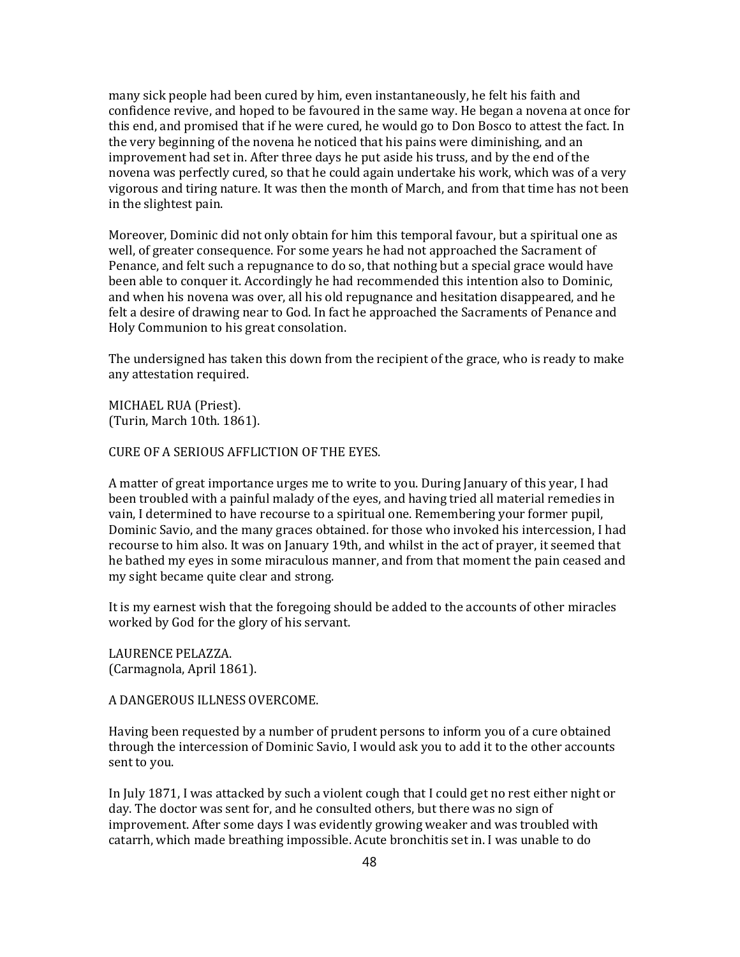many sick people had been cured by him, even instantaneously, he felt his faith and confidence revive, and hoped to be favoured in the same way. He began a novena at once for this end, and promised that if he were cured, he would go to Don Bosco to attest the fact. In the very beginning of the novena he noticed that his pains were diminishing, and an improvement had set in. After three days he put aside his truss, and by the end of the novena was perfectly cured, so that he could again undertake his work, which was of a very vigorous and tiring nature. It was then the month of March, and from that time has not been in the slightest pain.

Moreover, Dominic did not only obtain for him this temporal favour, but a spiritual one as well, of greater consequence. For some years he had not approached the Sacrament of Penance, and felt such a repugnance to do so, that nothing but a special grace would have been able to conquer it. Accordingly he had recommended this intention also to Dominic, and when his novena was over, all his old repugnance and hesitation disappeared, and he felt a desire of drawing near to God. In fact he approached the Sacraments of Penance and Holy Communion to his great consolation.

The undersigned has taken this down from the recipient of the grace, who is ready to make any attestation required.

MICHAEL RUA (Priest). (Turin, March 10th. 1861).

# CURE OF A SERIOUS AFFLICTION OF THE EYES.

A matter of great importance urges me to write to you. During January of this year, I had been troubled with a painful malady of the eyes, and having tried all material remedies in vain, I determined to have recourse to a spiritual one. Remembering your former pupil, Dominic Savio, and the many graces obtained. for those who invoked his intercession, I had recourse to him also. It was on January 19th, and whilst in the act of prayer, it seemed that he bathed my eyes in some miraculous manner, and from that moment the pain ceased and my sight became quite clear and strong.

It is my earnest wish that the foregoing should be added to the accounts of other miracles worked by God for the glory of his servant.

LAURENCE PELAZZA. (Carmagnola, April 1861).

A DANGEROUS ILLNESS OVERCOME.

Having been requested by a number of prudent persons to inform you of a cure obtained through the intercession of Dominic Savio, I would ask you to add it to the other accounts sent to you.

In July 1871, I was attacked by such a violent cough that I could get no rest either night or day. The doctor was sent for, and he consulted others, but there was no sign of improvement. After some days I was evidently growing weaker and was troubled with catarrh, which made breathing impossible. Acute bronchitis set in. I was unable to do